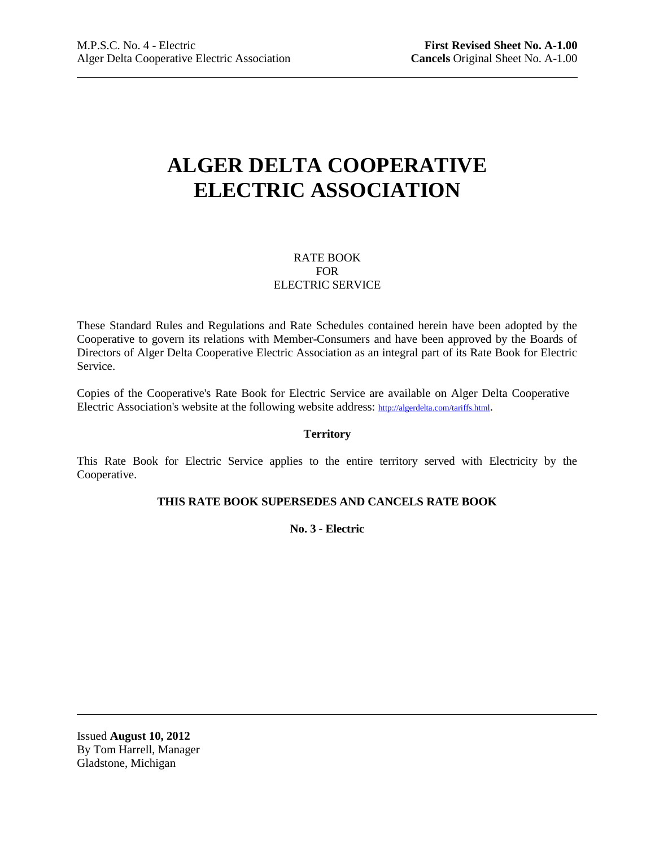# **ALGER DELTA COOPERATIVE ELECTRIC ASSOCIATION**

### RATE BOOK FOR ELECTRIC SERVICE

These Standard Rules and Regulations and Rate Schedules contained herein have been adopted by the Cooperative to govern its relations with Member-Consumers and have been approved by the Boards of Directors of Alger Delta Cooperative Electric Association as an integral part of its Rate Book for Electric Service.

Copies of the Cooperative's Rate Book for Electric Service are available on Alger Delta Cooperative Electric Association's website at the following website address: <http://algerdelta.com/tariffs.html>.

### **Territory**

This Rate Book for Electric Service applies to the entire territory served with Electricity by the Cooperative.

### **THIS RATE BOOK SUPERSEDES AND CANCELS RATE BOOK**

**No. 3 - Electric**

Issued **August 10, 2012** By Tom Harrell, Manager Gladstone, Michigan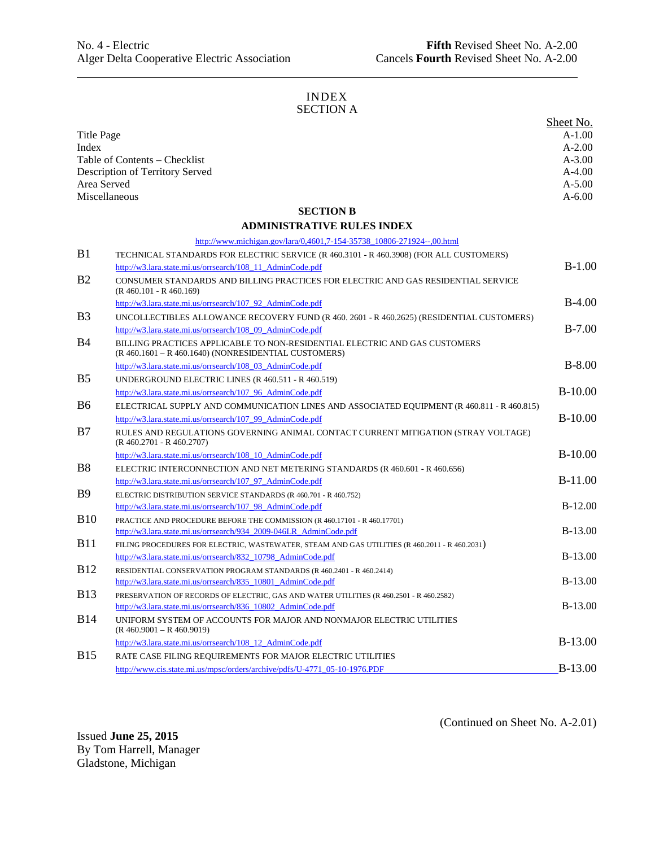# INDEX

| --------  |  |
|-----------|--|
| SECTION A |  |

| <b>Title Page</b><br>Index<br>Table of Contents – Checklist<br>Description of Territory Served<br>Area Served<br>Miscellaneous<br>$A - 6.00$<br><b>SECTION B</b><br><b>ADMINISTRATIVE RULES INDEX</b><br>http://www.michigan.gov/lara/0,4601,7-154-35738 10806-271924--,00.html<br>B1<br>TECHNICAL STANDARDS FOR ELECTRIC SERVICE (R 460.3101 - R 460.3908) (FOR ALL CUSTOMERS)<br>http://w3.lara.state.mi.us/orrsearch/108 11 AdminCode.pdf<br><b>B2</b><br>CONSUMER STANDARDS AND BILLING PRACTICES FOR ELECTRIC AND GAS RESIDENTIAL SERVICE<br>$(R 460.101 - R 460.169)$<br>http://w3.lara.state.mi.us/orrsearch/107 92 AdminCode.pdf<br>B <sub>3</sub><br>UNCOLLECTIBLES ALLOWANCE RECOVERY FUND (R 460. 2601 - R 460.2625) (RESIDENTIAL CUSTOMERS)<br>http://w3.lara.state.mi.us/orrsearch/108_09_AdminCode.pdf<br>BILLING PRACTICES APPLICABLE TO NON-RESIDENTIAL ELECTRIC AND GAS CUSTOMERS |            | Sheet No.      |
|----------------------------------------------------------------------------------------------------------------------------------------------------------------------------------------------------------------------------------------------------------------------------------------------------------------------------------------------------------------------------------------------------------------------------------------------------------------------------------------------------------------------------------------------------------------------------------------------------------------------------------------------------------------------------------------------------------------------------------------------------------------------------------------------------------------------------------------------------------------------------------------------------|------------|----------------|
|                                                                                                                                                                                                                                                                                                                                                                                                                                                                                                                                                                                                                                                                                                                                                                                                                                                                                                    |            | $A-1.00$       |
|                                                                                                                                                                                                                                                                                                                                                                                                                                                                                                                                                                                                                                                                                                                                                                                                                                                                                                    |            | $A - 2.00$     |
|                                                                                                                                                                                                                                                                                                                                                                                                                                                                                                                                                                                                                                                                                                                                                                                                                                                                                                    |            | $A - 3.00$     |
|                                                                                                                                                                                                                                                                                                                                                                                                                                                                                                                                                                                                                                                                                                                                                                                                                                                                                                    |            | $A-4.00$       |
|                                                                                                                                                                                                                                                                                                                                                                                                                                                                                                                                                                                                                                                                                                                                                                                                                                                                                                    |            | $A - 5.00$     |
|                                                                                                                                                                                                                                                                                                                                                                                                                                                                                                                                                                                                                                                                                                                                                                                                                                                                                                    |            |                |
|                                                                                                                                                                                                                                                                                                                                                                                                                                                                                                                                                                                                                                                                                                                                                                                                                                                                                                    |            |                |
|                                                                                                                                                                                                                                                                                                                                                                                                                                                                                                                                                                                                                                                                                                                                                                                                                                                                                                    |            |                |
|                                                                                                                                                                                                                                                                                                                                                                                                                                                                                                                                                                                                                                                                                                                                                                                                                                                                                                    |            |                |
|                                                                                                                                                                                                                                                                                                                                                                                                                                                                                                                                                                                                                                                                                                                                                                                                                                                                                                    |            |                |
|                                                                                                                                                                                                                                                                                                                                                                                                                                                                                                                                                                                                                                                                                                                                                                                                                                                                                                    |            | $B-1.00$       |
|                                                                                                                                                                                                                                                                                                                                                                                                                                                                                                                                                                                                                                                                                                                                                                                                                                                                                                    |            |                |
|                                                                                                                                                                                                                                                                                                                                                                                                                                                                                                                                                                                                                                                                                                                                                                                                                                                                                                    |            | $B-4.00$       |
|                                                                                                                                                                                                                                                                                                                                                                                                                                                                                                                                                                                                                                                                                                                                                                                                                                                                                                    |            |                |
|                                                                                                                                                                                                                                                                                                                                                                                                                                                                                                                                                                                                                                                                                                                                                                                                                                                                                                    |            | $B-7.00$       |
| (R 460.1601 - R 460.1640) (NONRESIDENTIAL CUSTOMERS)                                                                                                                                                                                                                                                                                                                                                                                                                                                                                                                                                                                                                                                                                                                                                                                                                                               | <b>B</b> 4 |                |
| http://w3.lara.state.mi.us/orrsearch/108_03_AdminCode.pdf                                                                                                                                                                                                                                                                                                                                                                                                                                                                                                                                                                                                                                                                                                                                                                                                                                          |            | $B-8.00$       |
| B <sub>5</sub><br>UNDERGROUND ELECTRIC LINES (R 460.511 - R 460.519)                                                                                                                                                                                                                                                                                                                                                                                                                                                                                                                                                                                                                                                                                                                                                                                                                               |            |                |
| http://w3.lara.state.mi.us/orrsearch/107_96_AdminCode.pdf                                                                                                                                                                                                                                                                                                                                                                                                                                                                                                                                                                                                                                                                                                                                                                                                                                          |            | $B-10.00$      |
| B <sub>6</sub><br>ELECTRICAL SUPPLY AND COMMUNICATION LINES AND ASSOCIATED EQUIPMENT (R 460.811 - R 460.815)                                                                                                                                                                                                                                                                                                                                                                                                                                                                                                                                                                                                                                                                                                                                                                                       |            |                |
| http://w3.lara.state.mi.us/orrsearch/107_99_AdminCode.pdf                                                                                                                                                                                                                                                                                                                                                                                                                                                                                                                                                                                                                                                                                                                                                                                                                                          |            | $B-10.00$      |
| B7<br>RULES AND REGULATIONS GOVERNING ANIMAL CONTACT CURRENT MITIGATION (STRAY VOLTAGE)<br>$(R 460.2701 - R 460.2707)$                                                                                                                                                                                                                                                                                                                                                                                                                                                                                                                                                                                                                                                                                                                                                                             |            |                |
| http://w3.lara.state.mi.us/orrsearch/108_10_AdminCode.pdf                                                                                                                                                                                                                                                                                                                                                                                                                                                                                                                                                                                                                                                                                                                                                                                                                                          |            | $B-10.00$      |
| B <sub>8</sub><br>ELECTRIC INTERCONNECTION AND NET METERING STANDARDS (R 460.601 - R 460.656)                                                                                                                                                                                                                                                                                                                                                                                                                                                                                                                                                                                                                                                                                                                                                                                                      |            |                |
| http://w3.lara.state.mi.us/orrsearch/107_97_AdminCode.pdf                                                                                                                                                                                                                                                                                                                                                                                                                                                                                                                                                                                                                                                                                                                                                                                                                                          |            | $B-11.00$      |
| <b>B</b> 9<br>ELECTRIC DISTRIBUTION SERVICE STANDARDS (R 460.701 - R 460.752)                                                                                                                                                                                                                                                                                                                                                                                                                                                                                                                                                                                                                                                                                                                                                                                                                      |            |                |
| http://w3.lara.state.mi.us/orrsearch/107_98_AdminCode.pdf                                                                                                                                                                                                                                                                                                                                                                                                                                                                                                                                                                                                                                                                                                                                                                                                                                          |            | $B-12.00$      |
| <b>B10</b><br>PRACTICE AND PROCEDURE BEFORE THE COMMISSION (R 460.17101 - R 460.17701)                                                                                                                                                                                                                                                                                                                                                                                                                                                                                                                                                                                                                                                                                                                                                                                                             |            |                |
| http://w3.lara.state.mi.us/orrsearch/934 2009-046LR AdminCode.pdf                                                                                                                                                                                                                                                                                                                                                                                                                                                                                                                                                                                                                                                                                                                                                                                                                                  |            | $B-13.00$      |
| <b>B11</b><br>FILING PROCEDURES FOR ELECTRIC, WASTEWATER, STEAM AND GAS UTILITIES (R 460.2011 - R 460.2031)                                                                                                                                                                                                                                                                                                                                                                                                                                                                                                                                                                                                                                                                                                                                                                                        |            |                |
| http://w3.lara.state.mi.us/orrsearch/832 10798 AdminCode.pdf                                                                                                                                                                                                                                                                                                                                                                                                                                                                                                                                                                                                                                                                                                                                                                                                                                       |            | $B-13.00$      |
| <b>B12</b><br>RESIDENTIAL CONSERVATION PROGRAM STANDARDS (R 460.2401 - R 460.2414)<br>http://w3.lara.state.mi.us/orrsearch/835_10801_AdminCode.pdf                                                                                                                                                                                                                                                                                                                                                                                                                                                                                                                                                                                                                                                                                                                                                 |            | $B-13.00$      |
| <b>B13</b><br>PRESERVATION OF RECORDS OF ELECTRIC, GAS AND WATER UTILITIES (R 460.2501 - R 460.2582)                                                                                                                                                                                                                                                                                                                                                                                                                                                                                                                                                                                                                                                                                                                                                                                               |            |                |
| http://w3.lara.state.mi.us/orrsearch/836_10802_AdminCode.pdf                                                                                                                                                                                                                                                                                                                                                                                                                                                                                                                                                                                                                                                                                                                                                                                                                                       |            | <b>B-13.00</b> |
| <b>B14</b><br>UNIFORM SYSTEM OF ACCOUNTS FOR MAJOR AND NONMAJOR ELECTRIC UTILITIES<br>$(R 460.9001 - R 460.9019)$                                                                                                                                                                                                                                                                                                                                                                                                                                                                                                                                                                                                                                                                                                                                                                                  |            |                |
| http://w3.lara.state.mi.us/orrsearch/108_12_AdminCode.pdf                                                                                                                                                                                                                                                                                                                                                                                                                                                                                                                                                                                                                                                                                                                                                                                                                                          |            | B-13.00        |
| <b>B15</b><br>RATE CASE FILING REQUIREMENTS FOR MAJOR ELECTRIC UTILITIES                                                                                                                                                                                                                                                                                                                                                                                                                                                                                                                                                                                                                                                                                                                                                                                                                           |            |                |
| http://www.cis.state.mi.us/mpsc/orders/archive/pdfs/U-4771 05-10-1976.PDF                                                                                                                                                                                                                                                                                                                                                                                                                                                                                                                                                                                                                                                                                                                                                                                                                          |            | B-13.00        |

Issued **June 25, 2015** By Tom Harrell, Manager Gladstone, Michigan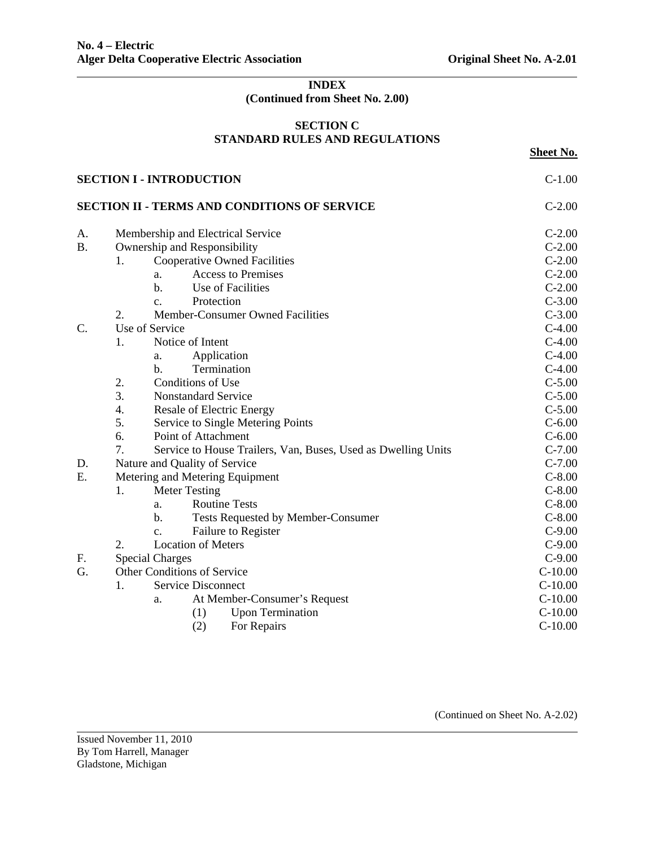### **INDEX (Continued from Sheet No. 2.00)**

### **SECTION C STANDARD RULES AND REGULATIONS**

|           |                                 |                        |                                                               | <b>Sheet No.</b>       |
|-----------|---------------------------------|------------------------|---------------------------------------------------------------|------------------------|
|           | <b>SECTION I - INTRODUCTION</b> |                        |                                                               | $C-1.00$               |
|           |                                 |                        | <b>SECTION II - TERMS AND CONDITIONS OF SERVICE</b>           | $C-2.00$               |
| A.        |                                 |                        | Membership and Electrical Service                             | $C-2.00$               |
| <b>B.</b> |                                 |                        | Ownership and Responsibility                                  | $C-2.00$               |
|           | 1.                              |                        | <b>Cooperative Owned Facilities</b>                           | $C-2.00$               |
|           |                                 | a.                     | <b>Access to Premises</b>                                     | $C-2.00$               |
|           |                                 | $\mathbf{b}$ .         | Use of Facilities                                             | $C-2.00$               |
|           |                                 | $C_{-}$                | Protection                                                    | $C-3.00$               |
|           | 2.                              |                        | Member-Consumer Owned Facilities                              | $C-3.00$               |
| C.        | Use of Service                  |                        |                                                               | $C-4.00$               |
|           | 1.                              | Notice of Intent       |                                                               | $C-4.00$               |
|           |                                 | a.                     | Application                                                   | $C-4.00$               |
|           |                                 | $\mathbf{b}$ .         | Termination                                                   | $C-4.00$               |
|           | 2.                              |                        | Conditions of Use                                             | $C-5.00$               |
|           | 3.                              |                        | <b>Nonstandard Service</b>                                    | $C-5.00$               |
|           | 4.                              |                        | <b>Resale of Electric Energy</b>                              | $C-5.00$               |
|           | 5.                              |                        | Service to Single Metering Points                             | $C - 6.00$             |
|           | 6.                              |                        | Point of Attachment                                           | $C - 6.00$             |
|           | 7.                              |                        | Service to House Trailers, Van, Buses, Used as Dwelling Units | $C-7.00$               |
| D.        |                                 |                        | Nature and Quality of Service                                 | $C-7.00$               |
| Ε.        |                                 |                        | Metering and Metering Equipment                               | $C-8.00$               |
|           | 1.                              | <b>Meter Testing</b>   |                                                               | $C-8.00$               |
|           |                                 | a.                     | <b>Routine Tests</b>                                          | $C-8.00$               |
|           |                                 | b.                     | <b>Tests Requested by Member-Consumer</b>                     | $C-8.00$               |
|           |                                 | $\mathbf{c}$ .         | Failure to Register                                           | $C-9.00$               |
|           | 2.                              |                        | <b>Location of Meters</b>                                     | $C-9.00$               |
| F.        |                                 | <b>Special Charges</b> | Other Conditions of Service                                   | $C-9.00$               |
| G.        |                                 |                        |                                                               | $C-10.00$              |
|           | 1.                              |                        | <b>Service Disconnect</b>                                     | $C-10.00$              |
|           |                                 | a.                     | At Member-Consumer's Request                                  | $C-10.00$              |
|           |                                 |                        | <b>Upon Termination</b><br>(1)                                | $C-10.00$<br>$C-10.00$ |
|           |                                 |                        | (2)<br>For Repairs                                            |                        |

(Continued on Sheet No. A-2.02)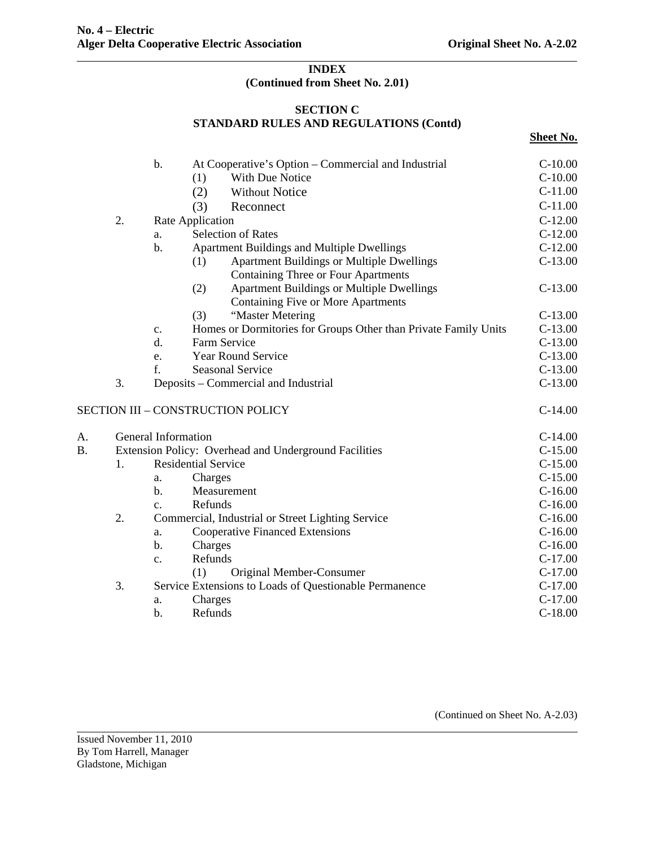### **INDEX (Continued from Sheet No. 2.01)**

### **SECTION C STANDARD RULES AND REGULATIONS (Contd)**

|    |    |                                                       |                                                                                               | <b>Sheet No.</b> |  |
|----|----|-------------------------------------------------------|-----------------------------------------------------------------------------------------------|------------------|--|
|    |    | b.                                                    | At Cooperative's Option - Commercial and Industrial                                           | $C-10.00$        |  |
|    |    |                                                       | With Due Notice<br>(1)                                                                        | $C-10.00$        |  |
|    |    |                                                       | (2)<br><b>Without Notice</b>                                                                  | $C-11.00$        |  |
|    |    |                                                       | (3)<br>Reconnect                                                                              | $C-11.00$        |  |
|    | 2. |                                                       | Rate Application                                                                              | $C-12.00$        |  |
|    |    | a.                                                    | <b>Selection of Rates</b>                                                                     | $C-12.00$        |  |
|    |    | $b$ .                                                 | <b>Apartment Buildings and Multiple Dwellings</b>                                             | $C-12.00$        |  |
|    |    |                                                       | <b>Apartment Buildings or Multiple Dwellings</b><br>(1)                                       | $C-13.00$        |  |
|    |    |                                                       | <b>Containing Three or Four Apartments</b>                                                    |                  |  |
|    |    |                                                       | <b>Apartment Buildings or Multiple Dwellings</b><br>(2)<br>Containing Five or More Apartments | $C-13.00$        |  |
|    |    |                                                       | "Master Metering<br>(3)                                                                       | $C-13.00$        |  |
|    |    | c.                                                    | Homes or Dormitories for Groups Other than Private Family Units                               | $C-13.00$        |  |
|    |    | d.                                                    | Farm Service                                                                                  | $C-13.00$        |  |
|    |    | e.                                                    | <b>Year Round Service</b>                                                                     | $C-13.00$        |  |
|    |    | f.                                                    | <b>Seasonal Service</b>                                                                       | $C-13.00$        |  |
|    | 3. |                                                       | Deposits – Commercial and Industrial                                                          | $C-13.00$        |  |
|    |    |                                                       | <b>SECTION III – CONSTRUCTION POLICY</b>                                                      | $C-14.00$        |  |
| A. |    | <b>General Information</b>                            |                                                                                               | $C-14.00$        |  |
| B. |    | Extension Policy: Overhead and Underground Facilities |                                                                                               |                  |  |
|    | 1. | <b>Residential Service</b>                            |                                                                                               |                  |  |
|    |    | a.                                                    | Charges                                                                                       | $C-15.00$        |  |
|    |    | $\mathbf b$ .                                         | Measurement                                                                                   | $C-16.00$        |  |
|    |    | $\mathbf{c}$ .                                        | Refunds                                                                                       | $C-16.00$        |  |
|    | 2. |                                                       | Commercial, Industrial or Street Lighting Service                                             | $C-16.00$        |  |
|    |    | a.                                                    | <b>Cooperative Financed Extensions</b>                                                        | $C-16.00$        |  |
|    |    | $b$ .                                                 | Charges                                                                                       | $C-16.00$        |  |
|    |    | c.                                                    | Refunds                                                                                       | $C-17.00$        |  |
|    |    |                                                       | Original Member-Consumer<br>(1)                                                               | $C-17.00$        |  |
|    | 3. |                                                       | Service Extensions to Loads of Questionable Permanence                                        | $C-17.00$        |  |
|    |    | a.                                                    | Charges                                                                                       | $C-17.00$        |  |
|    |    | b.                                                    | Refunds                                                                                       | $C-18.00$        |  |

(Continued on Sheet No. A-2.03)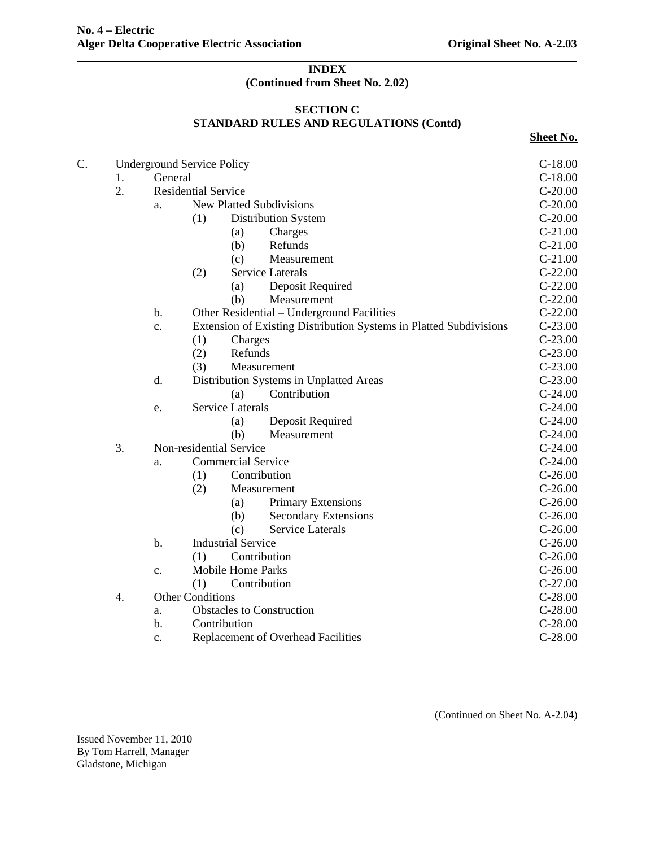### **INDEX (Continued from Sheet No. 2.02)**

### **SECTION C STANDARD RULES AND REGULATIONS (Contd) Example 2018** Sheet No.

| C. |    |                                 | <b>Underground Service Policy</b> |                                         |                                                                    | $C-18.00$              |  |
|----|----|---------------------------------|-----------------------------------|-----------------------------------------|--------------------------------------------------------------------|------------------------|--|
|    | 1. | General                         |                                   |                                         |                                                                    |                        |  |
|    | 2. |                                 | <b>Residential Service</b>        |                                         |                                                                    |                        |  |
|    |    | a.                              |                                   |                                         | <b>New Platted Subdivisions</b>                                    | $C-20.00$              |  |
|    |    |                                 | (1)                               |                                         | Distribution System                                                | $C-20.00$              |  |
|    |    |                                 |                                   | (a)                                     | Charges                                                            | $C-21.00$              |  |
|    |    |                                 |                                   | (b)                                     | Refunds                                                            | $C-21.00$              |  |
|    |    |                                 |                                   | (c)                                     | Measurement                                                        | $C-21.00$              |  |
|    |    |                                 | (2)                               |                                         | <b>Service Laterals</b>                                            | $C-22.00$              |  |
|    |    |                                 |                                   | (a)                                     | Deposit Required                                                   | $C-22.00$              |  |
|    |    |                                 |                                   | (b)                                     | Measurement                                                        | $C-22.00$              |  |
|    |    | b.                              |                                   |                                         | Other Residential - Underground Facilities                         | $C-22.00$              |  |
|    |    | $\mathbf{c}$ .                  |                                   |                                         | Extension of Existing Distribution Systems in Platted Subdivisions | $C-23.00$              |  |
|    |    |                                 | (1)                               | Charges                                 |                                                                    | $C-23.00$              |  |
|    |    |                                 | (2)                               | Refunds                                 |                                                                    | $C-23.00$              |  |
|    |    |                                 | (3)                               |                                         | Measurement                                                        | $C-23.00$              |  |
|    |    | d.                              |                                   | Distribution Systems in Unplatted Areas |                                                                    |                        |  |
|    |    |                                 |                                   | (a)                                     | Contribution                                                       | $C-23.00$<br>$C-24.00$ |  |
|    |    | e.                              |                                   | <b>Service Laterals</b>                 |                                                                    | $C-24.00$              |  |
|    |    |                                 |                                   | (a)                                     | Deposit Required                                                   | $C-24.00$              |  |
|    |    |                                 |                                   | (b)                                     | Measurement                                                        | $C-24.00$              |  |
|    | 3. |                                 | Non-residential Service           |                                         |                                                                    | $C-24.00$              |  |
|    |    | <b>Commercial Service</b><br>a. |                                   |                                         |                                                                    | $C-24.00$              |  |
|    |    |                                 | (1)                               |                                         | Contribution                                                       | $C-26.00$              |  |
|    |    |                                 | (2)                               |                                         | Measurement                                                        | $C-26.00$              |  |
|    |    |                                 |                                   | (a)                                     | Primary Extensions                                                 | $C-26.00$              |  |
|    |    |                                 |                                   | (b)                                     | <b>Secondary Extensions</b>                                        | $C-26.00$              |  |
|    |    |                                 |                                   | (c)                                     | <b>Service Laterals</b>                                            | $C-26.00$              |  |
|    |    | b.                              |                                   | <b>Industrial Service</b>               |                                                                    | $C-26.00$              |  |
|    |    |                                 | (1)                               |                                         | Contribution                                                       | $C-26.00$              |  |
|    |    | c.                              |                                   | <b>Mobile Home Parks</b>                |                                                                    | $C-26.00$              |  |
|    |    |                                 | (1)                               |                                         | Contribution                                                       | $C-27.00$              |  |
|    | 4. | <b>Other Conditions</b>         |                                   |                                         |                                                                    | $C-28.00$              |  |
|    |    | a.                              |                                   |                                         | <b>Obstacles to Construction</b>                                   | $C-28.00$              |  |
|    |    | b.                              |                                   | Contribution                            |                                                                    | $C-28.00$              |  |
|    |    | c.                              |                                   |                                         | Replacement of Overhead Facilities                                 | $C-28.00$              |  |
|    |    |                                 |                                   |                                         |                                                                    |                        |  |

(Continued on Sheet No. A-2.04)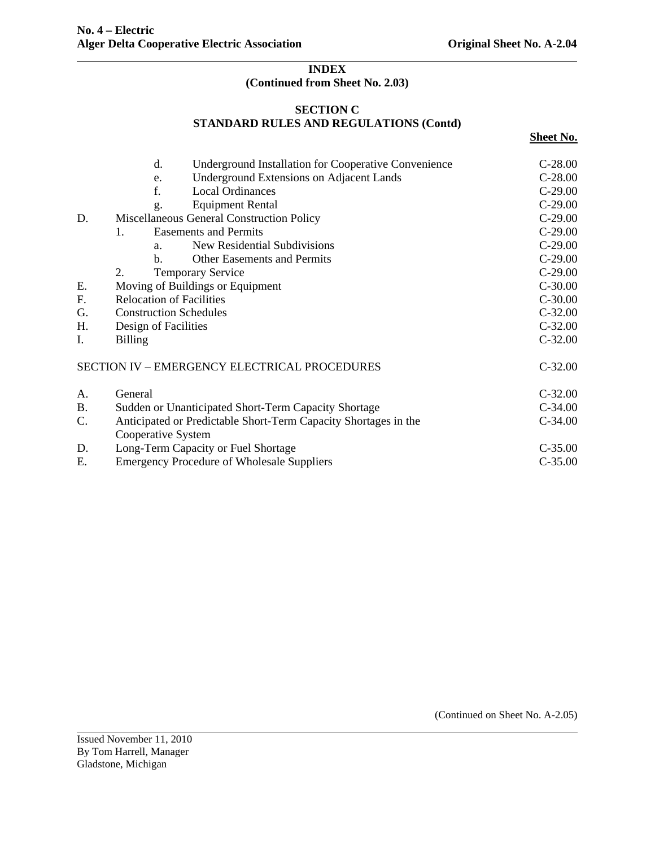### **INDEX (Continued from Sheet No. 2.03)**

### **SECTION C STANDARD RULES AND REGULATIONS (Contd)**

|           |                                 |                                                                 | <b>Sheet No.</b> |  |  |
|-----------|---------------------------------|-----------------------------------------------------------------|------------------|--|--|
|           | d.                              | <b>Underground Installation for Cooperative Convenience</b>     | $C-28.00$        |  |  |
|           | e.                              | <b>Underground Extensions on Adjacent Lands</b>                 | $C-28.00$        |  |  |
|           | f.                              | <b>Local Ordinances</b>                                         | $C-29.00$        |  |  |
|           | g.                              | <b>Equipment Rental</b>                                         | $C-29.00$        |  |  |
| D.        |                                 | Miscellaneous General Construction Policy                       | $C-29.00$        |  |  |
|           | 1.                              | <b>Easements and Permits</b>                                    | $C-29.00$        |  |  |
|           | a.                              | New Residential Subdivisions                                    | $C-29.00$        |  |  |
|           | b.                              | Other Easements and Permits                                     | $C-29.00$        |  |  |
|           | 2.                              | <b>Temporary Service</b>                                        | $C-29.00$        |  |  |
| Ε.        |                                 | Moving of Buildings or Equipment                                | $C-30.00$        |  |  |
| F.        | <b>Relocation of Facilities</b> |                                                                 | $C-30.00$        |  |  |
| G.        | <b>Construction Schedules</b>   | $C-32.00$                                                       |                  |  |  |
| H.        | Design of Facilities            |                                                                 | $C-32.00$        |  |  |
| I.        | <b>Billing</b>                  |                                                                 |                  |  |  |
|           |                                 | <b>SECTION IV - EMERGENCY ELECTRICAL PROCEDURES</b>             | $C-32.00$        |  |  |
| A.        | General                         |                                                                 | $C-32.00$        |  |  |
| <b>B.</b> |                                 | Sudden or Unanticipated Short-Term Capacity Shortage            | $C-34.00$        |  |  |
| C.        |                                 | Anticipated or Predictable Short-Term Capacity Shortages in the | $C-34.00$        |  |  |
|           | Cooperative System              |                                                                 |                  |  |  |
| D.        |                                 | Long-Term Capacity or Fuel Shortage                             | $C-35.00$        |  |  |
| Ε.        |                                 | <b>Emergency Procedure of Wholesale Suppliers</b>               | $C-35.00$        |  |  |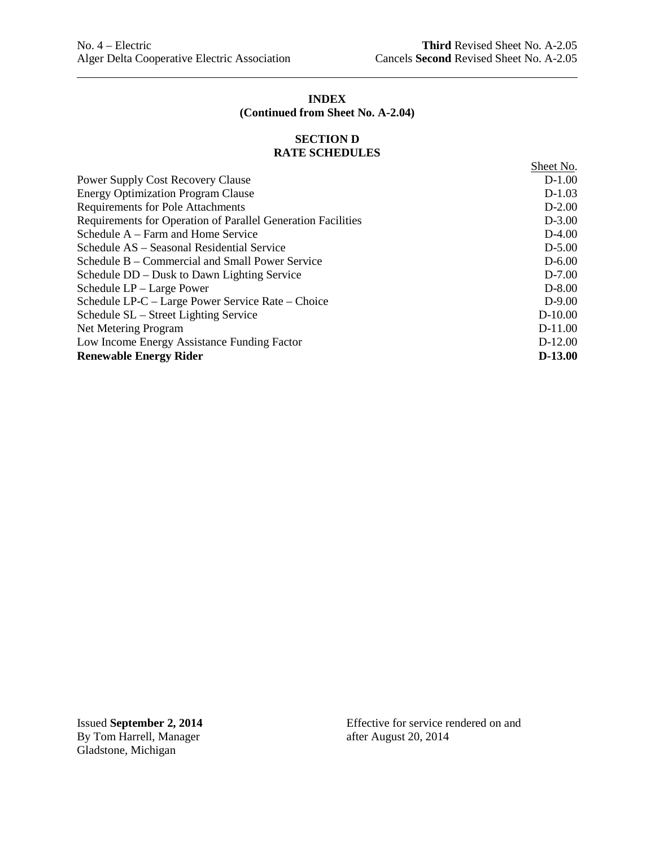### **INDEX (Continued from Sheet No. A-2.04)**

### **SECTION D RATE SCHEDULES**

|                                                              | Sheet No.  |
|--------------------------------------------------------------|------------|
| <b>Power Supply Cost Recovery Clause</b>                     | $D-1.00$   |
| <b>Energy Optimization Program Clause</b>                    | $D-1.03$   |
| <b>Requirements for Pole Attachments</b>                     | $D-2.00$   |
| Requirements for Operation of Parallel Generation Facilities | $D-3.00$   |
| Schedule A – Farm and Home Service                           | $D-4.00$   |
| Schedule AS – Seasonal Residential Service                   | $D-5.00$   |
| Schedule B – Commercial and Small Power Service              | $D - 6.00$ |
| Schedule DD – Dusk to Dawn Lighting Service                  | $D-7.00$   |
| Schedule LP - Large Power                                    | $D-8.00$   |
| Schedule LP-C – Large Power Service Rate – Choice            | $D-9.00$   |
| Schedule SL – Street Lighting Service                        | $D-10.00$  |
| Net Metering Program                                         | $D-11.00$  |
| Low Income Energy Assistance Funding Factor                  | $D-12.00$  |
| <b>Renewable Energy Rider</b>                                | $D-13.00$  |

By Tom Harrell, Manager Gladstone, Michigan

Issued **September 2, 2014** Effective for service rendered on and By Tom Harrell, Manager and after August 20, 2014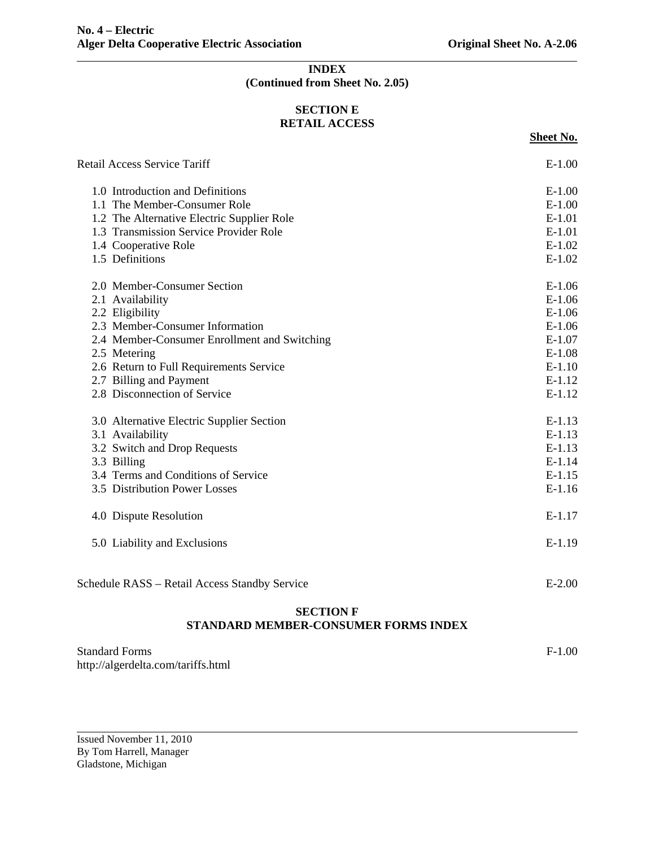### **INDEX (Continued from Sheet No. 2.05)**

### **SECTION E RETAIL ACCESS**

|                                               | <b>Sheet No.</b> |
|-----------------------------------------------|------------------|
| <b>Retail Access Service Tariff</b>           | $E-1.00$         |
| 1.0 Introduction and Definitions              | $E-1.00$         |
| 1.1 The Member-Consumer Role                  | $E-1.00$         |
| 1.2 The Alternative Electric Supplier Role    | $E-1.01$         |
| 1.3 Transmission Service Provider Role        | $E-1.01$         |
| 1.4 Cooperative Role                          | $E-1.02$         |
| 1.5 Definitions                               | $E-1.02$         |
| 2.0 Member-Consumer Section                   | $E-1.06$         |
| 2.1 Availability                              | $E-1.06$         |
| 2.2 Eligibility                               | $E-1.06$         |
| 2.3 Member-Consumer Information               | $E-1.06$         |
| 2.4 Member-Consumer Enrollment and Switching  | $E-1.07$         |
| 2.5 Metering                                  | $E-1.08$         |
| 2.6 Return to Full Requirements Service       | $E-1.10$         |
| 2.7 Billing and Payment                       | $E-1.12$         |
| 2.8 Disconnection of Service                  | $E-1.12$         |
| 3.0 Alternative Electric Supplier Section     | $E-1.13$         |
| 3.1 Availability                              | $E-1.13$         |
| 3.2 Switch and Drop Requests                  | $E-1.13$         |
| 3.3 Billing                                   | $E-1.14$         |
| 3.4 Terms and Conditions of Service           | $E-1.15$         |
| 3.5 Distribution Power Losses                 | $E-1.16$         |
| 4.0 Dispute Resolution                        | $E-1.17$         |
| 5.0 Liability and Exclusions                  | $E-1.19$         |
| Schedule RASS – Retail Access Standby Service | $E-2.00$         |
| <b>SECTION F</b>                              |                  |

### **SECTION F STANDARD MEMBER-CONSUMER FORMS INDEX**

| <b>Standard Forms</b>              | $F-1.00$ |
|------------------------------------|----------|
| http://algerdelta.com/tariffs.html |          |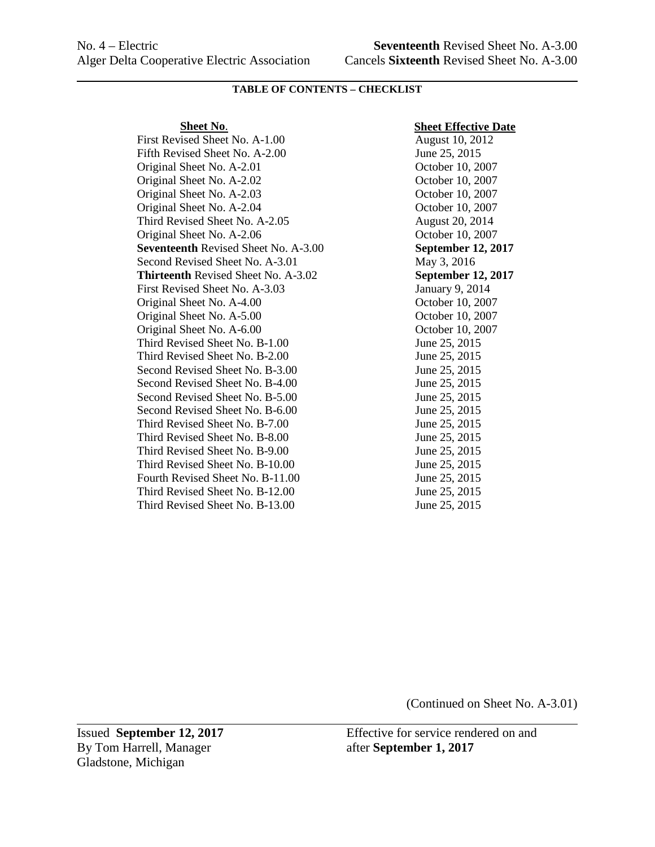### **TABLE OF CONTENTS – CHECKLIST**

First Revised Sheet No. A-1.00 August 10, 2012 Fifth Revised Sheet No. A-2.00 June 25, 2015 Original Sheet No. A-2.01 October 10, 2007 Original Sheet No. A-2.02 October 10, 2007 Original Sheet No. A-2.03 October 10, 2007 Original Sheet No. A-2.04 October 10, 2007 Third Revised Sheet No. A-2.05 August 20, 2014 Original Sheet No. A-2.06 October 10, 2007 **Seventeenth** Revised Sheet No. A-3.00 **September 12, 2017** Second Revised Sheet No. A-3.01 May 3, 2016 **Thirteenth** Revised Sheet No. A-3.02 **September 12, 2017**  First Revised Sheet No. A-3.03 January 9, 2014 Original Sheet No. A-4.00 October 10, 2007 Original Sheet No. A-5.00 October 10, 2007 Original Sheet No. A-6.00 October 10, 2007 Third Revised Sheet No. B-1.00 June 25, 2015 Third Revised Sheet No. B-2.00 June 25, 2015 Second Revised Sheet No. B-3.00 June 25, 2015 Second Revised Sheet No. B-4.00 June 25, 2015 Second Revised Sheet No. B-5.00 June 25, 2015 Second Revised Sheet No. B-6.00 June 25, 2015 Third Revised Sheet No. B-7.00 June 25, 2015 Third Revised Sheet No. B-8.00 June 25, 2015 Third Revised Sheet No. B-9.00 June 25, 2015 Third Revised Sheet No. B-10.00 June 25, 2015 Fourth Revised Sheet No. B-11.00 June 25, 2015 Third Revised Sheet No. B-12.00 June 25, 2015 Third Revised Sheet No. B-13.00 June 25, 2015

### **Sheet No**. **Sheet Effective Date**

(Continued on Sheet No. A-3.01)

**Issued September 12, 2017** Effective for service rendered on and

By Tom Harrell, Manager after **September 1, 2017** Gladstone, Michigan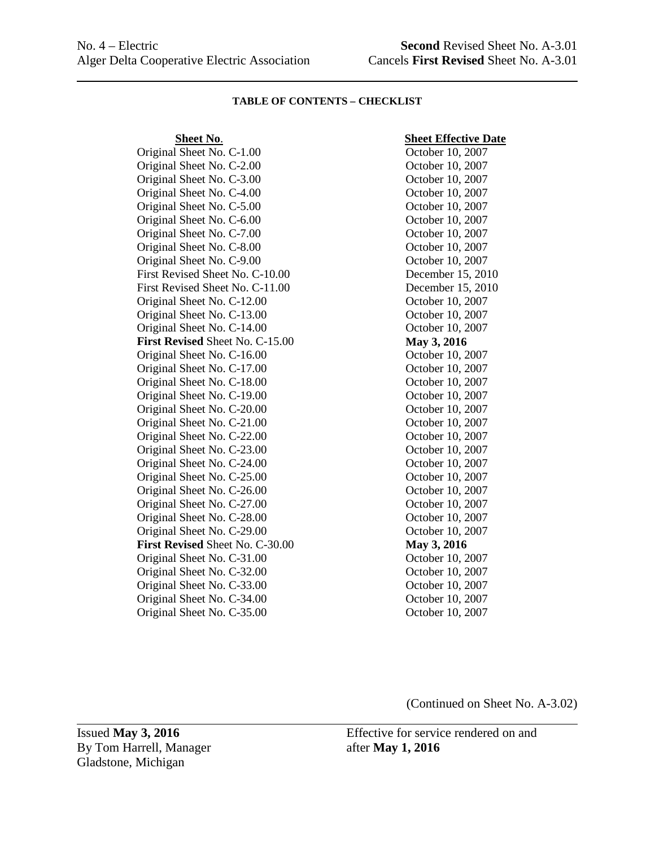### **TABLE OF CONTENTS – CHECKLIST**

### **Sheet No**. **Sheet Effective Date**

Original Sheet No. C-2.00 October 10, 2007 Original Sheet No. C-3.00 October 10, 2007 Original Sheet No. C-4.00 October 10, 2007 Original Sheet No. C-5.00 October 10, 2007 Original Sheet No. C-6.00 October 10, 2007 Original Sheet No. C-7.00 October 10, 2007 Original Sheet No. C-8.00 October 10, 2007 Original Sheet No. C-9.00 October 10, 2007 First Revised Sheet No. C-10.00 December 15, 2010 First Revised Sheet No. C-11.00 December 15, 2010 Original Sheet No. C-12.00 October 10, 2007 Original Sheet No. C-13.00 October 10, 2007 Original Sheet No. C-14.00 October 10, 2007 **First Revised** Sheet No. C-15.00 **May 3, 2016** Original Sheet No. C-16.00 October 10, 2007 Original Sheet No. C-17.00 October 10, 2007 Original Sheet No. C-18.00 October 10, 2007 Original Sheet No. C-19.00 October 10, 2007 Original Sheet No. C-20.00 October 10, 2007 Original Sheet No. C-21.00 October 10, 2007 Original Sheet No. C-22.00 October 10, 2007 Original Sheet No. C-23.00 October 10, 2007 Original Sheet No. C-24.00 October 10, 2007 Original Sheet No. C-25.00 October 10, 2007 Original Sheet No. C-26.00 October 10, 2007 Original Sheet No. C-27.00 October 10, 2007 Original Sheet No. C-28.00 October 10, 2007 Original Sheet No. C-29.00 October 10, 2007 **First Revised** Sheet No. C-30.00 **May 3, 2016** Original Sheet No. C-31.00 October 10, 2007 Original Sheet No. C-32.00 October 10, 2007 Original Sheet No. C-33.00 October 10, 2007 Original Sheet No. C-34.00 October 10, 2007 Original Sheet No. C-35.00 October 10, 2007

# Original Sheet No. C-1.00 October 10, 2007

(Continued on Sheet No. A-3.02)

By Tom Harrell, Manager after **May 1, 2016** Gladstone, Michigan

Issued **May 3, 2016** Effective for service rendered on and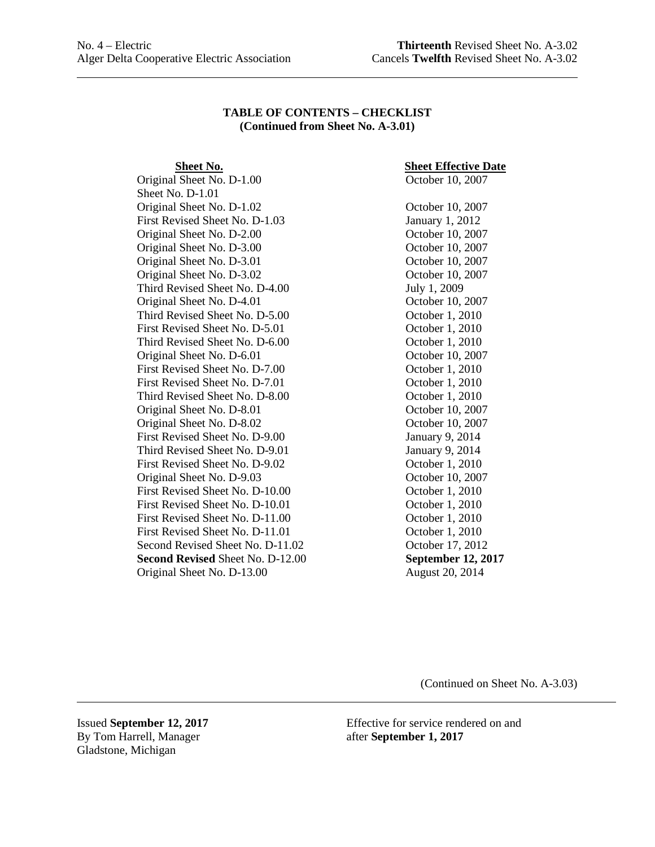### **TABLE OF CONTENTS – CHECKLIST (Continued from Sheet No. A-3.01)**

Original Sheet No. D-1.00 October 10, 2007 Sheet No. D-1.01 Original Sheet No. D-1.02 October 10, 2007 First Revised Sheet No. D-1.03 January 1, 2012 Original Sheet No. D-2.00 October 10, 2007 Original Sheet No. D-3.00 October 10, 2007 Original Sheet No. D-3.01 October 10, 2007 Original Sheet No. D-3.02 October 10, 2007 Third Revised Sheet No. D-4.00 July 1, 2009 Original Sheet No. D-4.01 October 10, 2007 Third Revised Sheet No. D-5.00 October 1, 2010 First Revised Sheet No. D-5.01 October 1, 2010 Third Revised Sheet No. D-6.00 October 1, 2010 Original Sheet No. D-6.01 October 10, 2007 First Revised Sheet No. D-7.00 October 1, 2010 First Revised Sheet No. D-7.01 October 1, 2010 Third Revised Sheet No. D-8.00 October 1, 2010 Original Sheet No. D-8.01 October 10, 2007 Original Sheet No. D-8.02 October 10, 2007 First Revised Sheet No. D-9.00 January 9, 2014 Third Revised Sheet No. D-9.01 January 9, 2014 First Revised Sheet No. D-9.02 October 1, 2010 Original Sheet No. D-9.03 October 10, 2007 First Revised Sheet No. D-10.00 October 1, 2010 First Revised Sheet No. D-10.01 October 1, 2010 First Revised Sheet No. D-11.00 October 1, 2010 First Revised Sheet No. D-11.01 Cotober 1, 2010 Second Revised Sheet No. D-11.02 October 17, 2012 **Second Revised** Sheet No. D-12.00 **September 12, 2017**  Original Sheet No. D-13.00 August 20, 2014

### **Sheet No.** Sheet Effective Date

(Continued on Sheet No. A-3.03)

By Tom Harrell, Manager after **September 1, 2017** Gladstone, Michigan

**Issued September 12, 2017 Effective for service rendered on and**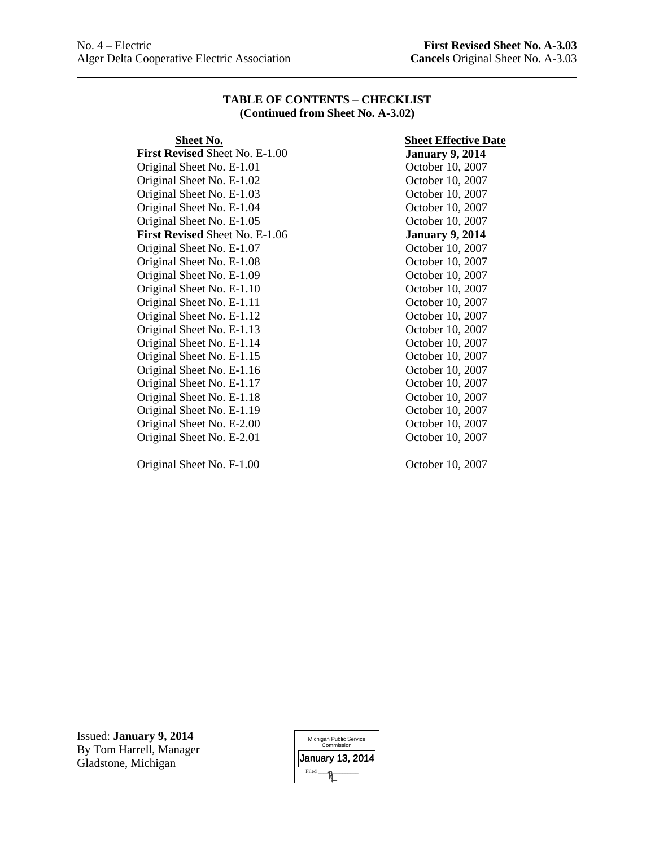### **TABLE OF CONTENTS – CHECKLIST (Continued from Sheet No. A-3.02)**

| Sheet No.                             | <b>Sheet Effective L</b> |
|---------------------------------------|--------------------------|
| <b>First Revised Sheet No. E-1.00</b> | <b>January 9, 2014</b>   |
| Original Sheet No. E-1.01             | October 10, 2007         |
| Original Sheet No. E-1.02             | October 10, 2007         |
| Original Sheet No. E-1.03             | October 10, 2007         |
| Original Sheet No. E-1.04             | October 10, 2007         |
| Original Sheet No. E-1.05             | October 10, 2007         |
| <b>First Revised Sheet No. E-1.06</b> | <b>January 9, 2014</b>   |
| Original Sheet No. E-1.07             | October 10, 2007         |
| Original Sheet No. E-1.08             | October 10, 2007         |
| Original Sheet No. E-1.09             | October 10, 2007         |
| Original Sheet No. E-1.10             | October 10, 2007         |
| Original Sheet No. E-1.11             | October 10, 2007         |
| Original Sheet No. E-1.12             | October 10, 2007         |
| Original Sheet No. E-1.13             | October 10, 2007         |
| Original Sheet No. E-1.14             | October 10, 2007         |
| Original Sheet No. E-1.15             | October 10, 2007         |
| Original Sheet No. E-1.16             | October 10, 2007         |
| Original Sheet No. E-1.17             | October 10, 2007         |
| Original Sheet No. E-1.18             | October 10, 2007         |
| Original Sheet No. E-1.19             | October 10, 2007         |
| Original Sheet No. E-2.00             | October 10, 2007         |
| Original Sheet No. E-2.01             | October 10, 2007         |

Original Sheet No. F-1.00 October 10, 2007

### **Sheet No. Sheet Effective Date**  $\overline{January 9, 2014}$ October 10, 2007 October 10, 2007 October 10, 2007 October 10, 2007 October 10, 2007 **January 9, 2014** October 10, 2007 October 10, 2007 October 10, 2007 October 10, 2007 October 10, 2007 October 10, 2007 October 10, 2007 October 10, 2007 October 10, 2007 October 10, 2007 October 10, 2007 October 10, 2007 October 10, 2007 October 10, 2007

Issued: **January 9, 2014** By Tom Harrell, Manager Gladstone, Michigan

Michigan Public Service Commission  $Filed$   $\longrightarrow$ January 13, 2014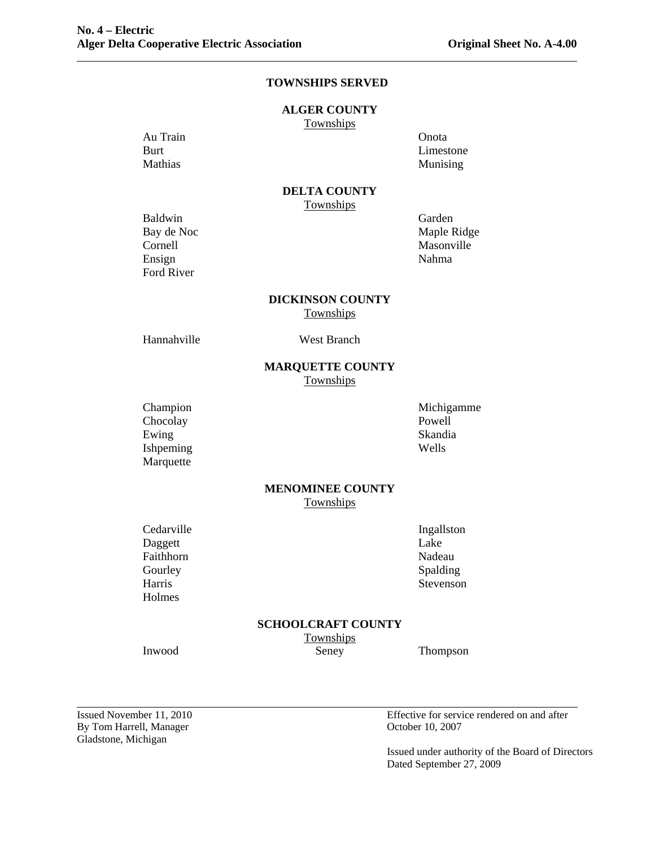### **TOWNSHIPS SERVED**

### **ALGER COUNTY Townships**

Au Train Onota Burt Limestone Mathias Munising

### **DELTA COUNTY Townships**

Baldwin Garden Cornell Masonville Ensign Nahma Ford River

Bay de Noc Maple Ridge

### **DICKINSON COUNTY Townships**

Hannahville West Branch

### **MARQUETTE COUNTY Townships**

Chocolay Powell Ewing Skandia Ishpeming Marquette

Champion Michigamme Wells

### **MENOMINEE COUNTY**  Townships

Cedarville Ingallston Daggett Lake Faithhorn Nadeau Gourley Spalding<br>Harris Stevenson **Holmes** 

Stevenson

### **SCHOOLCRAFT COUNTY**

Townships

Inwood Seney Thompson

By Tom Harrell, Manager Corolex and Corolex 10, 2007 Gladstone, Michigan

Issued November 11, 2010 Effective for service rendered on and after

Issued under authority of the Board of Directors Dated September 27, 2009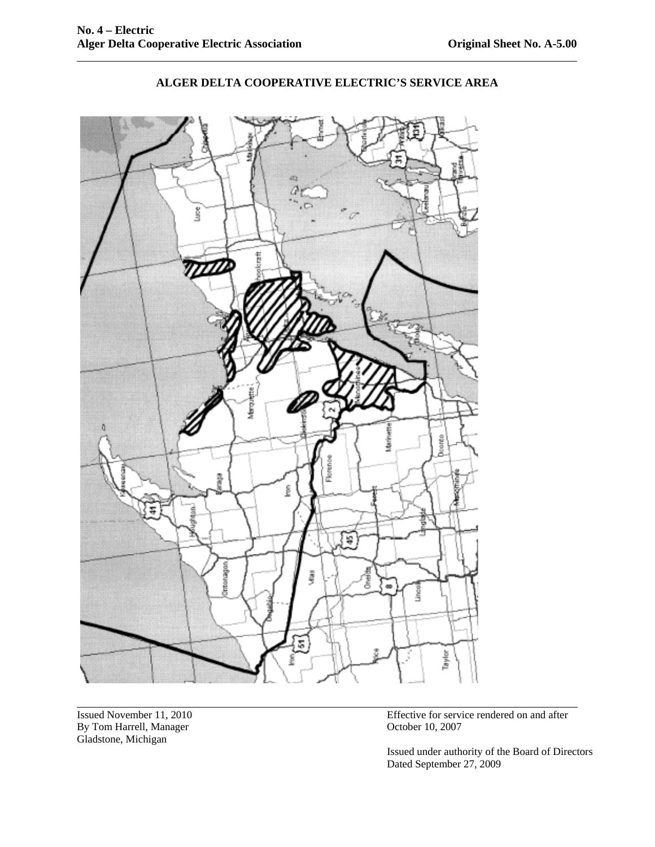

### **ALGER DELTA COOPERATIVE ELECTRIC'S SERVICE AREA**

By Tom Harrell, Manager Gladstone, Michigan

Issued November 11, 2010<br>By Tom Harrell, Manager<br>By Tom Harrell, Manager<br>Crober 10, 2007

Issued under authority of the Board of Directors Dated September 27, 2009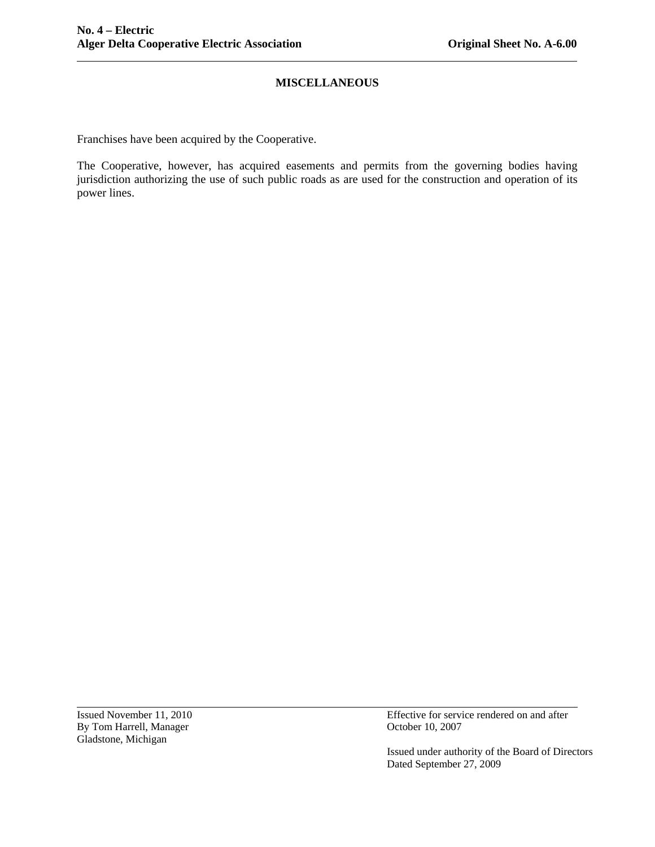### **MISCELLANEOUS**

Franchises have been acquired by the Cooperative.

The Cooperative, however, has acquired easements and permits from the governing bodies having jurisdiction authorizing the use of such public roads as are used for the construction and operation of its power lines.

Issued November 11, 2010<br>By Tom Harrell, Manager endered on and after October 10, 2007

Issued under authority of the Board of Directors Dated September 27, 2009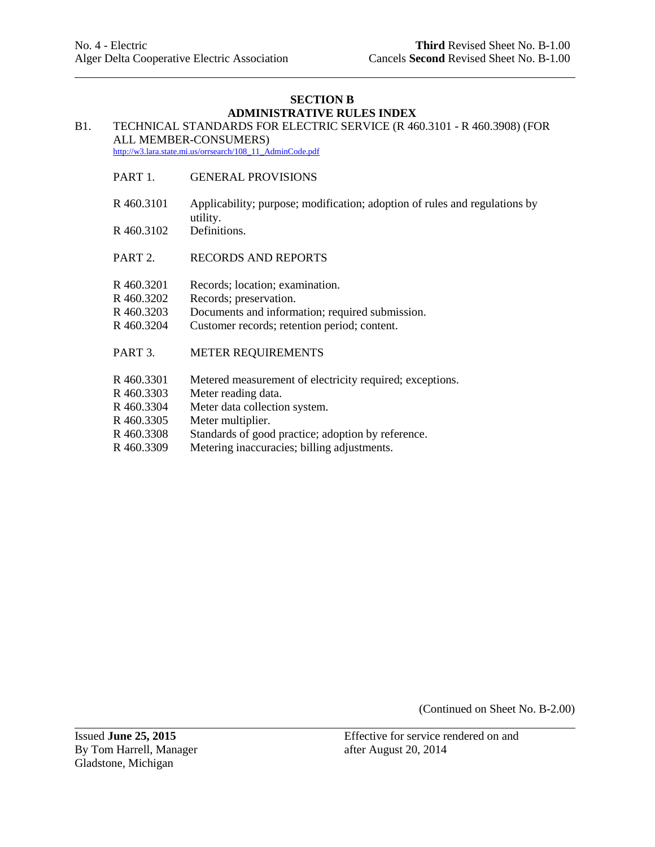### **SECTION B ADMINISTRATIVE RULES INDEX**

### B1. TECHNICAL STANDARDS FOR ELECTRIC SERVICE (R 460.3101 - R 460.3908) (FOR ALL MEMBER-CONSUMERS) http://w3.lara.state.mi.us/orrsearch/108\_11\_AdminCode.pdf

PART 1. GENERAL PROVISIONS

- R 460.3101 Applicability; purpose; modification; adoption of rules and regulations by utility.
- R 460.3102 Definitions.

### PART 2. RECORDS AND REPORTS

- R 460.3201 Records; location; examination.
- R 460.3202 Records; preservation.
- R 460.3203 Documents and information; required submission.
- R 460.3204 Customer records; retention period; content.

### PART 3. METER REQUIREMENTS

- R 460.3301 Metered measurement of electricity required; exceptions.
- R 460.3303 Meter reading data.
- R 460.3304 Meter data collection system.
- R 460.3305 Meter multiplier.
- R 460.3308 Standards of good practice; adoption by reference.
- R 460.3309 Metering inaccuracies; billing adjustments.

(Continued on Sheet No. B-2.00)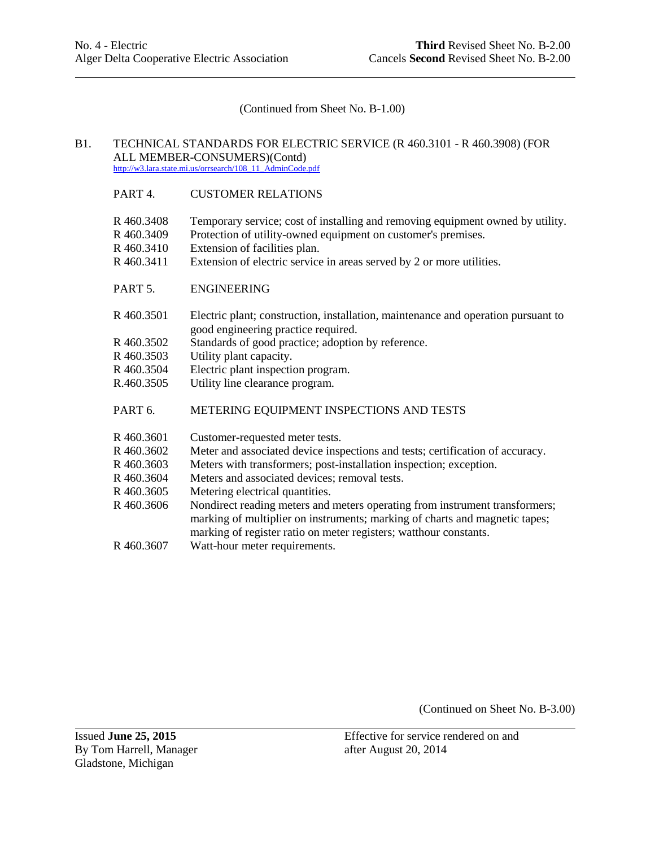(Continued from Sheet No. B-1.00)

### B1. TECHNICAL STANDARDS FOR ELECTRIC SERVICE (R 460.3101 - R 460.3908) (FOR ALL MEMBER-CONSUMERS)(Contd) http://w3.lara.state.mi.us/orrsearch/108\_11\_AdminCode.pdf

### PART 4. CUSTOMER RELATIONS

- R 460.3408 Temporary service; cost of installing and removing equipment owned by utility.
- R 460.3409 Protection of utility-owned equipment on customer's premises.
- R 460.3410 Extension of facilities plan.
- R 460.3411 Extension of electric service in areas served by 2 or more utilities.
- PART 5. ENGINEERING
- R 460.3501 Electric plant; construction, installation, maintenance and operation pursuant to good engineering practice required.
- R 460.3502 Standards of good practice; adoption by reference.
- R 460.3503 Utility plant capacity.
- R 460.3504 Electric plant inspection program.
- R.460.3505 Utility line clearance program.

### PART 6. METERING EQUIPMENT INSPECTIONS AND TESTS

- R 460.3601 Customer-requested meter tests.
- R 460.3602 Meter and associated device inspections and tests; certification of accuracy.
- R 460.3603 Meters with transformers; post-installation inspection; exception.
- R 460.3604 Meters and associated devices; removal tests.
- R 460.3605 Metering electrical quantities.
- R 460.3606 Nondirect reading meters and meters operating from instrument transformers; marking of multiplier on instruments; marking of charts and magnetic tapes; marking of register ratio on meter registers; watthour constants.
- R 460.3607 Watt-hour meter requirements.

(Continued on Sheet No. B-3.00)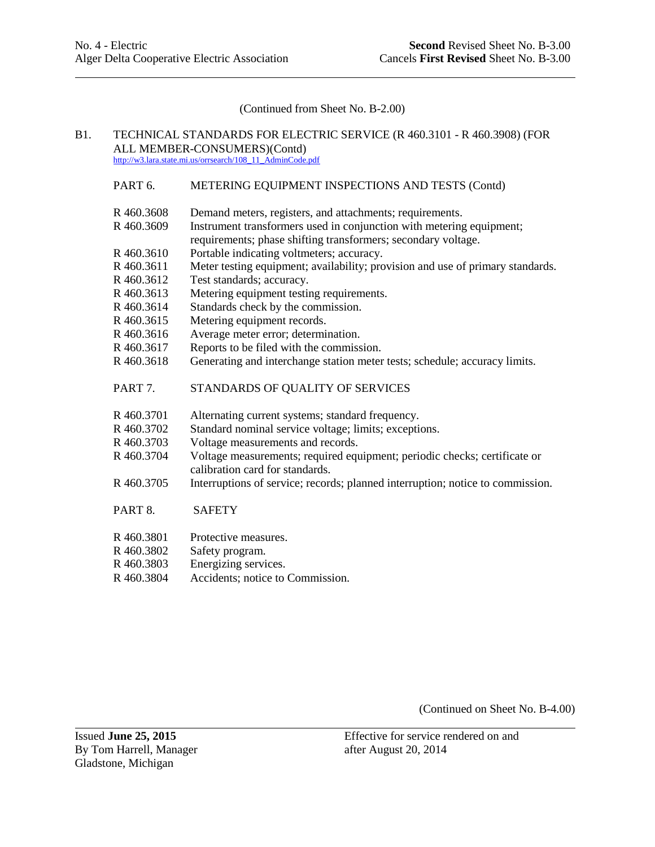(Continued from Sheet No. B-2.00)

## B1. TECHNICAL STANDARDS FOR ELECTRIC SERVICE (R 460.3101 - R 460.3908) (FOR ALL MEMBER-CONSUMERS)(Contd)

http://w3.lara.state.mi.us/orrsearch/108\_11\_AdminCode.pdf

### PART 6. METERING EQUIPMENT INSPECTIONS AND TESTS (Contd)

- R 460.3608 Demand meters, registers, and attachments; requirements.
- R 460.3609 Instrument transformers used in conjunction with metering equipment; requirements; phase shifting transformers; secondary voltage.
- R 460.3610 Portable indicating voltmeters; accuracy.
- R 460.3611 Meter testing equipment; availability; provision and use of primary standards.
- R 460.3612 Test standards; accuracy.
- R 460.3613 Metering equipment testing requirements.
- R 460.3614 Standards check by the commission.
- R 460.3615 Metering equipment records.
- R 460.3616 Average meter error; determination.
- R 460.3617 Reports to be filed with the commission.
- R 460.3618 Generating and interchange station meter tests; schedule; accuracy limits.

### PART 7. STANDARDS OF QUALITY OF SERVICES

- R 460.3701 Alternating current systems; standard frequency.
- R 460.3702 Standard nominal service voltage; limits; exceptions.
- R 460.3703 Voltage measurements and records.
- R 460.3704 Voltage measurements; required equipment; periodic checks; certificate or calibration card for standards.
- R 460.3705 Interruptions of service; records; planned interruption; notice to commission.
- PART 8. SAFETY
- R 460.3801 Protective measures.
- R 460.3802 Safety program.
- R 460.3803 Energizing services.
- R 460.3804 Accidents; notice to Commission.

(Continued on Sheet No. B-4.00)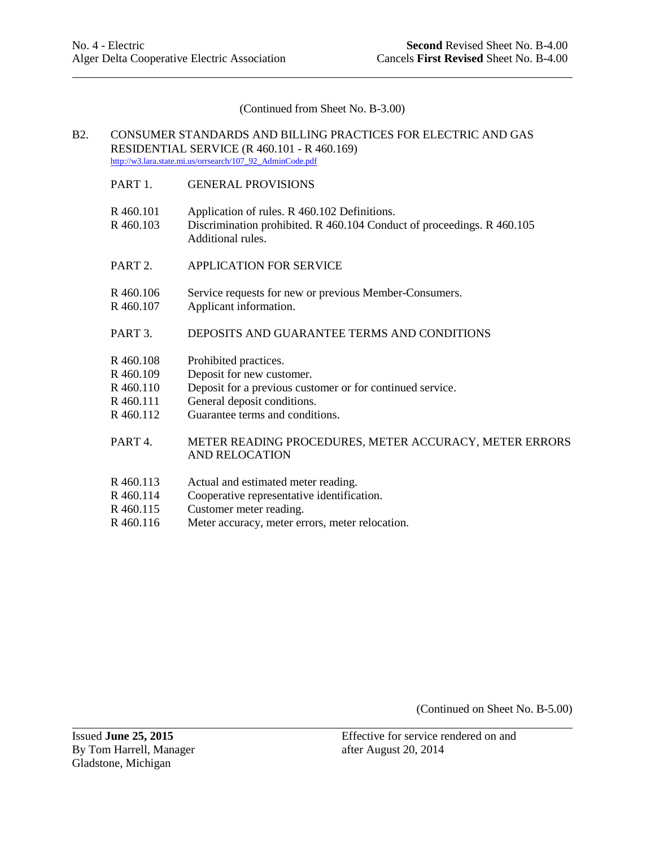### (Continued from Sheet No. B-3.00)

### B2. CONSUMER STANDARDS AND BILLING PRACTICES FOR ELECTRIC AND GAS RESIDENTIAL SERVICE (R 460.101 - R 460.169) http://w3.lara.state.mi.us/orrsearch/107\_92\_AdminCode.pdf

| R 460.101<br>R 460.103 | Application of rules. R 460.102 Definitions.<br>Discrimination prohibited. R 460.104 Conduct of proceedings. R 460.105<br>Additional rules. |
|------------------------|---------------------------------------------------------------------------------------------------------------------------------------------|
| PART <sub>2</sub> .    | APPLICATION FOR SERVICE                                                                                                                     |
| R 460.106<br>R 460.107 | Service requests for new or previous Member-Consumers.<br>Applicant information.                                                            |
| PART 3.                | DEPOSITS AND GUARANTEE TERMS AND CONDITIONS                                                                                                 |
| R 460.108              | Prohibited practices.                                                                                                                       |
| R 460.109              | Deposit for new customer.                                                                                                                   |
| R 460.110              | Deposit for a previous customer or for continued service.                                                                                   |
| R 460.111              | General deposit conditions.                                                                                                                 |
| R 460.112              | Guarantee terms and conditions.                                                                                                             |
| PART <sub>4</sub> .    | METER READING PROCEDURES, METER ACCURACY, METER ERRORS<br><b>AND RELOCATION</b>                                                             |
| R 460.113              | Actual and estimated meter reading.                                                                                                         |
| R 460.114              | Cooperative representative identification.                                                                                                  |
| R 460.115              | Customer meter reading.                                                                                                                     |

R 460.116 Meter accuracy, meter errors, meter relocation.

(Continued on Sheet No. B-5.00)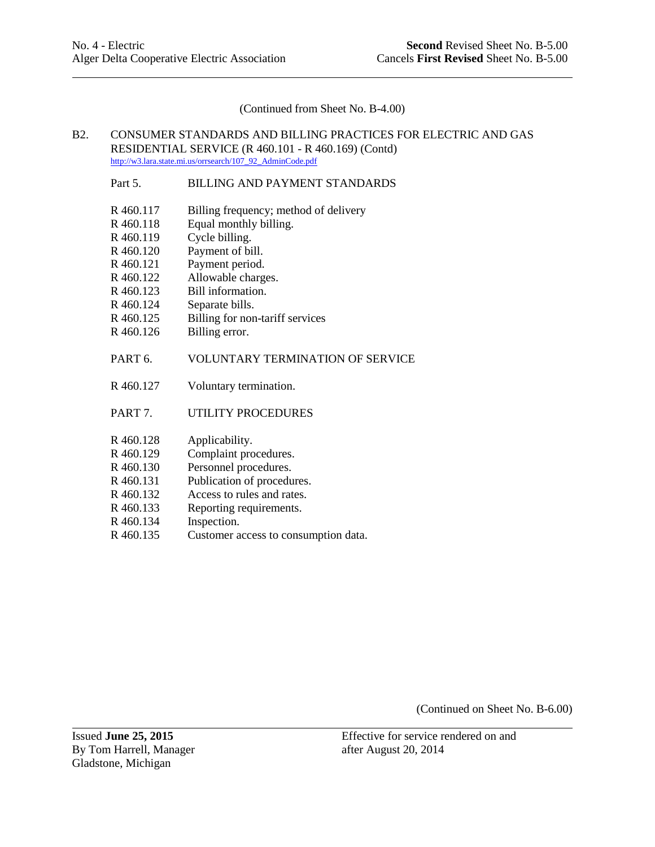### (Continued from Sheet No. B-4.00)

### B2. CONSUMER STANDARDS AND BILLING PRACTICES FOR ELECTRIC AND GAS RESIDENTIAL SERVICE (R 460.101 - R 460.169) (Contd) http://w3.lara.state.mi.us/orrsearch/107\_92\_AdminCode.pdf

### Part 5. BILLING AND PAYMENT STANDARDS

- R 460.117 Billing frequency; method of delivery
- R 460.118 Equal monthly billing.
- R 460.119 Cycle billing.
- R 460.120 Payment of bill.
- R 460.121 Payment period.
- R 460.122 Allowable charges.
- R 460.123 Bill information.
- R 460.124 Separate bills.
- R 460.125 Billing for non-tariff services
- R 460.126 Billing error.

### PART 6. VOLUNTARY TERMINATION OF SERVICE

- R 460.127 Voluntary termination.
- PART 7. UTILITY PROCEDURES
- R 460.128 Applicability.
- R 460.129 Complaint procedures.
- R 460.130 Personnel procedures.
- R 460.131 Publication of procedures.
- R 460.132 Access to rules and rates.
- R 460.133 Reporting requirements.
- R 460.134 Inspection.
- R 460.135 Customer access to consumption data.

(Continued on Sheet No. B-6.00)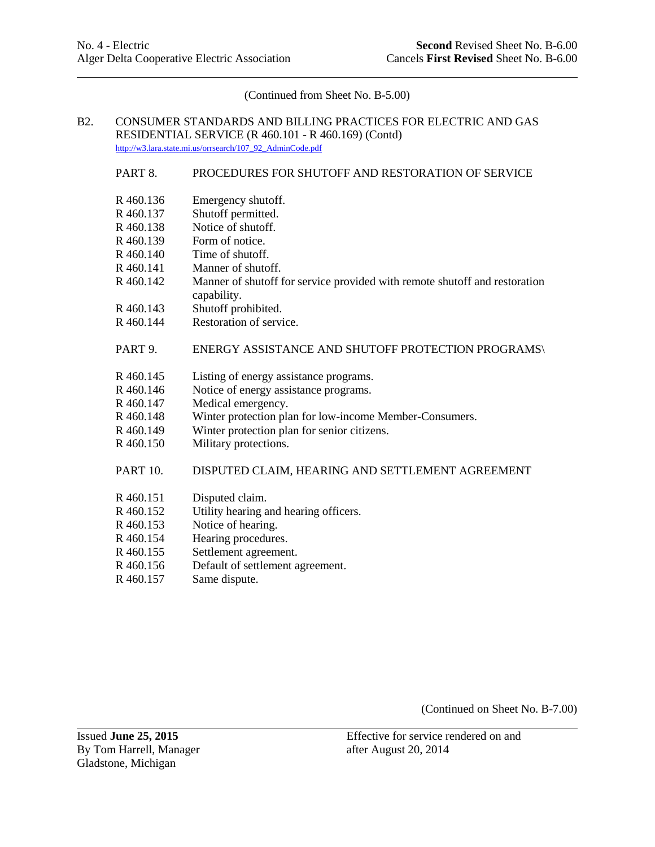(Continued from Sheet No. B-5.00)

### B2. CONSUMER STANDARDS AND BILLING PRACTICES FOR ELECTRIC AND GAS RESIDENTIAL SERVICE (R 460.101 - R 460.169) (Contd) http://w3.lara.state.mi.us/orrsearch/107\_92\_AdminCode.pdf

### PART 8. PROCEDURES FOR SHUTOFF AND RESTORATION OF SERVICE

- R 460.136 Emergency shutoff.
- R 460.137 Shutoff permitted.
- R 460.138 Notice of shutoff.
- R 460.139 Form of notice.
- R 460.140 Time of shutoff.
- R 460.141 Manner of shutoff.
- R 460.142 Manner of shutoff for service provided with remote shutoff and restoration capability.
- R 460.143 Shutoff prohibited.
- R 460.144 Restoration of service.

### PART 9. ENERGY ASSISTANCE AND SHUTOFF PROTECTION PROGRAMS\

- R 460.145 Listing of energy assistance programs.
- R 460.146 Notice of energy assistance programs.
- R 460.147 Medical emergency.
- R 460.148 Winter protection plan for low-income Member-Consumers.
- R 460.149 Winter protection plan for senior citizens.
- R 460.150 Military protections.

### PART 10. DISPUTED CLAIM, HEARING AND SETTLEMENT AGREEMENT

- R 460.151 Disputed claim.
- R 460.152 Utility hearing and hearing officers.
- R 460.153 Notice of hearing.
- R 460.154 Hearing procedures.
- R 460.155 Settlement agreement.
- R 460.156 Default of settlement agreement.
- R 460.157 Same dispute.

(Continued on Sheet No. B-7.00)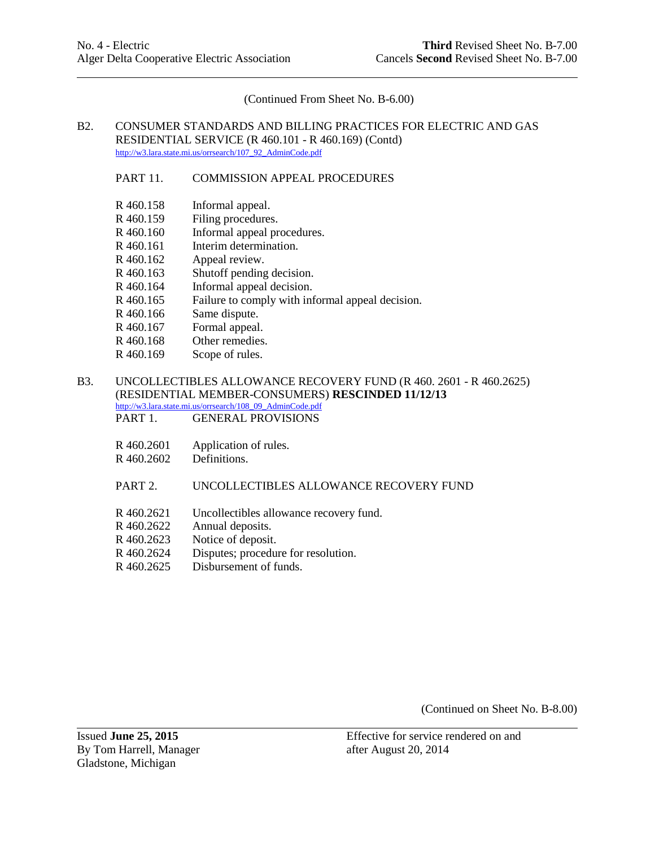### (Continued From Sheet No. B-6.00)

### B2. CONSUMER STANDARDS AND BILLING PRACTICES FOR ELECTRIC AND GAS RESIDENTIAL SERVICE (R 460.101 - R 460.169) (Contd) http://w3.lara.state.mi.us/orrsearch/107\_92\_AdminCode.pdf

### PART 11. COMMISSION APPEAL PROCEDURES

- R 460.158 Informal appeal.
- R 460.159 Filing procedures.
- R 460.160 Informal appeal procedures.
- R 460.161 Interim determination.
- R 460.162 Appeal review.
- R 460.163 Shutoff pending decision.
- R 460.164 Informal appeal decision.
- R 460.165 Failure to comply with informal appeal decision.
- R 460.166 Same dispute.
- R 460.167 Formal appeal.
- R 460.168 Other remedies.
- R 460.169 Scope of rules.

B3. UNCOLLECTIBLES ALLOWANCE RECOVERY FUND (R 460. 2601 - R 460.2625) (RESIDENTIAL MEMBER-CONSUMERS) **RESCINDED 11/12/13** http://w3.lara.state.mi.us/orrsearch/108\_09\_AdminCode.pdf<br>PART 1. GENERAL PROVISIONS **GENERAL PROVISIONS** 

- R 460.2601 Application of rules.
- R 460.2602 Definitions.

### PART 2. UNCOLLECTIBLES ALLOWANCE RECOVERY FUND

- R 460.2621 Uncollectibles allowance recovery fund.
- R 460.2622 Annual deposits.
- R 460.2623 Notice of deposit.
- R 460.2624 Disputes; procedure for resolution.
- R 460.2625 Disbursement of funds.

(Continued on Sheet No. B-8.00)

By Tom Harrell, Manager after August 20, 2014 Gladstone, Michigan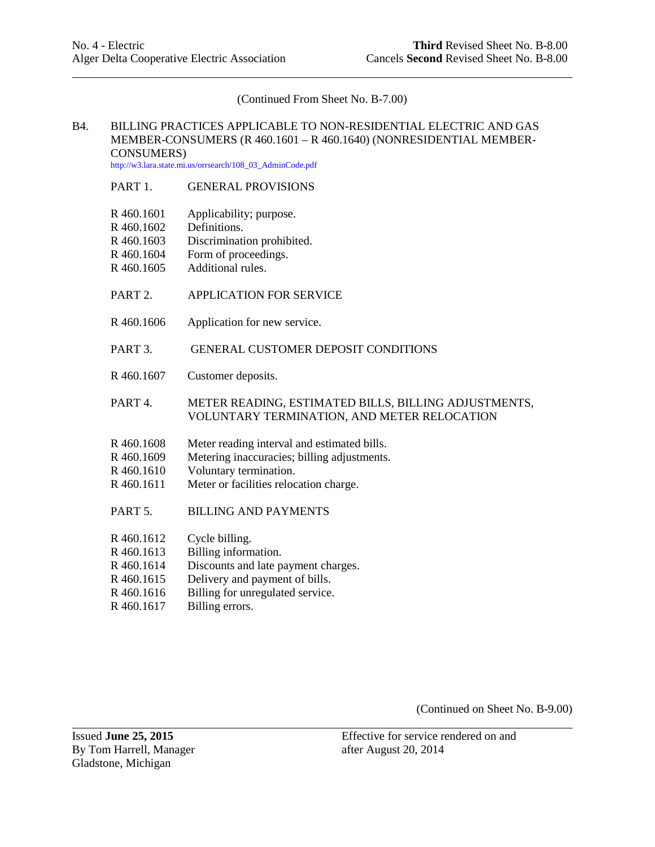(Continued From Sheet No. B-7.00)

### B4. BILLING PRACTICES APPLICABLE TO NON-RESIDENTIAL ELECTRIC AND GAS MEMBER-CONSUMERS (R 460.1601 – R 460.1640) (NONRESIDENTIAL MEMBER-CONSUMERS)

http://w3.lara.state.mi.us/orrsearch/108\_03\_AdminCode.pdf

### PART 1. GENERAL PROVISIONS

- R 460.1601 Applicability; purpose.
- R 460.1602 Definitions.
- R 460.1603 Discrimination prohibited.
- R 460.1604 Form of proceedings.
- R 460.1605 Additional rules.
- PART 2. APPLICATION FOR SERVICE
- R 460.1606 Application for new service.
- PART 3. GENERAL CUSTOMER DEPOSIT CONDITIONS
- R 460.1607 Customer deposits.

PART 4. METER READING, ESTIMATED BILLS, BILLING ADJUSTMENTS, VOLUNTARY TERMINATION, AND METER RELOCATION

- R 460.1608 Meter reading interval and estimated bills.
- R 460.1609 Metering inaccuracies; billing adjustments.
- R 460.1610 Voluntary termination.
- R 460.1611 Meter or facilities relocation charge.
- PART 5. BILLING AND PAYMENTS
- R 460.1612 Cycle billing.
- R 460.1613 Billing information.
- R 460.1614 Discounts and late payment charges.
- R 460.1615 Delivery and payment of bills.
- R 460.1616 Billing for unregulated service.
- R 460.1617 Billing errors.

(Continued on Sheet No. B-9.00)

By Tom Harrell, Manager after August 20, 2014 Gladstone, Michigan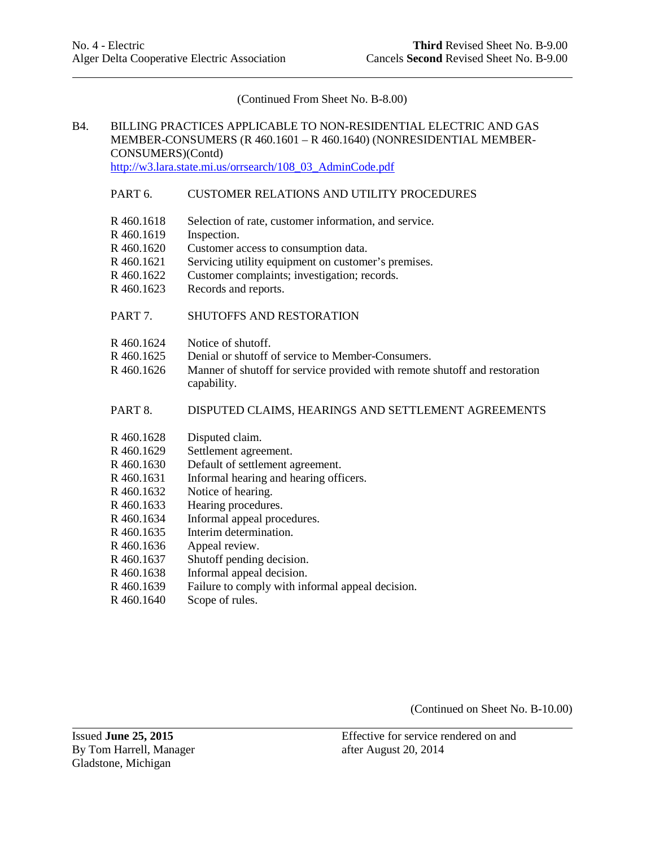### (Continued From Sheet No. B-8.00)

### B4. BILLING PRACTICES APPLICABLE TO NON-RESIDENTIAL ELECTRIC AND GAS MEMBER-CONSUMERS (R 460.1601 – R 460.1640) (NONRESIDENTIAL MEMBER-CONSUMERS)(Contd)

http://w3.lara.state.mi.us/orrsearch/108\_03\_AdminCode.pdf

### PART 6. CUSTOMER RELATIONS AND UTILITY PROCEDURES

- R 460.1618 Selection of rate, customer information, and service.
- R 460.1619 Inspection.
- R 460.1620 Customer access to consumption data.
- R 460.1621 Servicing utility equipment on customer's premises.
- R 460.1622 Customer complaints; investigation; records.
- R 460.1623 Records and reports.

### PART 7. SHUTOFFS AND RESTORATION

- R 460.1624 Notice of shutoff.
- R 460.1625 Denial or shutoff of service to Member-Consumers.
- R 460.1626 Manner of shutoff for service provided with remote shutoff and restoration capability.

### PART 8. DISPUTED CLAIMS, HEARINGS AND SETTLEMENT AGREEMENTS

- R 460.1628 Disputed claim.
- R 460.1629 Settlement agreement.
- R 460.1630 Default of settlement agreement.
- R 460.1631 Informal hearing and hearing officers.
- R 460.1632 Notice of hearing.
- R 460.1633 Hearing procedures.
- R 460.1634 Informal appeal procedures.
- R 460.1635 Interim determination.
- R 460.1636 Appeal review.
- R 460.1637 Shutoff pending decision.
- R 460.1638 Informal appeal decision.
- R 460.1639 Failure to comply with informal appeal decision.
- R 460.1640 Scope of rules.

(Continued on Sheet No. B-10.00)

By Tom Harrell, Manager after August 20, 2014 Gladstone, Michigan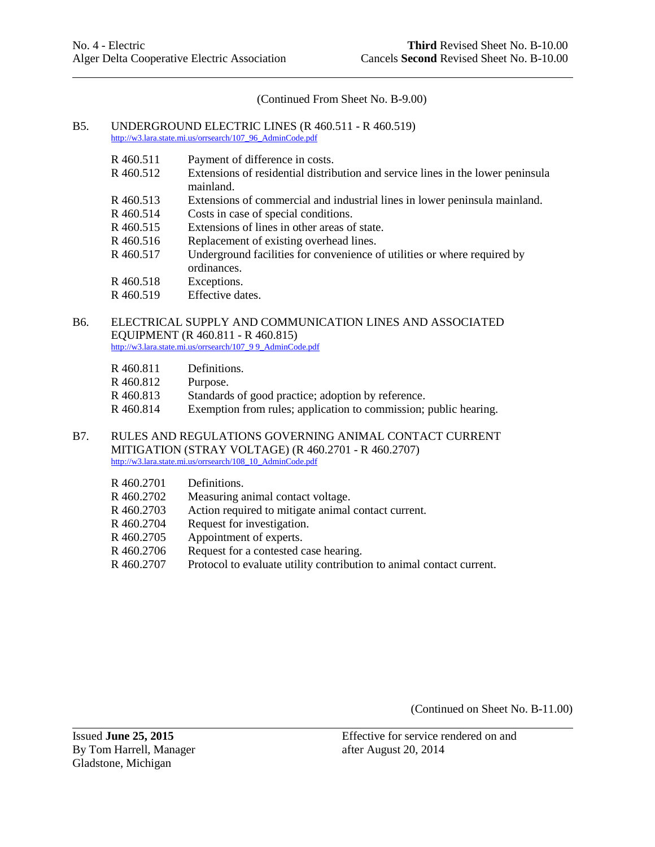(Continued From Sheet No. B-9.00)

### B5. UNDERGROUND ELECTRIC LINES (R 460.511 - R 460.519) http://w3.lara.state.mi.us/orrsearch/107\_96\_AdminCode.pdf

- R 460.511 Payment of difference in costs.
- R 460.512 Extensions of residential distribution and service lines in the lower peninsula mainland.
- R 460.513 Extensions of commercial and industrial lines in lower peninsula mainland.
- R 460.514 Costs in case of special conditions.
- R 460.515 Extensions of lines in other areas of state.
- R 460.516 Replacement of existing overhead lines.
- R 460.517 Underground facilities for convenience of utilities or where required by ordinances.
- R 460.518 Exceptions.
- R 460.519 Effective dates.

### B6. ELECTRICAL SUPPLY AND COMMUNICATION LINES AND ASSOCIATED EQUIPMENT (R 460.811 - R 460.815) http://w3.lara.state.mi.us/orrsearch/107\_9 9\_AdminCode.pdf

- R 460.811 Definitions.
- R 460.812 Purpose.
- R 460.813 Standards of good practice; adoption by reference.
- R 460.814 Exemption from rules; application to commission; public hearing.

### B7. RULES AND REGULATIONS GOVERNING ANIMAL CONTACT CURRENT MITIGATION (STRAY VOLTAGE) (R 460.2701 - R 460.2707) http://w3.lara.state.mi.us/orrsearch/108\_10\_AdminCode.pdf

| R 460.2701 | Definitions.                                                         |
|------------|----------------------------------------------------------------------|
| R 460.2702 | Measuring animal contact voltage.                                    |
| R 460.2703 | Action required to mitigate animal contact current.                  |
| R 460.2704 | Request for investigation.                                           |
| R 460.2705 | Appointment of experts.                                              |
| R 460.2706 | Request for a contested case hearing.                                |
| R 460.2707 | Protocol to evaluate utility contribution to animal contact current. |

(Continued on Sheet No. B-11.00)

By Tom Harrell, Manager after August 20, 2014 Gladstone, Michigan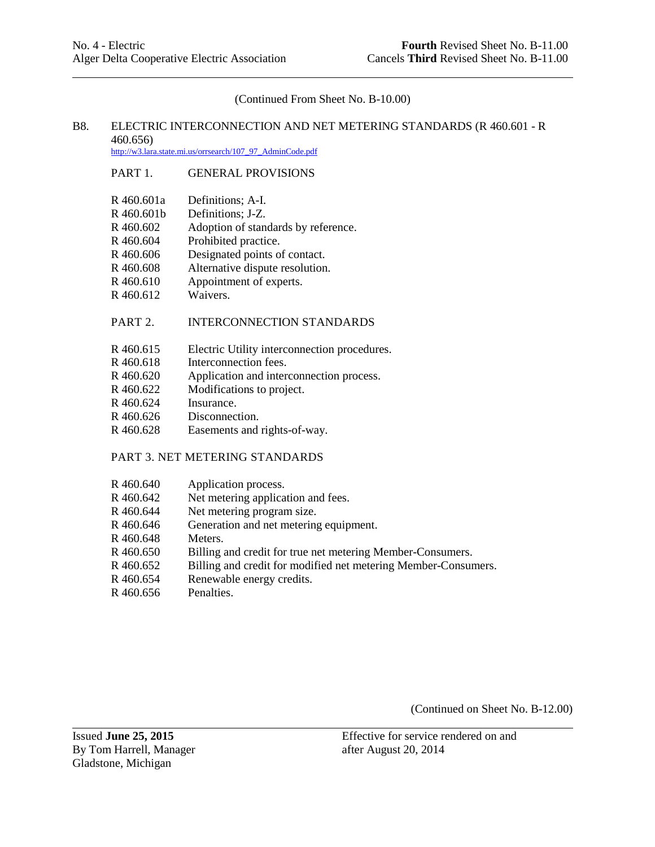### (Continued From Sheet No. B-10.00)

### B8. ELECTRIC INTERCONNECTION AND NET METERING STANDARDS (R 460.601 - R 460.656)

http://w3.lara.state.mi.us/orrsearch/107\_97\_AdminCode.pdf

### PART 1. GENERAL PROVISIONS

| R 460.601a | Definitions; A-I.                   |
|------------|-------------------------------------|
| R 460.601b | Definitions; J-Z.                   |
| R 460.602  | Adoption of standards by reference. |
| R 460.604  | Prohibited practice.                |
| R 460.606  | Designated points of contact.       |
| R 460.608  | Alternative dispute resolution.     |
| R 460.610  | Appointment of experts.             |
|            |                                     |

R 460.612 Waivers.

### PART 2. INTERCONNECTION STANDARDS

- R 460.615 Electric Utility interconnection procedures.
- R 460.618 Interconnection fees.
- R 460.620 Application and interconnection process.
- R 460.622 Modifications to project.
- R 460.624 Insurance.
- R 460.626 Disconnection.
- R 460.628 Easements and rights-of-way.

### PART 3. NET METERING STANDARDS

| R 460.640 | Application process.                                           |
|-----------|----------------------------------------------------------------|
| R 460.642 | Net metering application and fees.                             |
| R 460.644 | Net metering program size.                                     |
| R 460.646 | Generation and net metering equipment.                         |
| R 460.648 | Meters.                                                        |
| R 460.650 | Billing and credit for true net metering Member-Consumers.     |
| R 460.652 | Billing and credit for modified net metering Member-Consumers. |
| R 460.654 | Renewable energy credits.                                      |
| R 460.656 | Penalties.                                                     |

(Continued on Sheet No. B-12.00)

By Tom Harrell, Manager after August 20, 2014 Gladstone, Michigan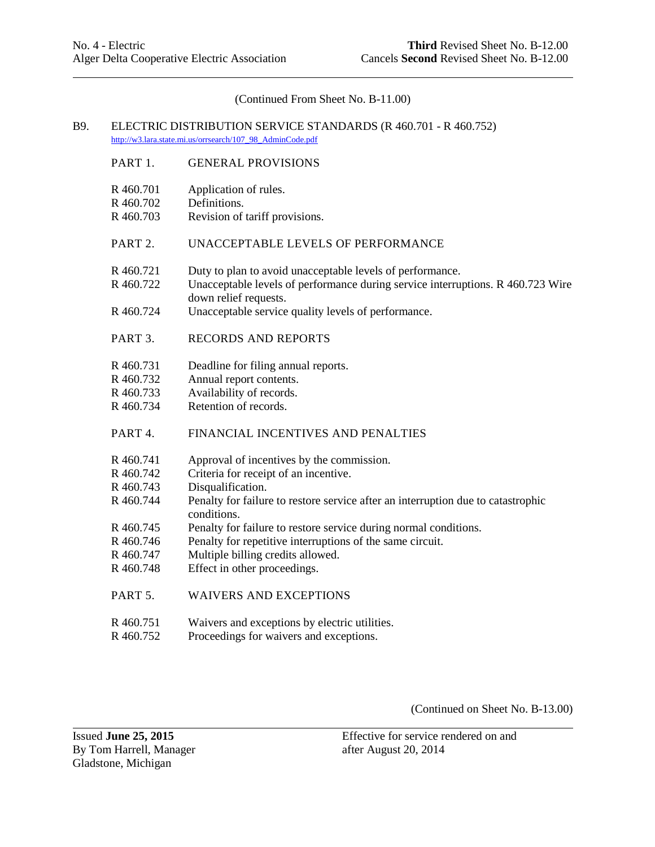### (Continued From Sheet No. B-11.00)

### B9. ELECTRIC DISTRIBUTION SERVICE STANDARDS (R 460.701 - R 460.752) http://w3.lara.state.mi.us/orrsearch/107\_98\_AdminCode.pdf

| PART 1.   | <b>GENERAL PROVISIONS</b>                                                                                |
|-----------|----------------------------------------------------------------------------------------------------------|
| R 460.701 | Application of rules.                                                                                    |
| R 460.702 | Definitions.                                                                                             |
| R 460.703 | Revision of tariff provisions.                                                                           |
| PART 2.   | UNACCEPTABLE LEVELS OF PERFORMANCE                                                                       |
| R 460.721 | Duty to plan to avoid unacceptable levels of performance.                                                |
| R 460.722 | Unacceptable levels of performance during service interruptions. R 460.723 Wire<br>down relief requests. |
| R 460.724 | Unacceptable service quality levels of performance.                                                      |
| PART 3.   | <b>RECORDS AND REPORTS</b>                                                                               |
| R 460.731 | Deadline for filing annual reports.                                                                      |
| R 460.732 | Annual report contents.                                                                                  |
| R 460.733 | Availability of records.                                                                                 |
| R 460.734 | Retention of records.                                                                                    |
| PART 4.   | FINANCIAL INCENTIVES AND PENALTIES                                                                       |
| R 460.741 | Approval of incentives by the commission.                                                                |
| R 460.742 | Criteria for receipt of an incentive.                                                                    |
| R 460.743 | Disqualification.                                                                                        |
| R 460.744 | Penalty for failure to restore service after an interruption due to catastrophic<br>conditions.          |
| R 460.745 | Penalty for failure to restore service during normal conditions.                                         |
| R 460.746 | Penalty for repetitive interruptions of the same circuit.                                                |
| R 460.747 | Multiple billing credits allowed.                                                                        |
| R 460.748 | Effect in other proceedings.                                                                             |
| PART 5.   | <b>WAIVERS AND EXCEPTIONS</b>                                                                            |
| R 460.751 | Waivers and exceptions by electric utilities.                                                            |
| R 460.752 | Proceedings for waivers and exceptions.                                                                  |

(Continued on Sheet No. B-13.00)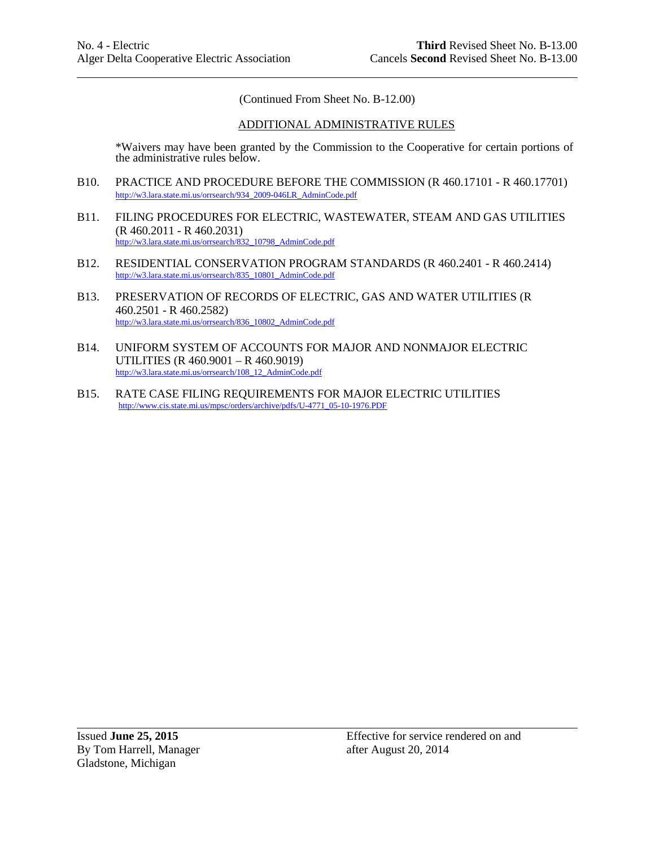(Continued From Sheet No. B-12.00)

### ADDITIONAL ADMINISTRATIVE RULES

\*Waivers may have been granted by the Commission to the Cooperative for certain portions of the administrative rules below.

- B10. PRACTICE AND PROCEDURE BEFORE THE COMMISSION (R 460.17101 R 460.17701) http://w3.lara.state.mi.us/orrsearch/934\_2009-046LR\_AdminCode.pdf
- B11. FILING PROCEDURES FOR ELECTRIC, WASTEWATER, STEAM AND GAS UTILITIES (R 460.2011 - R 460.2031) http://w3.lara.state.mi.us/orrsearch/832\_10798\_AdminCode.pdf
- B12. RESIDENTIAL CONSERVATION PROGRAM STANDARDS (R 460.2401 R 460.2414) http://w3.lara.state.mi.us/orrsearch/835\_10801\_AdminCode.pdf
- B13. PRESERVATION OF RECORDS OF ELECTRIC, GAS AND WATER UTILITIES (R 460.2501 - R 460.2582) http://w3.lara.state.mi.us/orrsearch/836\_10802\_AdminCode.pdf
- B14. UNIFORM SYSTEM OF ACCOUNTS FOR MAJOR AND NONMAJOR ELECTRIC UTILITIES (R 460.9001 – R 460.9019) http://w3.lara.state.mi.us/orrsearch/108\_12\_AdminCode.pdf
- B15. RATE CASE FILING REQUIREMENTS FOR MAJOR ELECTRIC UTILITIES http://www.cis.state.mi.us/mpsc/orders/archive/pdfs/U-4771\_05-10-1976.PDF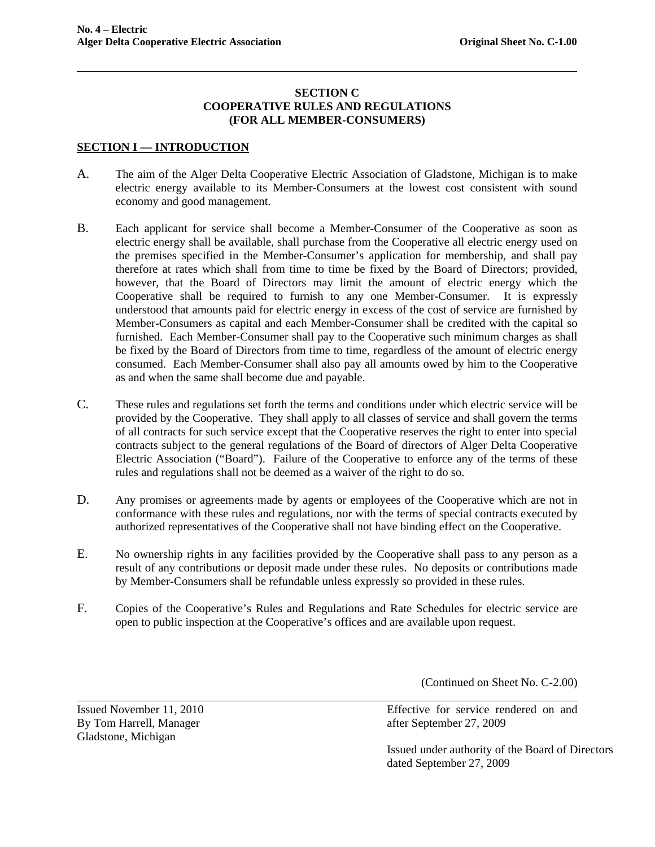### **SECTION C COOPERATIVE RULES AND REGULATIONS (FOR ALL MEMBER-CONSUMERS)**

### **SECTION I — INTRODUCTION**

- A. The aim of the Alger Delta Cooperative Electric Association of Gladstone, Michigan is to make electric energy available to its Member-Consumers at the lowest cost consistent with sound economy and good management.
- B. Each applicant for service shall become a Member-Consumer of the Cooperative as soon as electric energy shall be available, shall purchase from the Cooperative all electric energy used on the premises specified in the Member-Consumer's application for membership, and shall pay therefore at rates which shall from time to time be fixed by the Board of Directors; provided, however, that the Board of Directors may limit the amount of electric energy which the Cooperative shall be required to furnish to any one Member-Consumer. It is expressly understood that amounts paid for electric energy in excess of the cost of service are furnished by Member-Consumers as capital and each Member-Consumer shall be credited with the capital so furnished. Each Member-Consumer shall pay to the Cooperative such minimum charges as shall be fixed by the Board of Directors from time to time, regardless of the amount of electric energy consumed. Each Member-Consumer shall also pay all amounts owed by him to the Cooperative as and when the same shall become due and payable.
- C. These rules and regulations set forth the terms and conditions under which electric service will be provided by the Cooperative. They shall apply to all classes of service and shall govern the terms of all contracts for such service except that the Cooperative reserves the right to enter into special contracts subject to the general regulations of the Board of directors of Alger Delta Cooperative Electric Association ("Board"). Failure of the Cooperative to enforce any of the terms of these rules and regulations shall not be deemed as a waiver of the right to do so.
- D. Any promises or agreements made by agents or employees of the Cooperative which are not in conformance with these rules and regulations, nor with the terms of special contracts executed by authorized representatives of the Cooperative shall not have binding effect on the Cooperative.
- E. No ownership rights in any facilities provided by the Cooperative shall pass to any person as a result of any contributions or deposit made under these rules. No deposits or contributions made by Member-Consumers shall be refundable unless expressly so provided in these rules.
- F. Copies of the Cooperative's Rules and Regulations and Rate Schedules for electric service are open to public inspection at the Cooperative's offices and are available upon request.

(Continued on Sheet No. C-2.00)

By Tom Harrell, Manager after September 27, 2009 Gladstone, Michigan

l

Issued November 11, 2010 Effective for service rendered on and

Issued under authority of the Board of Directors dated September 27, 2009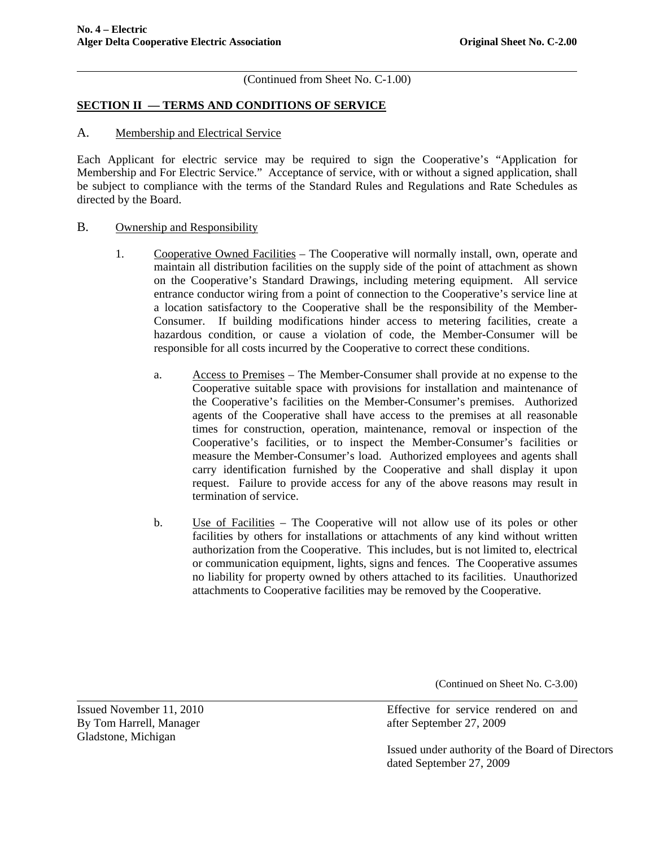(Continued from Sheet No. C-1.00)

### **SECTION II — TERMS AND CONDITIONS OF SERVICE**

### A. Membership and Electrical Service

Each Applicant for electric service may be required to sign the Cooperative's "Application for Membership and For Electric Service." Acceptance of service, with or without a signed application, shall be subject to compliance with the terms of the Standard Rules and Regulations and Rate Schedules as directed by the Board.

### B. Ownership and Responsibility

- 1. Cooperative Owned Facilities The Cooperative will normally install, own, operate and maintain all distribution facilities on the supply side of the point of attachment as shown on the Cooperative's Standard Drawings, including metering equipment. All service entrance conductor wiring from a point of connection to the Cooperative's service line at a location satisfactory to the Cooperative shall be the responsibility of the Member-Consumer. If building modifications hinder access to metering facilities, create a hazardous condition, or cause a violation of code, the Member-Consumer will be responsible for all costs incurred by the Cooperative to correct these conditions.
	- a. Access to Premises The Member-Consumer shall provide at no expense to the Cooperative suitable space with provisions for installation and maintenance of the Cooperative's facilities on the Member-Consumer's premises. Authorized agents of the Cooperative shall have access to the premises at all reasonable times for construction, operation, maintenance, removal or inspection of the Cooperative's facilities, or to inspect the Member-Consumer's facilities or measure the Member-Consumer's load. Authorized employees and agents shall carry identification furnished by the Cooperative and shall display it upon request. Failure to provide access for any of the above reasons may result in termination of service.
	- b. Use of Facilities The Cooperative will not allow use of its poles or other facilities by others for installations or attachments of any kind without written authorization from the Cooperative. This includes, but is not limited to, electrical or communication equipment, lights, signs and fences. The Cooperative assumes no liability for property owned by others attached to its facilities. Unauthorized attachments to Cooperative facilities may be removed by the Cooperative.

(Continued on Sheet No. C-3.00)

Issued November 11, 2010 Effective for service rendered on and By Tom Harrell, Manager after September 27, 2009

> Issued under authority of the Board of Directors dated September 27, 2009

Gladstone, Michigan

 $\overline{a}$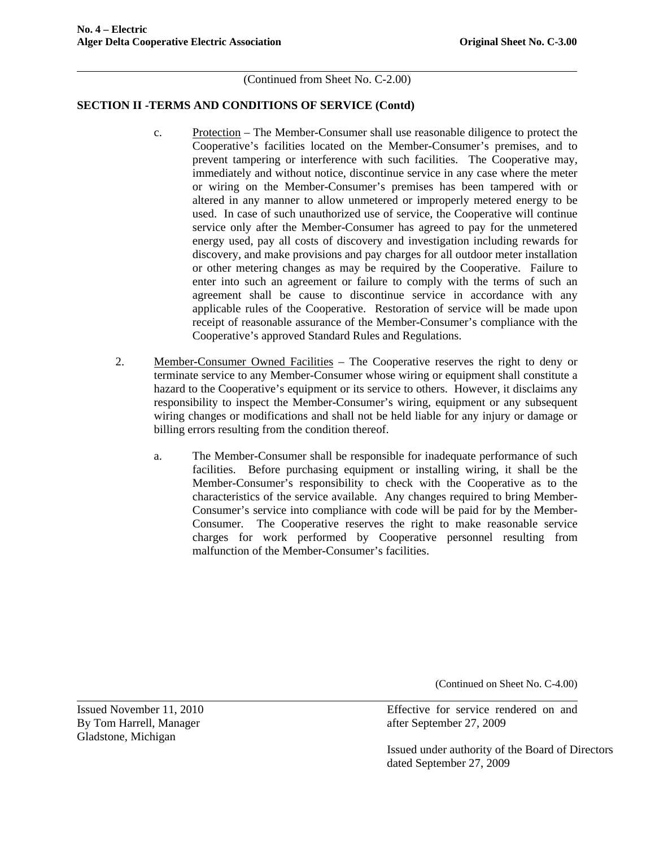(Continued from Sheet No. C-2.00)

### **SECTION II -TERMS AND CONDITIONS OF SERVICE (Contd)**

- c. Protection The Member-Consumer shall use reasonable diligence to protect the Cooperative's facilities located on the Member-Consumer's premises, and to prevent tampering or interference with such facilities. The Cooperative may, immediately and without notice, discontinue service in any case where the meter or wiring on the Member-Consumer's premises has been tampered with or altered in any manner to allow unmetered or improperly metered energy to be used. In case of such unauthorized use of service, the Cooperative will continue service only after the Member-Consumer has agreed to pay for the unmetered energy used, pay all costs of discovery and investigation including rewards for discovery, and make provisions and pay charges for all outdoor meter installation or other metering changes as may be required by the Cooperative. Failure to enter into such an agreement or failure to comply with the terms of such an agreement shall be cause to discontinue service in accordance with any applicable rules of the Cooperative. Restoration of service will be made upon receipt of reasonable assurance of the Member-Consumer's compliance with the Cooperative's approved Standard Rules and Regulations.
- 2. Member-Consumer Owned Facilities The Cooperative reserves the right to deny or terminate service to any Member-Consumer whose wiring or equipment shall constitute a hazard to the Cooperative's equipment or its service to others. However, it disclaims any responsibility to inspect the Member-Consumer's wiring, equipment or any subsequent wiring changes or modifications and shall not be held liable for any injury or damage or billing errors resulting from the condition thereof.
	- a. The Member-Consumer shall be responsible for inadequate performance of such facilities. Before purchasing equipment or installing wiring, it shall be the Member-Consumer's responsibility to check with the Cooperative as to the characteristics of the service available. Any changes required to bring Member-Consumer's service into compliance with code will be paid for by the Member-Consumer. The Cooperative reserves the right to make reasonable service charges for work performed by Cooperative personnel resulting from malfunction of the Member-Consumer's facilities.

(Continued on Sheet No. C-4.00)

Issued November 11, 2010 Effective for service rendered on and

Issued under authority of the Board of Directors dated September 27, 2009

By Tom Harrell, Manager after September 27, 2009 Gladstone, Michigan

 $\overline{a}$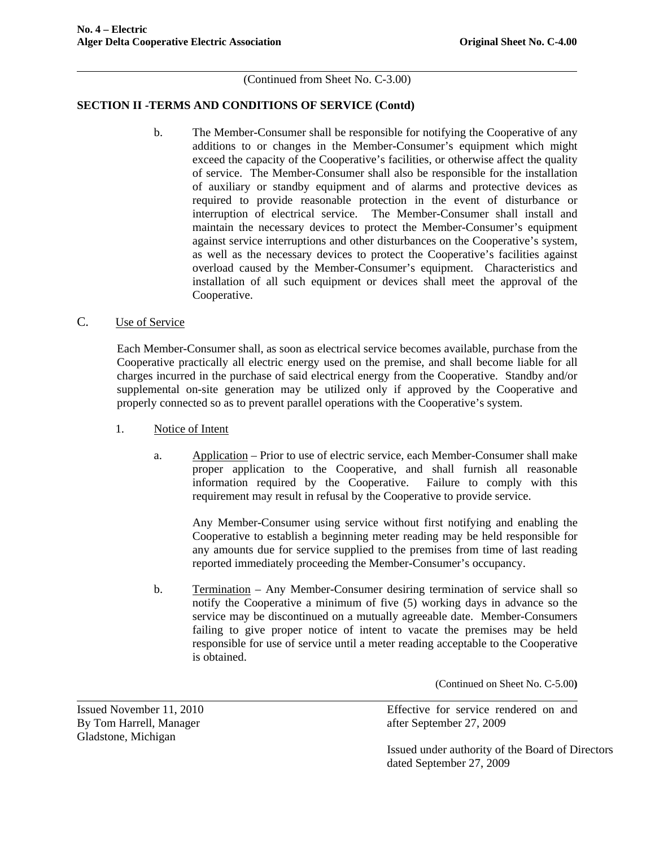(Continued from Sheet No. C-3.00)

### **SECTION II -TERMS AND CONDITIONS OF SERVICE (Contd)**

b. The Member-Consumer shall be responsible for notifying the Cooperative of any additions to or changes in the Member-Consumer's equipment which might exceed the capacity of the Cooperative's facilities, or otherwise affect the quality of service. The Member-Consumer shall also be responsible for the installation of auxiliary or standby equipment and of alarms and protective devices as required to provide reasonable protection in the event of disturbance or interruption of electrical service. The Member-Consumer shall install and maintain the necessary devices to protect the Member-Consumer's equipment against service interruptions and other disturbances on the Cooperative's system, as well as the necessary devices to protect the Cooperative's facilities against overload caused by the Member-Consumer's equipment. Characteristics and installation of all such equipment or devices shall meet the approval of the Cooperative.

### C. Use of Service

Each Member-Consumer shall, as soon as electrical service becomes available, purchase from the Cooperative practically all electric energy used on the premise, and shall become liable for all charges incurred in the purchase of said electrical energy from the Cooperative. Standby and/or supplemental on-site generation may be utilized only if approved by the Cooperative and properly connected so as to prevent parallel operations with the Cooperative's system.

- 1. Notice of Intent
	- a. Application Prior to use of electric service, each Member-Consumer shall make proper application to the Cooperative, and shall furnish all reasonable information required by the Cooperative. Failure to comply with this requirement may result in refusal by the Cooperative to provide service.

Any Member-Consumer using service without first notifying and enabling the Cooperative to establish a beginning meter reading may be held responsible for any amounts due for service supplied to the premises from time of last reading reported immediately proceeding the Member-Consumer's occupancy.

b. Termination – Any Member-Consumer desiring termination of service shall so notify the Cooperative a minimum of five (5) working days in advance so the service may be discontinued on a mutually agreeable date. Member-Consumers failing to give proper notice of intent to vacate the premises may be held responsible for use of service until a meter reading acceptable to the Cooperative is obtained.

(Continued on Sheet No. C-5.00**)**

By Tom Harrell, Manager after September 27, 2009 Gladstone, Michigan

 $\overline{a}$ 

Issued November 11, 2010 Effective for service rendered on and

Issued under authority of the Board of Directors dated September 27, 2009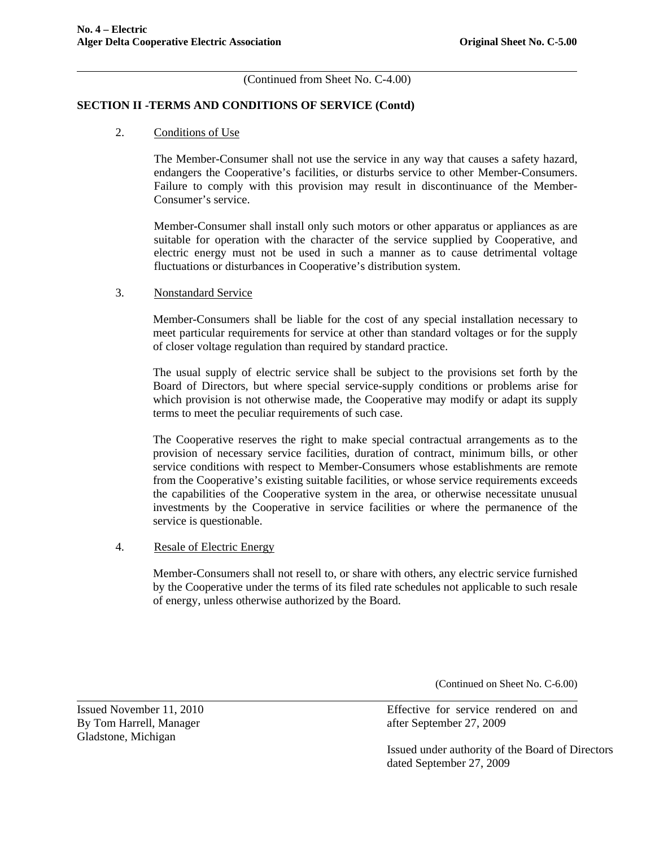(Continued from Sheet No. C-4.00)

### **SECTION II -TERMS AND CONDITIONS OF SERVICE (Contd)**

### 2. Conditions of Use

The Member-Consumer shall not use the service in any way that causes a safety hazard, endangers the Cooperative's facilities, or disturbs service to other Member-Consumers. Failure to comply with this provision may result in discontinuance of the Member-Consumer's service.

Member-Consumer shall install only such motors or other apparatus or appliances as are suitable for operation with the character of the service supplied by Cooperative, and electric energy must not be used in such a manner as to cause detrimental voltage fluctuations or disturbances in Cooperative's distribution system.

### 3. Nonstandard Service

Member-Consumers shall be liable for the cost of any special installation necessary to meet particular requirements for service at other than standard voltages or for the supply of closer voltage regulation than required by standard practice.

The usual supply of electric service shall be subject to the provisions set forth by the Board of Directors, but where special service-supply conditions or problems arise for which provision is not otherwise made, the Cooperative may modify or adapt its supply terms to meet the peculiar requirements of such case.

The Cooperative reserves the right to make special contractual arrangements as to the provision of necessary service facilities, duration of contract, minimum bills, or other service conditions with respect to Member-Consumers whose establishments are remote from the Cooperative's existing suitable facilities, or whose service requirements exceeds the capabilities of the Cooperative system in the area, or otherwise necessitate unusual investments by the Cooperative in service facilities or where the permanence of the service is questionable.

### 4. Resale of Electric Energy

Member-Consumers shall not resell to, or share with others, any electric service furnished by the Cooperative under the terms of its filed rate schedules not applicable to such resale of energy, unless otherwise authorized by the Board.

(Continued on Sheet No. C-6.00)

Issued November 11, 2010 Effective for service rendered on and By Tom Harrell, Manager after September 27, 2009

> Issued under authority of the Board of Directors dated September 27, 2009

Gladstone, Michigan

 $\overline{a}$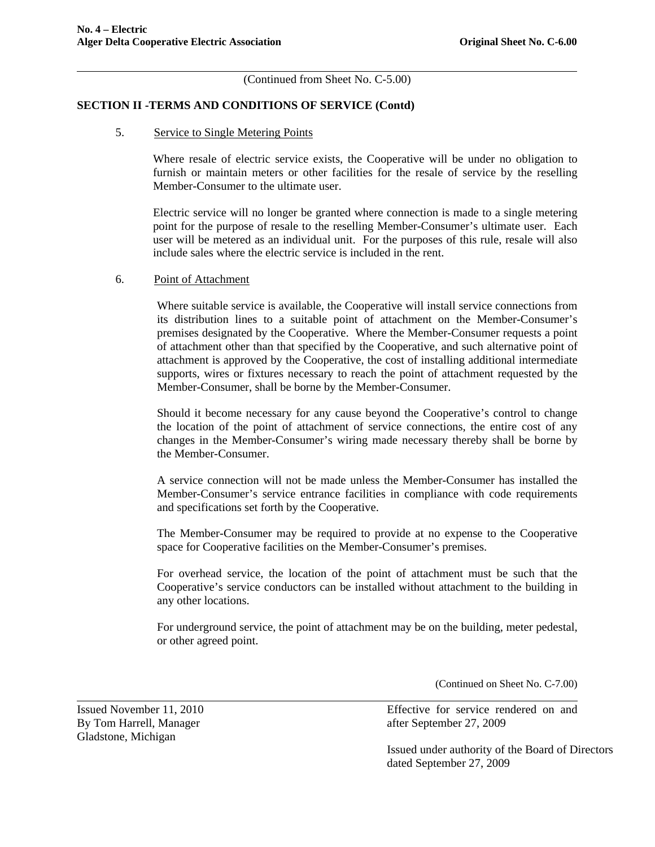(Continued from Sheet No. C-5.00)

### **SECTION II -TERMS AND CONDITIONS OF SERVICE (Contd)**

### 5. Service to Single Metering Points

Where resale of electric service exists, the Cooperative will be under no obligation to furnish or maintain meters or other facilities for the resale of service by the reselling Member-Consumer to the ultimate user.

Electric service will no longer be granted where connection is made to a single metering point for the purpose of resale to the reselling Member-Consumer's ultimate user. Each user will be metered as an individual unit. For the purposes of this rule, resale will also include sales where the electric service is included in the rent.

### 6. Point of Attachment

Where suitable service is available, the Cooperative will install service connections from its distribution lines to a suitable point of attachment on the Member-Consumer's premises designated by the Cooperative. Where the Member-Consumer requests a point of attachment other than that specified by the Cooperative, and such alternative point of attachment is approved by the Cooperative, the cost of installing additional intermediate supports, wires or fixtures necessary to reach the point of attachment requested by the Member-Consumer, shall be borne by the Member-Consumer.

Should it become necessary for any cause beyond the Cooperative's control to change the location of the point of attachment of service connections, the entire cost of any changes in the Member-Consumer's wiring made necessary thereby shall be borne by the Member-Consumer.

A service connection will not be made unless the Member-Consumer has installed the Member-Consumer's service entrance facilities in compliance with code requirements and specifications set forth by the Cooperative.

The Member-Consumer may be required to provide at no expense to the Cooperative space for Cooperative facilities on the Member-Consumer's premises.

For overhead service, the location of the point of attachment must be such that the Cooperative's service conductors can be installed without attachment to the building in any other locations.

For underground service, the point of attachment may be on the building, meter pedestal, or other agreed point.

(Continued on Sheet No. C-7.00)

By Tom Harrell, Manager after September 27, 2009 Gladstone, Michigan

l

Issued November 11, 2010 Effective for service rendered on and

Issued under authority of the Board of Directors dated September 27, 2009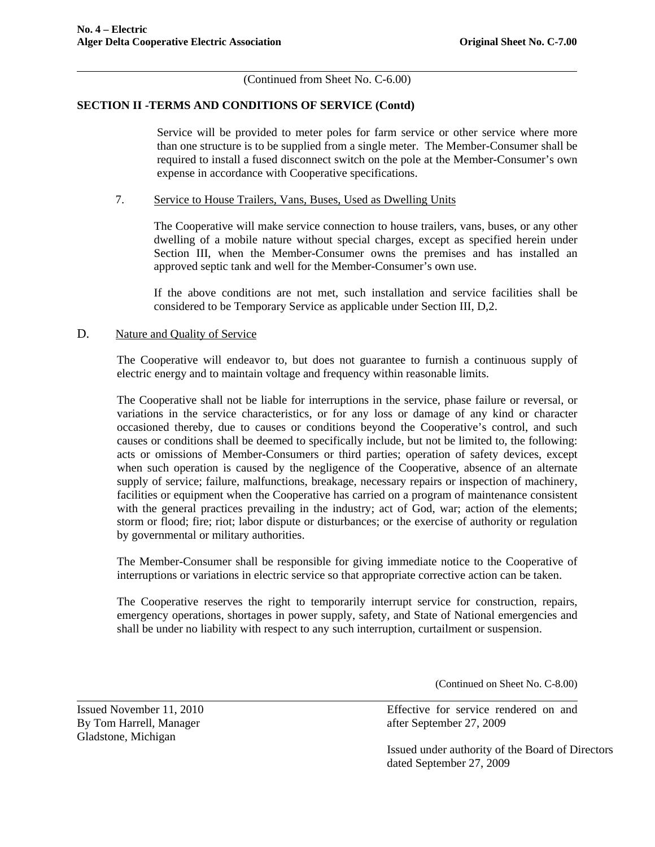### (Continued from Sheet No. C-6.00)

### **SECTION II -TERMS AND CONDITIONS OF SERVICE (Contd)**

Service will be provided to meter poles for farm service or other service where more than one structure is to be supplied from a single meter. The Member-Consumer shall be required to install a fused disconnect switch on the pole at the Member-Consumer's own expense in accordance with Cooperative specifications.

### 7. Service to House Trailers, Vans, Buses, Used as Dwelling Units

The Cooperative will make service connection to house trailers, vans, buses, or any other dwelling of a mobile nature without special charges, except as specified herein under Section III, when the Member-Consumer owns the premises and has installed an approved septic tank and well for the Member-Consumer's own use.

If the above conditions are not met, such installation and service facilities shall be considered to be Temporary Service as applicable under Section III, D,2.

### D. Nature and Quality of Service

The Cooperative will endeavor to, but does not guarantee to furnish a continuous supply of electric energy and to maintain voltage and frequency within reasonable limits.

The Cooperative shall not be liable for interruptions in the service, phase failure or reversal, or variations in the service characteristics, or for any loss or damage of any kind or character occasioned thereby, due to causes or conditions beyond the Cooperative's control, and such causes or conditions shall be deemed to specifically include, but not be limited to, the following: acts or omissions of Member-Consumers or third parties; operation of safety devices, except when such operation is caused by the negligence of the Cooperative, absence of an alternate supply of service; failure, malfunctions, breakage, necessary repairs or inspection of machinery, facilities or equipment when the Cooperative has carried on a program of maintenance consistent with the general practices prevailing in the industry; act of God, war; action of the elements; storm or flood; fire; riot; labor dispute or disturbances; or the exercise of authority or regulation by governmental or military authorities.

The Member-Consumer shall be responsible for giving immediate notice to the Cooperative of interruptions or variations in electric service so that appropriate corrective action can be taken.

The Cooperative reserves the right to temporarily interrupt service for construction, repairs, emergency operations, shortages in power supply, safety, and State of National emergencies and shall be under no liability with respect to any such interruption, curtailment or suspension.

(Continued on Sheet No. C-8.00)

By Tom Harrell, Manager after September 27, 2009 Gladstone, Michigan

 $\overline{a}$ 

Issued November 11, 2010 Effective for service rendered on and

Issued under authority of the Board of Directors dated September 27, 2009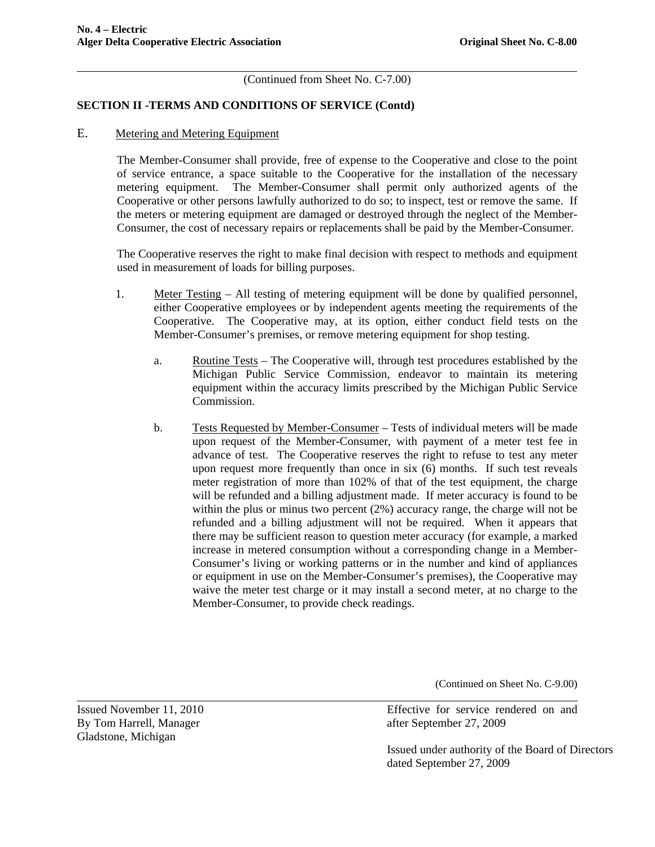(Continued from Sheet No. C-7.00)

### **SECTION II -TERMS AND CONDITIONS OF SERVICE (Contd)**

### E. Metering and Metering Equipment

The Member-Consumer shall provide, free of expense to the Cooperative and close to the point of service entrance, a space suitable to the Cooperative for the installation of the necessary metering equipment. The Member-Consumer shall permit only authorized agents of the Cooperative or other persons lawfully authorized to do so; to inspect, test or remove the same. If the meters or metering equipment are damaged or destroyed through the neglect of the Member-Consumer, the cost of necessary repairs or replacements shall be paid by the Member-Consumer.

The Cooperative reserves the right to make final decision with respect to methods and equipment used in measurement of loads for billing purposes.

- 1. Meter Testing All testing of metering equipment will be done by qualified personnel, either Cooperative employees or by independent agents meeting the requirements of the Cooperative. The Cooperative may, at its option, either conduct field tests on the Member-Consumer's premises, or remove metering equipment for shop testing.
	- a. Routine Tests The Cooperative will, through test procedures established by the Michigan Public Service Commission, endeavor to maintain its metering equipment within the accuracy limits prescribed by the Michigan Public Service Commission.
	- b. Tests Requested by Member-Consumer Tests of individual meters will be made upon request of the Member-Consumer, with payment of a meter test fee in advance of test. The Cooperative reserves the right to refuse to test any meter upon request more frequently than once in six (6) months. If such test reveals meter registration of more than 102% of that of the test equipment, the charge will be refunded and a billing adjustment made. If meter accuracy is found to be within the plus or minus two percent (2%) accuracy range, the charge will not be refunded and a billing adjustment will not be required. When it appears that there may be sufficient reason to question meter accuracy (for example, a marked increase in metered consumption without a corresponding change in a Member-Consumer's living or working patterns or in the number and kind of appliances or equipment in use on the Member-Consumer's premises), the Cooperative may waive the meter test charge or it may install a second meter, at no charge to the Member-Consumer, to provide check readings.

(Continued on Sheet No. C-9.00)

Issued November 11, 2010 Effective for service rendered on and

Issued under authority of the Board of Directors dated September 27, 2009

By Tom Harrell, Manager after September 27, 2009 Gladstone, Michigan

 $\overline{a}$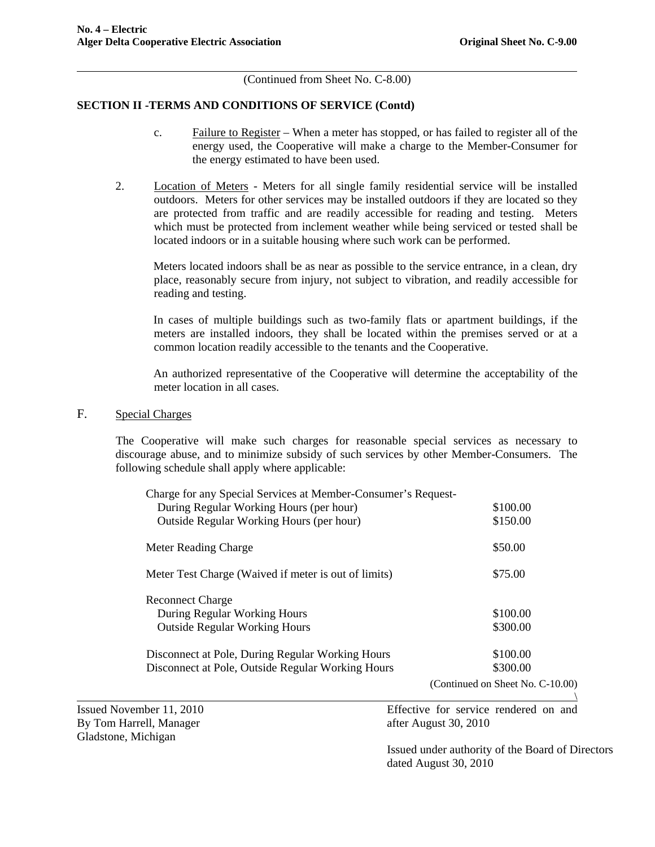### (Continued from Sheet No. C-8.00)

## **SECTION II -TERMS AND CONDITIONS OF SERVICE (Contd)**

- c. Failure to Register When a meter has stopped, or has failed to register all of the energy used, the Cooperative will make a charge to the Member-Consumer for the energy estimated to have been used.
- 2. Location of Meters Meters for all single family residential service will be installed outdoors. Meters for other services may be installed outdoors if they are located so they are protected from traffic and are readily accessible for reading and testing. Meters which must be protected from inclement weather while being serviced or tested shall be located indoors or in a suitable housing where such work can be performed.

Meters located indoors shall be as near as possible to the service entrance, in a clean, dry place, reasonably secure from injury, not subject to vibration, and readily accessible for reading and testing.

In cases of multiple buildings such as two-family flats or apartment buildings, if the meters are installed indoors, they shall be located within the premises served or at a common location readily accessible to the tenants and the Cooperative.

An authorized representative of the Cooperative will determine the acceptability of the meter location in all cases.

# F. Special Charges

The Cooperative will make such charges for reasonable special services as necessary to discourage abuse, and to minimize subsidy of such services by other Member-Consumers. The following schedule shall apply where applicable:

| Charge for any Special Services at Member-Consumer's Request- |                                       |
|---------------------------------------------------------------|---------------------------------------|
| During Regular Working Hours (per hour)                       | \$100.00                              |
| Outside Regular Working Hours (per hour)                      | \$150.00                              |
| Meter Reading Charge                                          | \$50.00                               |
| Meter Test Charge (Waived if meter is out of limits)          | \$75.00                               |
| <b>Reconnect Charge</b>                                       |                                       |
| During Regular Working Hours                                  | \$100.00                              |
| <b>Outside Regular Working Hours</b>                          | \$300.00                              |
| Disconnect at Pole, During Regular Working Hours              | \$100.00                              |
| Disconnect at Pole, Outside Regular Working Hours             | \$300.00                              |
|                                                               | (Continued on Sheet No. C-10.00)      |
| Issued November 11, 2010                                      | Effective for service rendered on and |
| By Tom Harrell, Manager                                       | after August 30, 2010                 |
| Gladstone, Michigan                                           |                                       |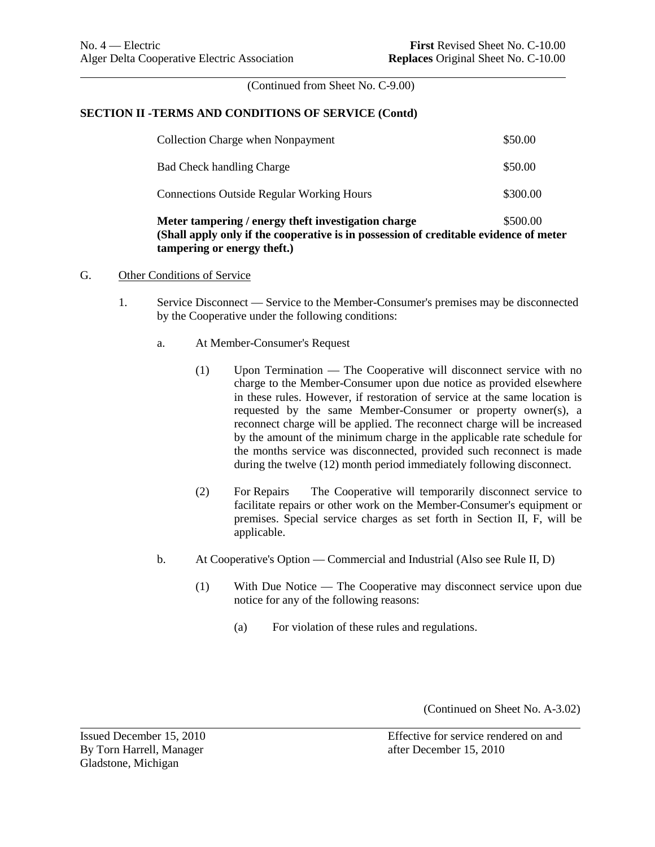(Continued from Sheet No. C-9.00)

### **SECTION II -TERMS AND CONDITIONS OF SERVICE (Contd)**

| (Shall apply only if the cooperative is in possession of creditable evidence of meter<br>tampering or energy theft.) |          |
|----------------------------------------------------------------------------------------------------------------------|----------|
| Meter tampering / energy theft investigation charge                                                                  | \$500.00 |
| <b>Connections Outside Regular Working Hours</b>                                                                     | \$300.00 |
| Bad Check handling Charge                                                                                            | \$50.00  |
| Collection Charge when Nonpayment                                                                                    | \$50.00  |

#### G. Other Conditions of Service

- 1. Service Disconnect Service to the Member-Consumer's premises may be disconnected by the Cooperative under the following conditions:
	- a. At Member-Consumer's Request
		- (1) Upon Termination The Cooperative will disconnect service with no charge to the Member-Consumer upon due notice as provided elsewhere in these rules. However, if restoration of service at the same location is requested by the same Member-Consumer or property owner(s), a reconnect charge will be applied. The reconnect charge will be increased by the amount of the minimum charge in the applicable rate schedule for the months service was disconnected, provided such reconnect is made during the twelve (12) month period immediately following disconnect.
		- (2) For Repairs The Cooperative will temporarily disconnect service to facilitate repairs or other work on the Member-Consumer's equipment or premises. Special service charges as set forth in Section II, F, will be applicable.
	- b. At Cooperative's Option Commercial and Industrial (Also see Rule II, D)
		- (1) With Due Notice The Cooperative may disconnect service upon due notice for any of the following reasons:
			- (a) For violation of these rules and regulations.

(Continued on Sheet No. A-3.02)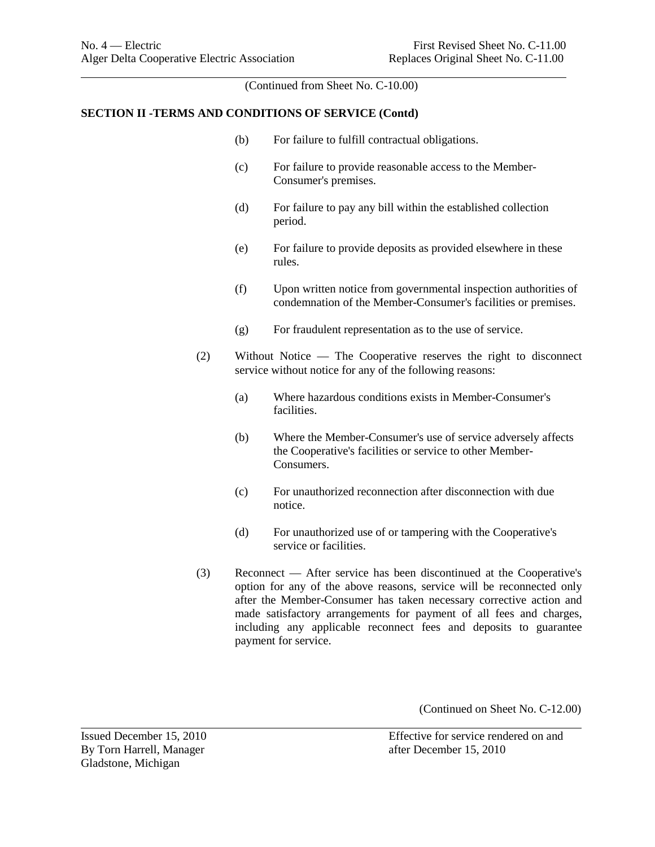(Continued from Sheet No. C-10.00)

## **SECTION II -TERMS AND CONDITIONS OF SERVICE (Contd)**

- (b) For failure to fulfill contractual obligations.
- (c) For failure to provide reasonable access to the Member-Consumer's premises.
- (d) For failure to pay any bill within the established collection period.
- (e) For failure to provide deposits as provided elsewhere in these rules.
- (f) Upon written notice from governmental inspection authorities of condemnation of the Member-Consumer's facilities or premises.
- (g) For fraudulent representation as to the use of service.
- (2) Without Notice The Cooperative reserves the right to disconnect service without notice for any of the following reasons:
	- (a) Where hazardous conditions exists in Member-Consumer's facilities.
	- (b) Where the Member-Consumer's use of service adversely affects the Cooperative's facilities or service to other Member-Consumers.
	- (c) For unauthorized reconnection after disconnection with due notice.
	- (d) For unauthorized use of or tampering with the Cooperative's service or facilities.
- (3) Reconnect After service has been discontinued at the Cooperative's option for any of the above reasons, service will be reconnected only after the Member-Consumer has taken necessary corrective action and made satisfactory arrangements for payment of all fees and charges, including any applicable reconnect fees and deposits to guarantee payment for service.

(Continued on Sheet No. C-12.00)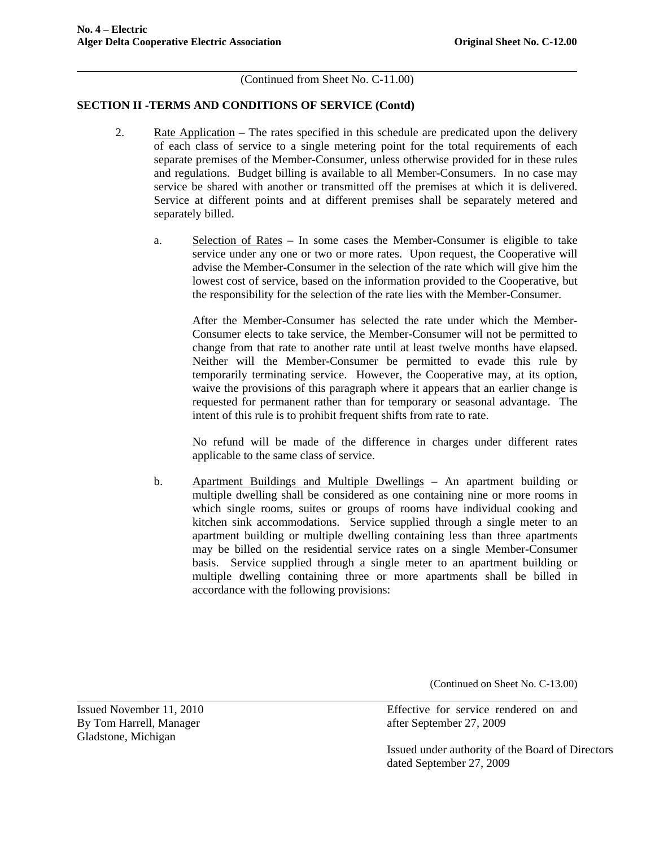(Continued from Sheet No. C-11.00)

## **SECTION II -TERMS AND CONDITIONS OF SERVICE (Contd)**

- 2. Rate Application The rates specified in this schedule are predicated upon the delivery of each class of service to a single metering point for the total requirements of each separate premises of the Member-Consumer, unless otherwise provided for in these rules and regulations. Budget billing is available to all Member-Consumers. In no case may service be shared with another or transmitted off the premises at which it is delivered. Service at different points and at different premises shall be separately metered and separately billed.
	- a. Selection of Rates In some cases the Member-Consumer is eligible to take service under any one or two or more rates. Upon request, the Cooperative will advise the Member-Consumer in the selection of the rate which will give him the lowest cost of service, based on the information provided to the Cooperative, but the responsibility for the selection of the rate lies with the Member-Consumer.

After the Member-Consumer has selected the rate under which the Member-Consumer elects to take service, the Member-Consumer will not be permitted to change from that rate to another rate until at least twelve months have elapsed. Neither will the Member-Consumer be permitted to evade this rule by temporarily terminating service. However, the Cooperative may, at its option, waive the provisions of this paragraph where it appears that an earlier change is requested for permanent rather than for temporary or seasonal advantage. The intent of this rule is to prohibit frequent shifts from rate to rate.

No refund will be made of the difference in charges under different rates applicable to the same class of service.

b. Apartment Buildings and Multiple Dwellings – An apartment building or multiple dwelling shall be considered as one containing nine or more rooms in which single rooms, suites or groups of rooms have individual cooking and kitchen sink accommodations. Service supplied through a single meter to an apartment building or multiple dwelling containing less than three apartments may be billed on the residential service rates on a single Member-Consumer basis. Service supplied through a single meter to an apartment building or multiple dwelling containing three or more apartments shall be billed in accordance with the following provisions:

(Continued on Sheet No. C-13.00)

Issued November 11, 2010 Effective for service rendered on and

Issued under authority of the Board of Directors dated September 27, 2009

By Tom Harrell, Manager after September 27, 2009 Gladstone, Michigan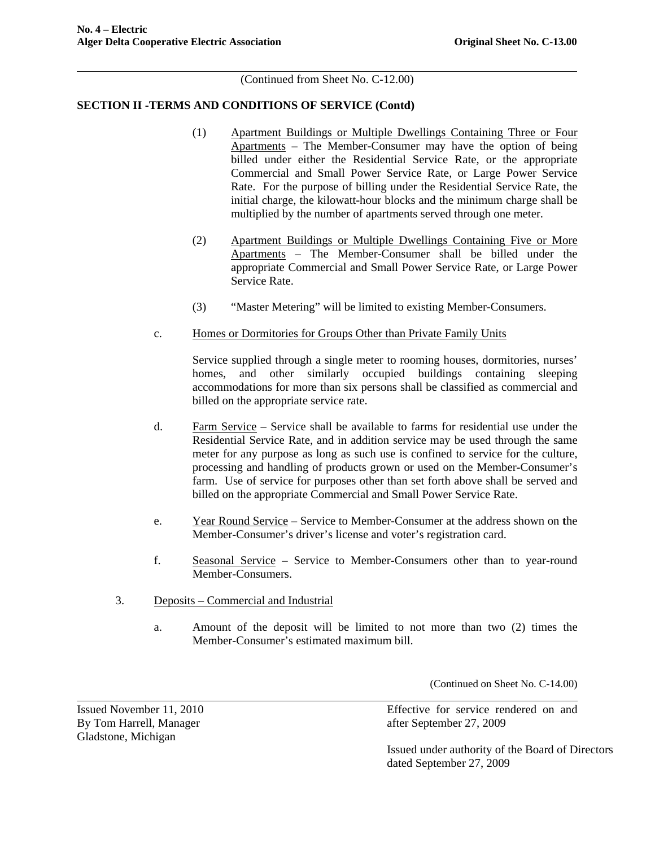(Continued from Sheet No. C-12.00)

## **SECTION II -TERMS AND CONDITIONS OF SERVICE (Contd)**

- (1) Apartment Buildings or Multiple Dwellings Containing Three or Four Apartments – The Member-Consumer may have the option of being billed under either the Residential Service Rate, or the appropriate Commercial and Small Power Service Rate, or Large Power Service Rate. For the purpose of billing under the Residential Service Rate, the initial charge, the kilowatt-hour blocks and the minimum charge shall be multiplied by the number of apartments served through one meter.
- (2) Apartment Buildings or Multiple Dwellings Containing Five or More Apartments – The Member-Consumer shall be billed under the appropriate Commercial and Small Power Service Rate, or Large Power Service Rate.
- (3) "Master Metering" will be limited to existing Member-Consumers.
- c. Homes or Dormitories for Groups Other than Private Family Units

Service supplied through a single meter to rooming houses, dormitories, nurses' homes, and other similarly occupied buildings containing sleeping accommodations for more than six persons shall be classified as commercial and billed on the appropriate service rate.

- d. Farm Service Service shall be available to farms for residential use under the Residential Service Rate, and in addition service may be used through the same meter for any purpose as long as such use is confined to service for the culture, processing and handling of products grown or used on the Member-Consumer's farm. Use of service for purposes other than set forth above shall be served and billed on the appropriate Commercial and Small Power Service Rate.
- e. Year Round Service Service to Member-Consumer at the address shown on **t**he Member-Consumer's driver's license and voter's registration card.
- f. Seasonal Service Service to Member-Consumers other than to year-round Member-Consumers.
- 3. Deposits Commercial and Industrial
	- a. Amount of the deposit will be limited to not more than two (2) times the Member-Consumer's estimated maximum bill.

(Continued on Sheet No. C-14.00)

By Tom Harrell, Manager after September 27, 2009 Gladstone, Michigan

l

Issued November 11, 2010 Effective for service rendered on and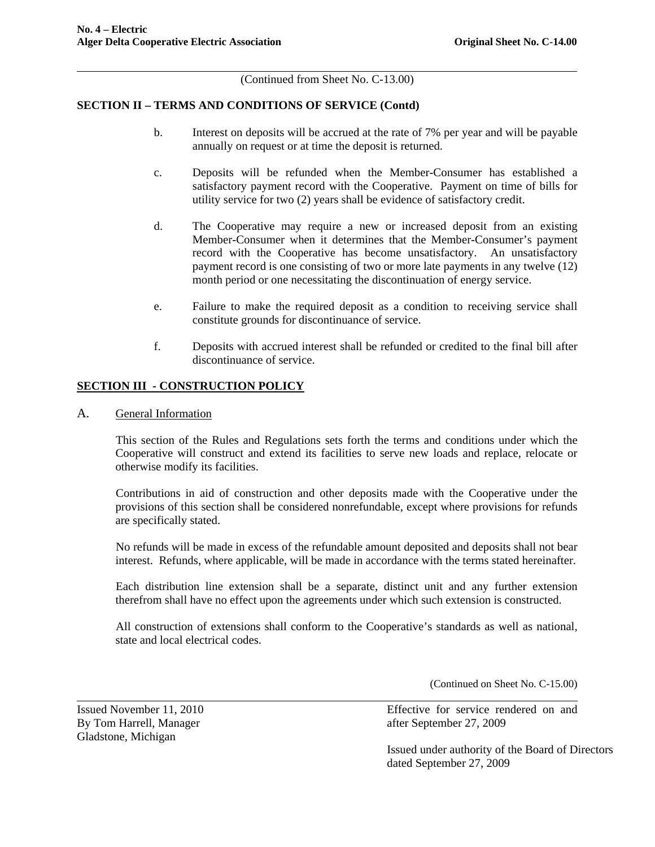(Continued from Sheet No. C-13.00)

## **SECTION II – TERMS AND CONDITIONS OF SERVICE (Contd)**

- b. Interest on deposits will be accrued at the rate of 7% per year and will be payable annually on request or at time the deposit is returned.
- c. Deposits will be refunded when the Member-Consumer has established a satisfactory payment record with the Cooperative. Payment on time of bills for utility service for two (2) years shall be evidence of satisfactory credit.
- d. The Cooperative may require a new or increased deposit from an existing Member-Consumer when it determines that the Member-Consumer's payment record with the Cooperative has become unsatisfactory. An unsatisfactory payment record is one consisting of two or more late payments in any twelve (12) month period or one necessitating the discontinuation of energy service.
- e. Failure to make the required deposit as a condition to receiving service shall constitute grounds for discontinuance of service.
- f. Deposits with accrued interest shall be refunded or credited to the final bill after discontinuance of service.

# **SECTION III - CONSTRUCTION POLICY**

A. General Information

This section of the Rules and Regulations sets forth the terms and conditions under which the Cooperative will construct and extend its facilities to serve new loads and replace, relocate or otherwise modify its facilities.

Contributions in aid of construction and other deposits made with the Cooperative under the provisions of this section shall be considered nonrefundable, except where provisions for refunds are specifically stated.

No refunds will be made in excess of the refundable amount deposited and deposits shall not bear interest. Refunds, where applicable, will be made in accordance with the terms stated hereinafter.

Each distribution line extension shall be a separate, distinct unit and any further extension therefrom shall have no effect upon the agreements under which such extension is constructed.

All construction of extensions shall conform to the Cooperative's standards as well as national, state and local electrical codes.

(Continued on Sheet No. C-15.00)

By Tom Harrell, Manager after September 27, 2009 Gladstone, Michigan

l

Issued November 11, 2010 Effective for service rendered on and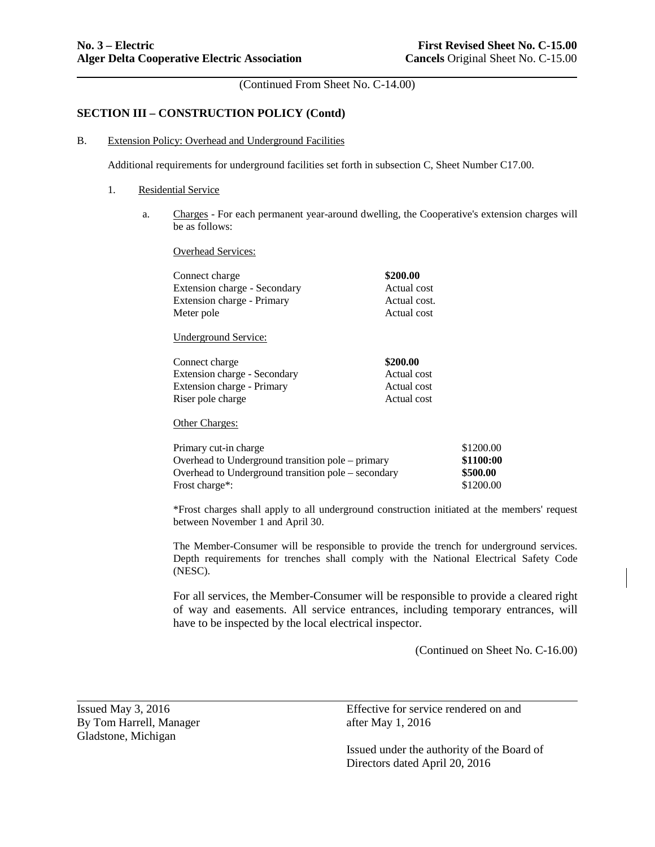(Continued From Sheet No. C-14.00)

#### **SECTION III – CONSTRUCTION POLICY (Contd)**

#### B. Extension Policy: Overhead and Underground Facilities

Additional requirements for underground facilities set forth in subsection C, Sheet Number C17.00.

#### 1. Residential Service

a. Charges - For each permanent year-around dwelling, the Cooperative's extension charges will be as follows:

Overhead Services:

| Connect charge                      | \$200.00     |
|-------------------------------------|--------------|
| <b>Extension charge - Secondary</b> | Actual cost  |
| Extension charge - Primary          | Actual cost. |
| Meter pole                          | Actual cost  |
|                                     |              |

Underground Service:

| Connect charge                      | \$200.00    |
|-------------------------------------|-------------|
| <b>Extension charge - Secondary</b> | Actual cost |
| <b>Extension charge - Primary</b>   | Actual cost |
| Riser pole charge                   | Actual cost |

#### Other Charges:

| Primary cut-in charge                               | \$1200.00 |
|-----------------------------------------------------|-----------|
| Overhead to Underground transition pole – primary   | \$1100:00 |
| Overhead to Underground transition pole – secondary | \$500.00  |
| Frost charge <sup>*</sup> :                         | \$1200.00 |

\*Frost charges shall apply to all underground construction initiated at the members' request between November 1 and April 30.

The Member-Consumer will be responsible to provide the trench for underground services. Depth requirements for trenches shall comply with the National Electrical Safety Code (NESC).

For all services, the Member-Consumer will be responsible to provide a cleared right of way and easements. All service entrances, including temporary entrances, will have to be inspected by the local electrical inspector.

(Continued on Sheet No. C-16.00)

By Tom Harrell, Manager after May 1, 2016 Gladstone, Michigan

Issued May 3, 2016 Effective for service rendered on and

Issued under the authority of the Board of Directors dated April 20, 2016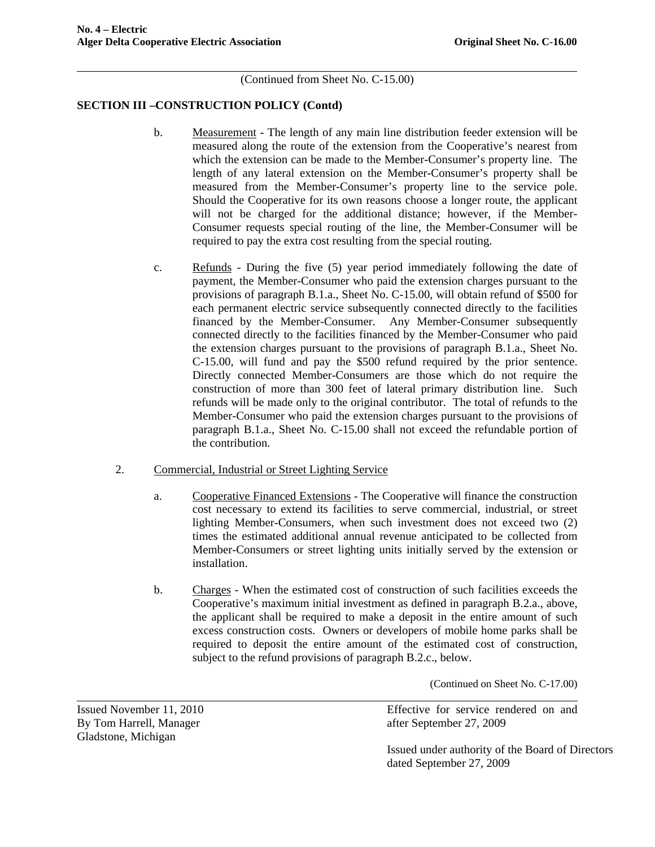(Continued from Sheet No. C-15.00)

### **SECTION III –CONSTRUCTION POLICY (Contd)**

- b. Measurement The length of any main line distribution feeder extension will be measured along the route of the extension from the Cooperative's nearest from which the extension can be made to the Member-Consumer's property line. The length of any lateral extension on the Member-Consumer's property shall be measured from the Member-Consumer's property line to the service pole. Should the Cooperative for its own reasons choose a longer route, the applicant will not be charged for the additional distance; however, if the Member-Consumer requests special routing of the line, the Member-Consumer will be required to pay the extra cost resulting from the special routing.
- c. Refunds During the five (5) year period immediately following the date of payment, the Member-Consumer who paid the extension charges pursuant to the provisions of paragraph B.1.a., Sheet No. C-15.00, will obtain refund of \$500 for each permanent electric service subsequently connected directly to the facilities financed by the Member-Consumer. Any Member-Consumer subsequently connected directly to the facilities financed by the Member-Consumer who paid the extension charges pursuant to the provisions of paragraph B.1.a., Sheet No. C-15.00, will fund and pay the \$500 refund required by the prior sentence. Directly connected Member-Consumers are those which do not require the construction of more than 300 feet of lateral primary distribution line. Such refunds will be made only to the original contributor. The total of refunds to the Member-Consumer who paid the extension charges pursuant to the provisions of paragraph B.1.a., Sheet No. C-15.00 shall not exceed the refundable portion of the contribution.
- 2. Commercial, Industrial or Street Lighting Service
	- a. Cooperative Financed Extensions The Cooperative will finance the construction cost necessary to extend its facilities to serve commercial, industrial, or street lighting Member-Consumers, when such investment does not exceed two (2) times the estimated additional annual revenue anticipated to be collected from Member-Consumers or street lighting units initially served by the extension or installation.
	- b. Charges When the estimated cost of construction of such facilities exceeds the Cooperative's maximum initial investment as defined in paragraph B.2.a., above, the applicant shall be required to make a deposit in the entire amount of such excess construction costs. Owners or developers of mobile home parks shall be required to deposit the entire amount of the estimated cost of construction, subject to the refund provisions of paragraph B.2.c., below.

(Continued on Sheet No. C-17.00)

By Tom Harrell, Manager after September 27, 2009 Gladstone, Michigan

l

Issued November 11, 2010 Effective for service rendered on and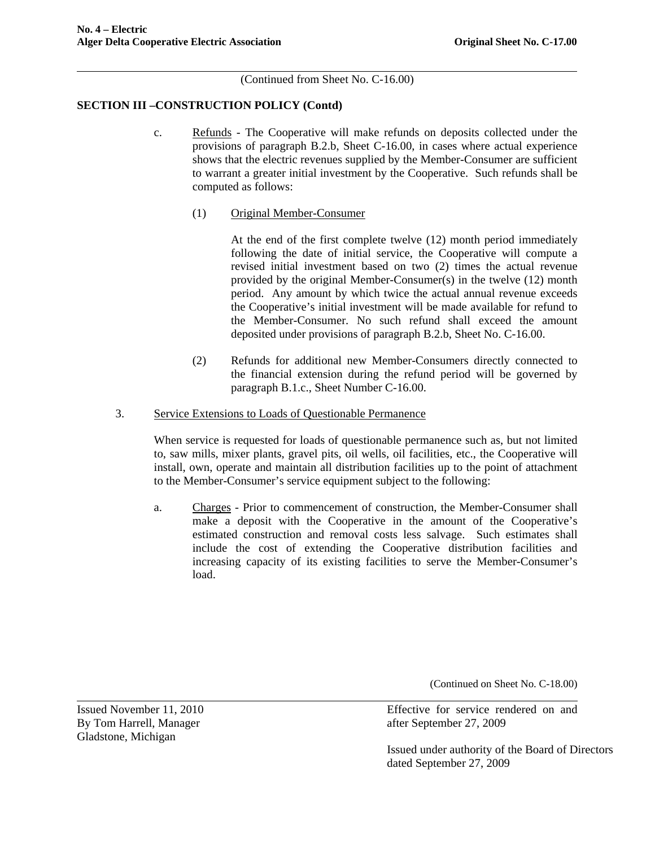(Continued from Sheet No. C-16.00)

# **SECTION III –CONSTRUCTION POLICY (Contd)**

- c. Refunds The Cooperative will make refunds on deposits collected under the provisions of paragraph B.2.b, Sheet C-16.00, in cases where actual experience shows that the electric revenues supplied by the Member-Consumer are sufficient to warrant a greater initial investment by the Cooperative. Such refunds shall be computed as follows:
	- (1) Original Member-Consumer

At the end of the first complete twelve (12) month period immediately following the date of initial service, the Cooperative will compute a revised initial investment based on two (2) times the actual revenue provided by the original Member-Consumer(s) in the twelve (12) month period. Any amount by which twice the actual annual revenue exceeds the Cooperative's initial investment will be made available for refund to the Member-Consumer. No such refund shall exceed the amount deposited under provisions of paragraph B.2.b, Sheet No. C-16.00.

- (2) Refunds for additional new Member-Consumers directly connected to the financial extension during the refund period will be governed by paragraph B.1.c., Sheet Number C-16.00.
- 3. Service Extensions to Loads of Questionable Permanence

When service is requested for loads of questionable permanence such as, but not limited to, saw mills, mixer plants, gravel pits, oil wells, oil facilities, etc., the Cooperative will install, own, operate and maintain all distribution facilities up to the point of attachment to the Member-Consumer's service equipment subject to the following:

a. Charges - Prior to commencement of construction, the Member-Consumer shall make a deposit with the Cooperative in the amount of the Cooperative's estimated construction and removal costs less salvage. Such estimates shall include the cost of extending the Cooperative distribution facilities and increasing capacity of its existing facilities to serve the Member-Consumer's load.

(Continued on Sheet No. C-18.00)

Issued November 11, 2010 Effective for service rendered on and

Issued under authority of the Board of Directors dated September 27, 2009

By Tom Harrell, Manager after September 27, 2009 Gladstone, Michigan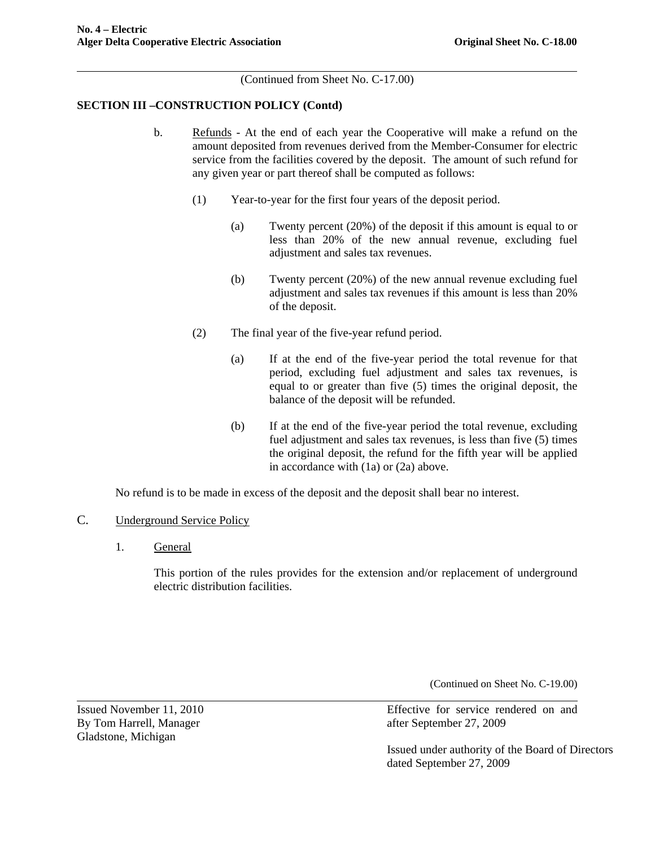(Continued from Sheet No. C-17.00)

## **SECTION III –CONSTRUCTION POLICY (Contd)**

- b. Refunds At the end of each year the Cooperative will make a refund on the amount deposited from revenues derived from the Member-Consumer for electric service from the facilities covered by the deposit. The amount of such refund for any given year or part thereof shall be computed as follows:
	- (1) Year-to-year for the first four years of the deposit period.
		- (a) Twenty percent (20%) of the deposit if this amount is equal to or less than 20% of the new annual revenue, excluding fuel adjustment and sales tax revenues.
		- (b) Twenty percent (20%) of the new annual revenue excluding fuel adjustment and sales tax revenues if this amount is less than 20% of the deposit.
	- (2) The final year of the five-year refund period.
		- (a) If at the end of the five-year period the total revenue for that period, excluding fuel adjustment and sales tax revenues, is equal to or greater than five (5) times the original deposit, the balance of the deposit will be refunded.
		- (b) If at the end of the five-year period the total revenue, excluding fuel adjustment and sales tax revenues, is less than five (5) times the original deposit, the refund for the fifth year will be applied in accordance with (1a) or (2a) above.

No refund is to be made in excess of the deposit and the deposit shall bear no interest.

## C. Underground Service Policy

1. General

This portion of the rules provides for the extension and/or replacement of underground electric distribution facilities.

(Continued on Sheet No. C-19.00)

Issued November 11, 2010 Effective for service rendered on and

Issued under authority of the Board of Directors dated September 27, 2009

By Tom Harrell, Manager after September 27, 2009 Gladstone, Michigan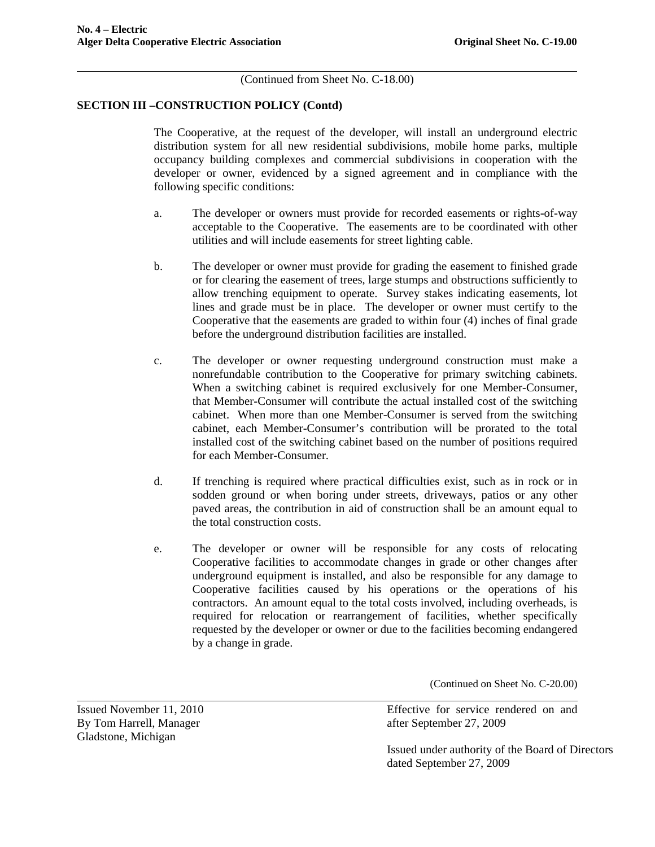(Continued from Sheet No. C-18.00)

# **SECTION III –CONSTRUCTION POLICY (Contd)**

The Cooperative, at the request of the developer, will install an underground electric distribution system for all new residential subdivisions, mobile home parks, multiple occupancy building complexes and commercial subdivisions in cooperation with the developer or owner, evidenced by a signed agreement and in compliance with the following specific conditions:

- a. The developer or owners must provide for recorded easements or rights-of-way acceptable to the Cooperative. The easements are to be coordinated with other utilities and will include easements for street lighting cable.
- b. The developer or owner must provide for grading the easement to finished grade or for clearing the easement of trees, large stumps and obstructions sufficiently to allow trenching equipment to operate. Survey stakes indicating easements, lot lines and grade must be in place. The developer or owner must certify to the Cooperative that the easements are graded to within four (4) inches of final grade before the underground distribution facilities are installed.
- c. The developer or owner requesting underground construction must make a nonrefundable contribution to the Cooperative for primary switching cabinets. When a switching cabinet is required exclusively for one Member-Consumer, that Member-Consumer will contribute the actual installed cost of the switching cabinet. When more than one Member-Consumer is served from the switching cabinet, each Member-Consumer's contribution will be prorated to the total installed cost of the switching cabinet based on the number of positions required for each Member-Consumer.
- d. If trenching is required where practical difficulties exist, such as in rock or in sodden ground or when boring under streets, driveways, patios or any other paved areas, the contribution in aid of construction shall be an amount equal to the total construction costs.
- e. The developer or owner will be responsible for any costs of relocating Cooperative facilities to accommodate changes in grade or other changes after underground equipment is installed, and also be responsible for any damage to Cooperative facilities caused by his operations or the operations of his contractors. An amount equal to the total costs involved, including overheads, is required for relocation or rearrangement of facilities, whether specifically requested by the developer or owner or due to the facilities becoming endangered by a change in grade.

(Continued on Sheet No. C-20.00)

By Tom Harrell, Manager after September 27, 2009 Gladstone, Michigan

l

Issued November 11, 2010 Effective for service rendered on and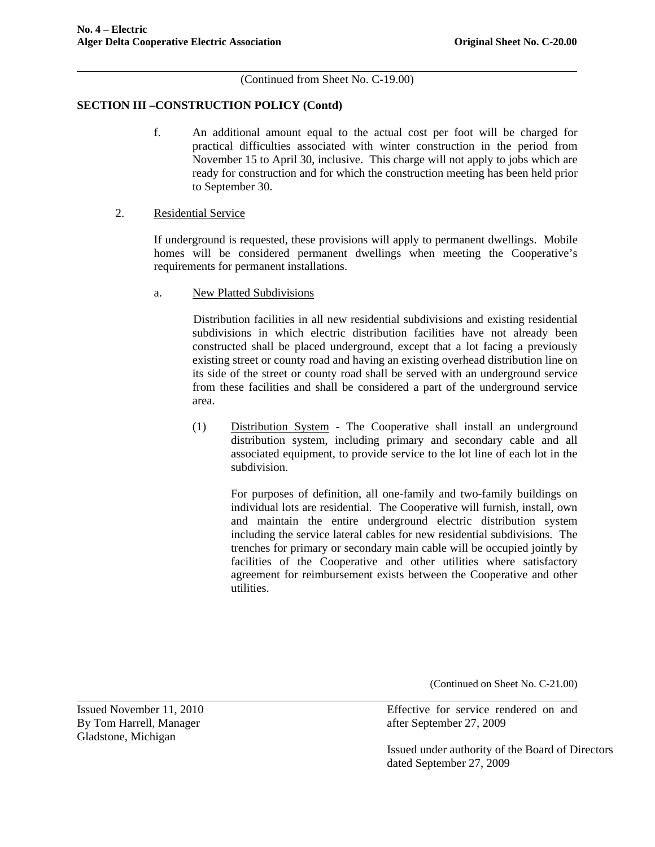### (Continued from Sheet No. C-19.00)

# **SECTION III –CONSTRUCTION POLICY (Contd)**

f. An additional amount equal to the actual cost per foot will be charged for practical difficulties associated with winter construction in the period from November 15 to April 30, inclusive. This charge will not apply to jobs which are ready for construction and for which the construction meeting has been held prior to September 30.

### 2. Residential Service

If underground is requested, these provisions will apply to permanent dwellings. Mobile homes will be considered permanent dwellings when meeting the Cooperative's requirements for permanent installations.

a. New Platted Subdivisions

Distribution facilities in all new residential subdivisions and existing residential subdivisions in which electric distribution facilities have not already been constructed shall be placed underground, except that a lot facing a previously existing street or county road and having an existing overhead distribution line on its side of the street or county road shall be served with an underground service from these facilities and shall be considered a part of the underground service area.

(1) Distribution System - The Cooperative shall install an underground distribution system, including primary and secondary cable and all associated equipment, to provide service to the lot line of each lot in the subdivision.

For purposes of definition, all one-family and two-family buildings on individual lots are residential. The Cooperative will furnish, install, own and maintain the entire underground electric distribution system including the service lateral cables for new residential subdivisions. The trenches for primary or secondary main cable will be occupied jointly by facilities of the Cooperative and other utilities where satisfactory agreement for reimbursement exists between the Cooperative and other utilities.

(Continued on Sheet No. C-21.00)

Issued November 11, 2010 Effective for service rendered on and

Issued under authority of the Board of Directors dated September 27, 2009

By Tom Harrell, Manager after September 27, 2009 Gladstone, Michigan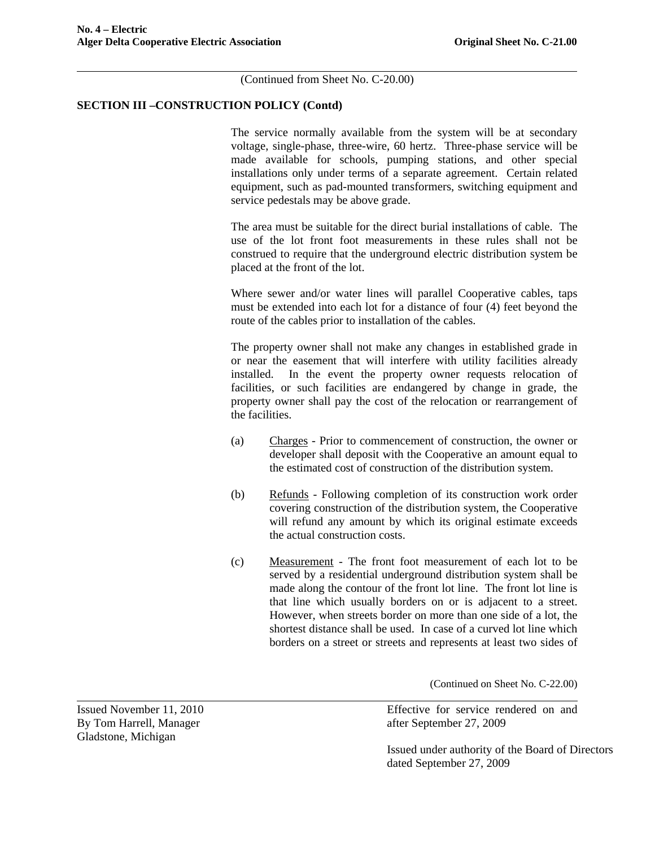(Continued from Sheet No. C-20.00)

## **SECTION III –CONSTRUCTION POLICY (Contd)**

The service normally available from the system will be at secondary voltage, single-phase, three-wire, 60 hertz. Three-phase service will be made available for schools, pumping stations, and other special installations only under terms of a separate agreement. Certain related equipment, such as pad-mounted transformers, switching equipment and service pedestals may be above grade.

The area must be suitable for the direct burial installations of cable. The use of the lot front foot measurements in these rules shall not be construed to require that the underground electric distribution system be placed at the front of the lot.

Where sewer and/or water lines will parallel Cooperative cables, taps must be extended into each lot for a distance of four (4) feet beyond the route of the cables prior to installation of the cables.

The property owner shall not make any changes in established grade in or near the easement that will interfere with utility facilities already installed. In the event the property owner requests relocation of facilities, or such facilities are endangered by change in grade, the property owner shall pay the cost of the relocation or rearrangement of the facilities.

- (a) Charges Prior to commencement of construction, the owner or developer shall deposit with the Cooperative an amount equal to the estimated cost of construction of the distribution system.
- (b) Refunds Following completion of its construction work order covering construction of the distribution system, the Cooperative will refund any amount by which its original estimate exceeds the actual construction costs.
- (c) Measurement The front foot measurement of each lot to be served by a residential underground distribution system shall be made along the contour of the front lot line. The front lot line is that line which usually borders on or is adjacent to a street. However, when streets border on more than one side of a lot, the shortest distance shall be used. In case of a curved lot line which borders on a street or streets and represents at least two sides of

(Continued on Sheet No. C-22.00)

Issued November 11, 2010 Effective for service rendered on and

Issued under authority of the Board of Directors dated September 27, 2009

l By Tom Harrell, Manager after September 27, 2009 Gladstone, Michigan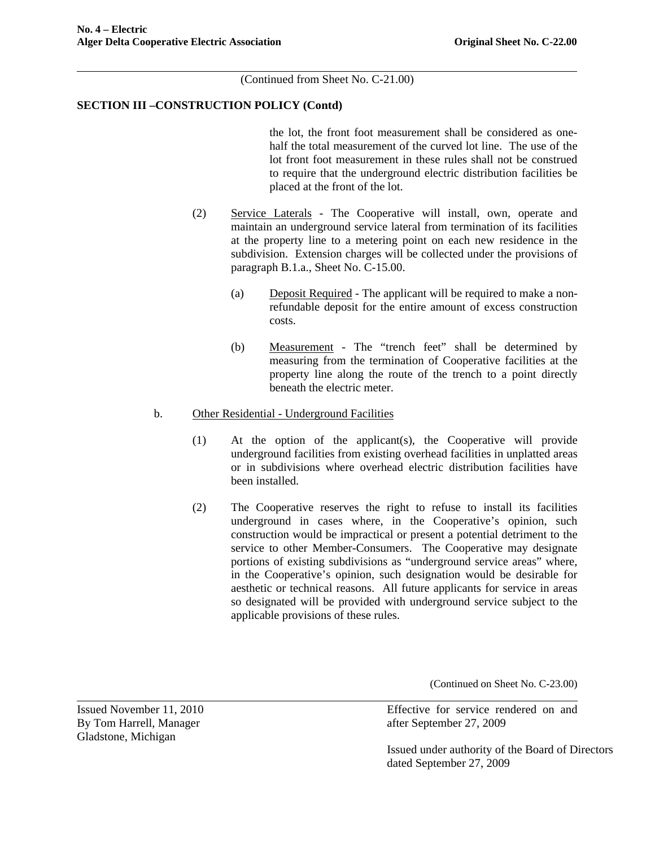(Continued from Sheet No. C-21.00)

# **SECTION III –CONSTRUCTION POLICY (Contd)**

the lot, the front foot measurement shall be considered as onehalf the total measurement of the curved lot line. The use of the lot front foot measurement in these rules shall not be construed to require that the underground electric distribution facilities be placed at the front of the lot.

- (2) Service Laterals The Cooperative will install, own, operate and maintain an underground service lateral from termination of its facilities at the property line to a metering point on each new residence in the subdivision. Extension charges will be collected under the provisions of paragraph B.1.a., Sheet No. C-15.00.
	- (a) Deposit Required The applicant will be required to make a nonrefundable deposit for the entire amount of excess construction costs.
	- (b) Measurement The "trench feet" shall be determined by measuring from the termination of Cooperative facilities at the property line along the route of the trench to a point directly beneath the electric meter.
- b. Other Residential Underground Facilities
	- (1) At the option of the applicant(s), the Cooperative will provide underground facilities from existing overhead facilities in unplatted areas or in subdivisions where overhead electric distribution facilities have been installed.
	- (2) The Cooperative reserves the right to refuse to install its facilities underground in cases where, in the Cooperative's opinion, such construction would be impractical or present a potential detriment to the service to other Member-Consumers. The Cooperative may designate portions of existing subdivisions as "underground service areas" where, in the Cooperative's opinion, such designation would be desirable for aesthetic or technical reasons. All future applicants for service in areas so designated will be provided with underground service subject to the applicable provisions of these rules.

(Continued on Sheet No. C-23.00)

Issued November 11, 2010 Effective for service rendered on and

Issued under authority of the Board of Directors dated September 27, 2009

By Tom Harrell, Manager after September 27, 2009 Gladstone, Michigan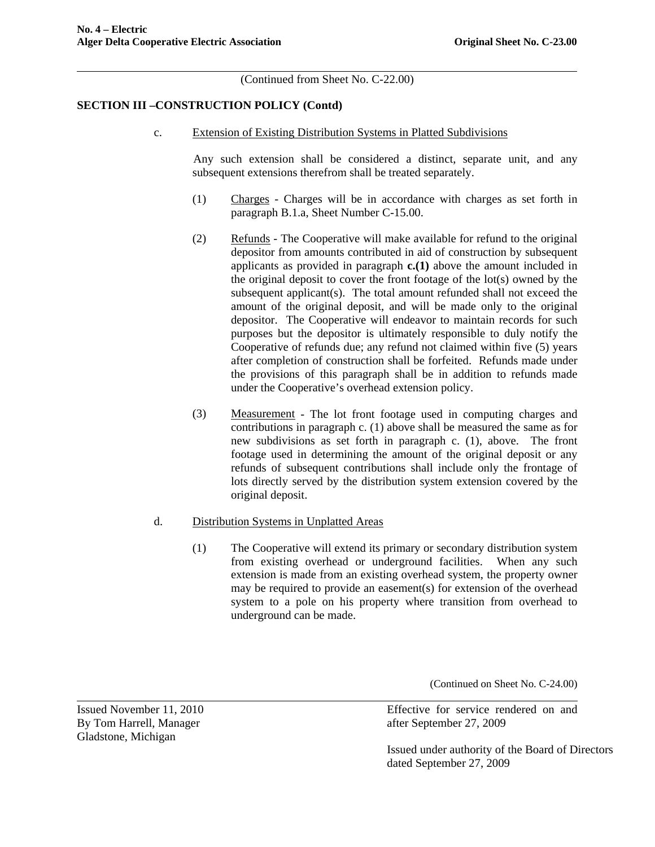(Continued from Sheet No. C-22.00)

### **SECTION III –CONSTRUCTION POLICY (Contd)**

c. Extension of Existing Distribution Systems in Platted Subdivisions

Any such extension shall be considered a distinct, separate unit, and any subsequent extensions therefrom shall be treated separately.

- (1) Charges Charges will be in accordance with charges as set forth in paragraph B.1.a, Sheet Number C-15.00.
- (2) Refunds The Cooperative will make available for refund to the original depositor from amounts contributed in aid of construction by subsequent applicants as provided in paragraph **c.(1)** above the amount included in the original deposit to cover the front footage of the lot(s) owned by the subsequent applicant(s). The total amount refunded shall not exceed the amount of the original deposit, and will be made only to the original depositor. The Cooperative will endeavor to maintain records for such purposes but the depositor is ultimately responsible to duly notify the Cooperative of refunds due; any refund not claimed within five (5) years after completion of construction shall be forfeited. Refunds made under the provisions of this paragraph shall be in addition to refunds made under the Cooperative's overhead extension policy.
- (3) Measurement The lot front footage used in computing charges and contributions in paragraph c. (1) above shall be measured the same as for new subdivisions as set forth in paragraph c. (1), above. The front footage used in determining the amount of the original deposit or any refunds of subsequent contributions shall include only the frontage of lots directly served by the distribution system extension covered by the original deposit.

#### d. Distribution Systems in Unplatted Areas

(1) The Cooperative will extend its primary or secondary distribution system from existing overhead or underground facilities. When any such extension is made from an existing overhead system, the property owner may be required to provide an easement(s) for extension of the overhead system to a pole on his property where transition from overhead to underground can be made.

(Continued on Sheet No. C-24.00)

Issued November 11, 2010 Effective for service rendered on and

Issued under authority of the Board of Directors dated September 27, 2009

By Tom Harrell, Manager after September 27, 2009 Gladstone, Michigan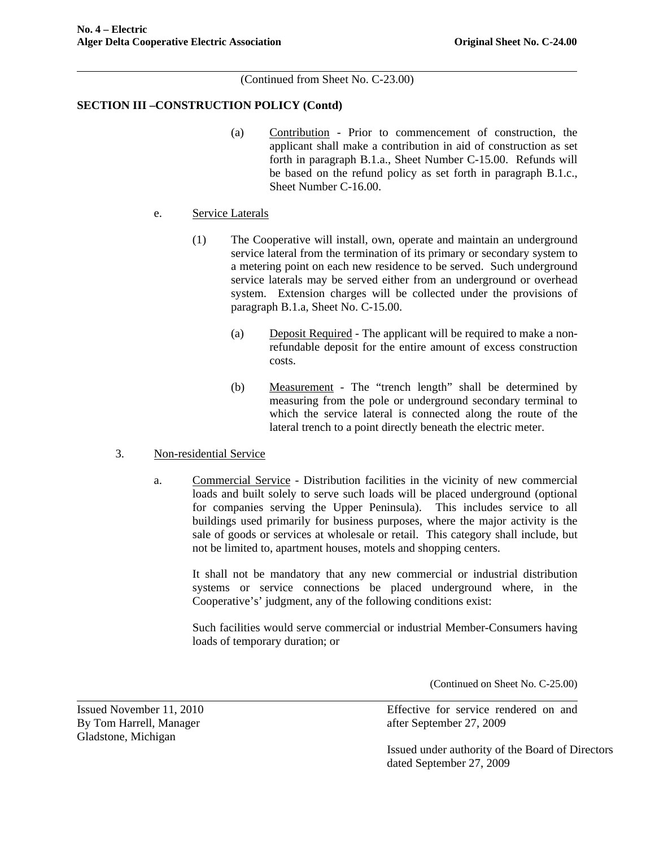(Continued from Sheet No. C-23.00)

## **SECTION III –CONSTRUCTION POLICY (Contd)**

(a) Contribution - Prior to commencement of construction, the applicant shall make a contribution in aid of construction as set forth in paragraph B.1.a., Sheet Number C-15.00. Refunds will be based on the refund policy as set forth in paragraph B.1.c., Sheet Number C-16.00.

## e. Service Laterals

- (1) The Cooperative will install, own, operate and maintain an underground service lateral from the termination of its primary or secondary system to a metering point on each new residence to be served. Such underground service laterals may be served either from an underground or overhead system. Extension charges will be collected under the provisions of paragraph B.1.a, Sheet No. C-15.00.
	- (a) Deposit Required The applicant will be required to make a nonrefundable deposit for the entire amount of excess construction costs.
	- (b) Measurement The "trench length" shall be determined by measuring from the pole or underground secondary terminal to which the service lateral is connected along the route of the lateral trench to a point directly beneath the electric meter.

## 3. Non-residential Service

a. Commercial Service - Distribution facilities in the vicinity of new commercial loads and built solely to serve such loads will be placed underground (optional for companies serving the Upper Peninsula). This includes service to all buildings used primarily for business purposes, where the major activity is the sale of goods or services at wholesale or retail. This category shall include, but not be limited to, apartment houses, motels and shopping centers.

It shall not be mandatory that any new commercial or industrial distribution systems or service connections be placed underground where, in the Cooperative's' judgment, any of the following conditions exist:

Such facilities would serve commercial or industrial Member-Consumers having loads of temporary duration; or

(Continued on Sheet No. C-25.00)

By Tom Harrell, Manager after September 27, 2009 Gladstone, Michigan

l

Issued November 11, 2010 Effective for service rendered on and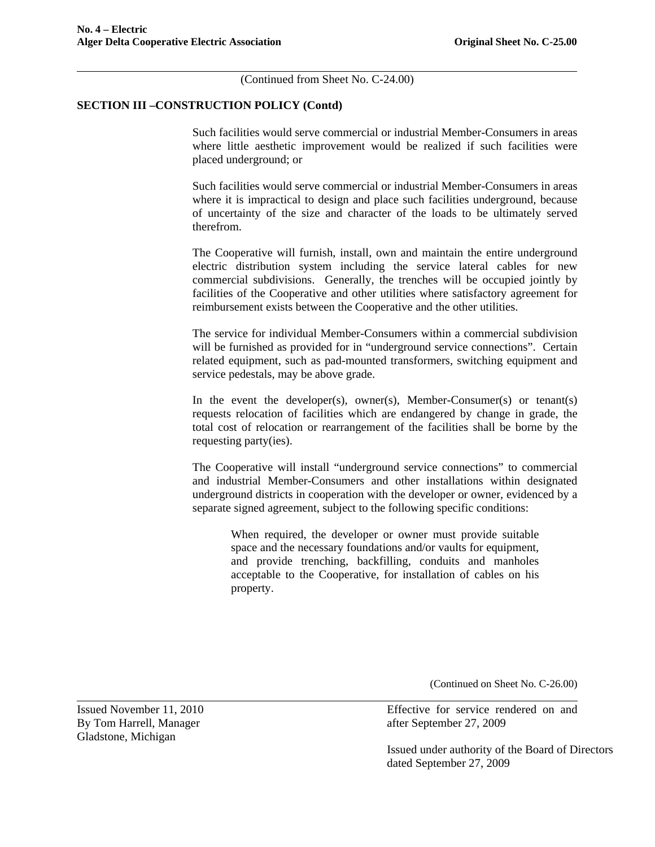(Continued from Sheet No. C-24.00)

## **SECTION III –CONSTRUCTION POLICY (Contd)**

Such facilities would serve commercial or industrial Member-Consumers in areas where little aesthetic improvement would be realized if such facilities were placed underground; or

Such facilities would serve commercial or industrial Member-Consumers in areas where it is impractical to design and place such facilities underground, because of uncertainty of the size and character of the loads to be ultimately served therefrom.

The Cooperative will furnish, install, own and maintain the entire underground electric distribution system including the service lateral cables for new commercial subdivisions. Generally, the trenches will be occupied jointly by facilities of the Cooperative and other utilities where satisfactory agreement for reimbursement exists between the Cooperative and the other utilities.

The service for individual Member-Consumers within a commercial subdivision will be furnished as provided for in "underground service connections". Certain related equipment, such as pad-mounted transformers, switching equipment and service pedestals, may be above grade.

In the event the developer(s), owner(s), Member-Consumer(s) or tenant(s) requests relocation of facilities which are endangered by change in grade, the total cost of relocation or rearrangement of the facilities shall be borne by the requesting party(ies).

The Cooperative will install "underground service connections" to commercial and industrial Member-Consumers and other installations within designated underground districts in cooperation with the developer or owner, evidenced by a separate signed agreement, subject to the following specific conditions:

When required, the developer or owner must provide suitable space and the necessary foundations and/or vaults for equipment, and provide trenching, backfilling, conduits and manholes acceptable to the Cooperative, for installation of cables on his property.

(Continued on Sheet No. C-26.00)

Issued November 11, 2010 Effective for service rendered on and

Issued under authority of the Board of Directors dated September 27, 2009

By Tom Harrell, Manager after September 27, 2009 Gladstone, Michigan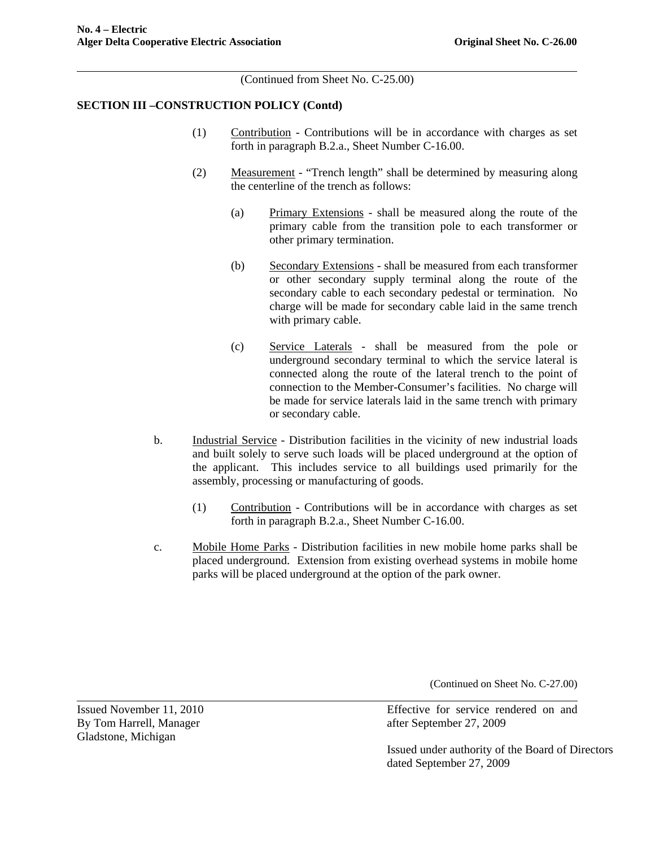(Continued from Sheet No. C-25.00)

### **SECTION III –CONSTRUCTION POLICY (Contd)**

- (1) Contribution Contributions will be in accordance with charges as set forth in paragraph B.2.a., Sheet Number C-16.00.
- (2) Measurement "Trench length" shall be determined by measuring along the centerline of the trench as follows:
	- (a) Primary Extensions shall be measured along the route of the primary cable from the transition pole to each transformer or other primary termination.
	- (b) Secondary Extensions shall be measured from each transformer or other secondary supply terminal along the route of the secondary cable to each secondary pedestal or termination. No charge will be made for secondary cable laid in the same trench with primary cable.
	- (c) Service Laterals shall be measured from the pole or underground secondary terminal to which the service lateral is connected along the route of the lateral trench to the point of connection to the Member-Consumer's facilities. No charge will be made for service laterals laid in the same trench with primary or secondary cable.
- b. Industrial Service Distribution facilities in the vicinity of new industrial loads and built solely to serve such loads will be placed underground at the option of the applicant. This includes service to all buildings used primarily for the assembly, processing or manufacturing of goods.
	- (1) Contribution Contributions will be in accordance with charges as set forth in paragraph B.2.a., Sheet Number C-16.00.
- c. Mobile Home Parks Distribution facilities in new mobile home parks shall be placed underground. Extension from existing overhead systems in mobile home parks will be placed underground at the option of the park owner.

(Continued on Sheet No. C-27.00)

By Tom Harrell, Manager after September 27, 2009 Gladstone, Michigan

l

Issued November 11, 2010 Effective for service rendered on and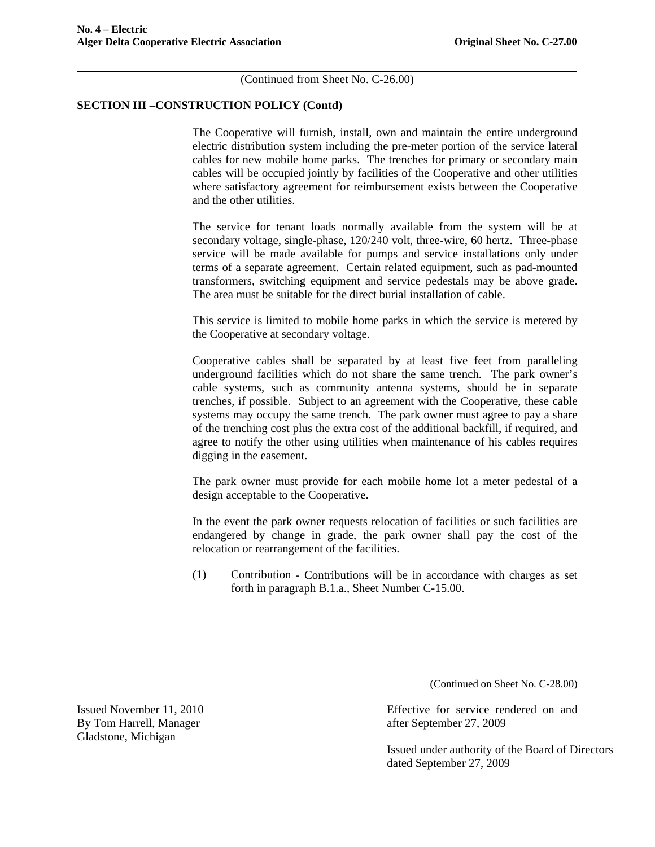(Continued from Sheet No. C-26.00)

## **SECTION III –CONSTRUCTION POLICY (Contd)**

The Cooperative will furnish, install, own and maintain the entire underground electric distribution system including the pre-meter portion of the service lateral cables for new mobile home parks. The trenches for primary or secondary main cables will be occupied jointly by facilities of the Cooperative and other utilities where satisfactory agreement for reimbursement exists between the Cooperative and the other utilities.

The service for tenant loads normally available from the system will be at secondary voltage, single-phase, 120/240 volt, three-wire, 60 hertz. Three-phase service will be made available for pumps and service installations only under terms of a separate agreement. Certain related equipment, such as pad-mounted transformers, switching equipment and service pedestals may be above grade. The area must be suitable for the direct burial installation of cable.

This service is limited to mobile home parks in which the service is metered by the Cooperative at secondary voltage.

Cooperative cables shall be separated by at least five feet from paralleling underground facilities which do not share the same trench. The park owner's cable systems, such as community antenna systems, should be in separate trenches, if possible. Subject to an agreement with the Cooperative, these cable systems may occupy the same trench. The park owner must agree to pay a share of the trenching cost plus the extra cost of the additional backfill, if required, and agree to notify the other using utilities when maintenance of his cables requires digging in the easement.

The park owner must provide for each mobile home lot a meter pedestal of a design acceptable to the Cooperative.

In the event the park owner requests relocation of facilities or such facilities are endangered by change in grade, the park owner shall pay the cost of the relocation or rearrangement of the facilities.

(1) Contribution - Contributions will be in accordance with charges as set forth in paragraph B.1.a., Sheet Number C-15.00.

(Continued on Sheet No. C-28.00)

Issued November 11, 2010 Effective for service rendered on and

Issued under authority of the Board of Directors dated September 27, 2009

By Tom Harrell, Manager after September 27, 2009 Gladstone, Michigan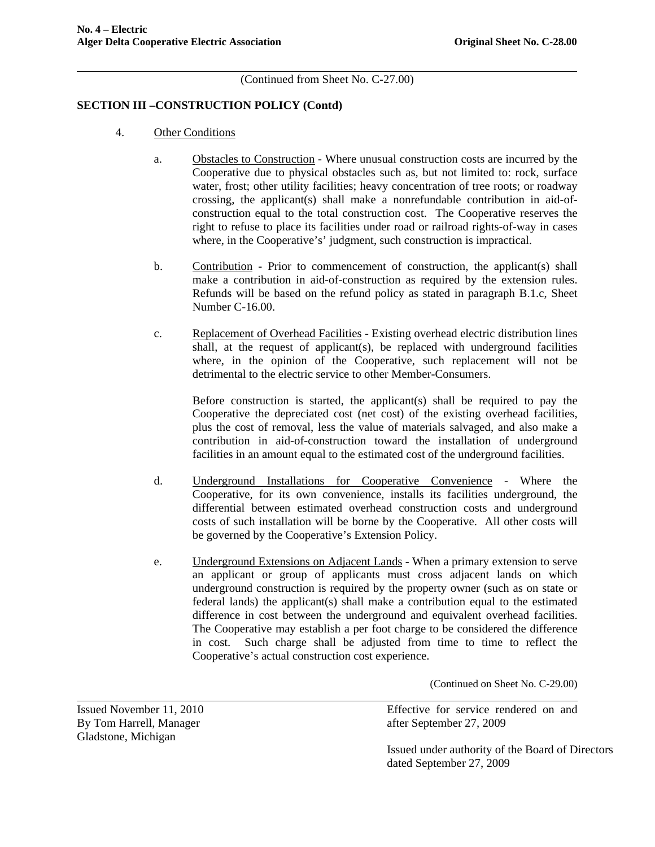(Continued from Sheet No. C-27.00)

## **SECTION III –CONSTRUCTION POLICY (Contd)**

- 4. Other Conditions
	- a. Obstacles to Construction Where unusual construction costs are incurred by the Cooperative due to physical obstacles such as, but not limited to: rock, surface water, frost; other utility facilities; heavy concentration of tree roots; or roadway crossing, the applicant(s) shall make a nonrefundable contribution in aid-ofconstruction equal to the total construction cost. The Cooperative reserves the right to refuse to place its facilities under road or railroad rights-of-way in cases where, in the Cooperative's' judgment, such construction is impractical.
	- b. Contribution Prior to commencement of construction, the applicant(s) shall make a contribution in aid-of-construction as required by the extension rules. Refunds will be based on the refund policy as stated in paragraph B.1.c, Sheet Number C-16.00.
	- c. Replacement of Overhead Facilities Existing overhead electric distribution lines shall, at the request of applicant(s), be replaced with underground facilities where, in the opinion of the Cooperative, such replacement will not be detrimental to the electric service to other Member-Consumers.

Before construction is started, the applicant(s) shall be required to pay the Cooperative the depreciated cost (net cost) of the existing overhead facilities, plus the cost of removal, less the value of materials salvaged, and also make a contribution in aid-of-construction toward the installation of underground facilities in an amount equal to the estimated cost of the underground facilities.

- d. Underground Installations for Cooperative Convenience Where the Cooperative, for its own convenience, installs its facilities underground, the differential between estimated overhead construction costs and underground costs of such installation will be borne by the Cooperative. All other costs will be governed by the Cooperative's Extension Policy.
- e. Underground Extensions on Adjacent Lands When a primary extension to serve an applicant or group of applicants must cross adjacent lands on which underground construction is required by the property owner (such as on state or federal lands) the applicant(s) shall make a contribution equal to the estimated difference in cost between the underground and equivalent overhead facilities. The Cooperative may establish a per foot charge to be considered the difference in cost. Such charge shall be adjusted from time to time to reflect the Cooperative's actual construction cost experience.

(Continued on Sheet No. C-29.00)

By Tom Harrell, Manager after September 27, 2009 Gladstone, Michigan

l

Issued November 11, 2010 Effective for service rendered on and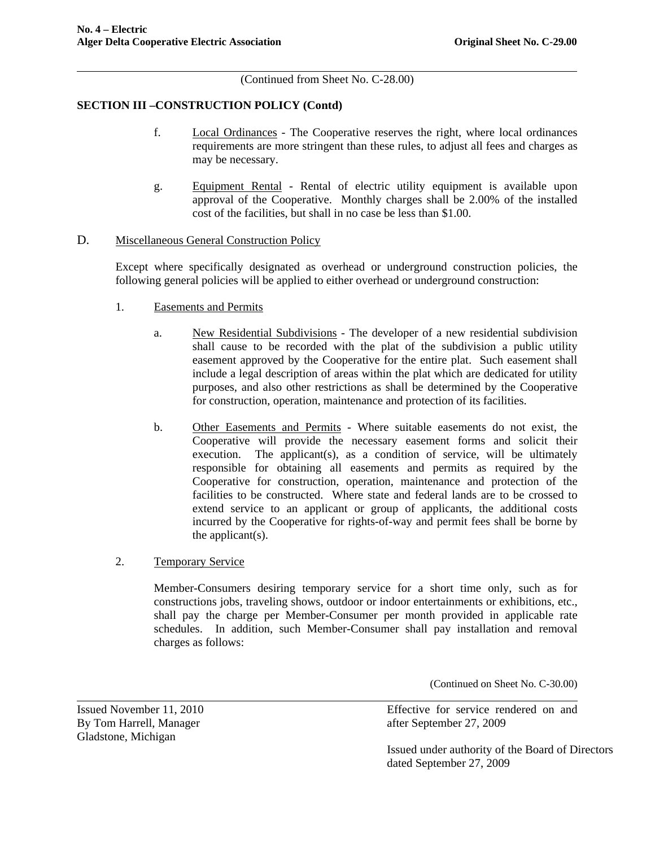### (Continued from Sheet No. C-28.00)

# **SECTION III –CONSTRUCTION POLICY (Contd)**

- f. Local Ordinances The Cooperative reserves the right, where local ordinances requirements are more stringent than these rules, to adjust all fees and charges as may be necessary.
- g. Equipment Rental Rental of electric utility equipment is available upon approval of the Cooperative. Monthly charges shall be 2.00% of the installed cost of the facilities, but shall in no case be less than \$1.00.
- D. Miscellaneous General Construction Policy

Except where specifically designated as overhead or underground construction policies, the following general policies will be applied to either overhead or underground construction:

- 1. Easements and Permits
	- a. New Residential Subdivisions The developer of a new residential subdivision shall cause to be recorded with the plat of the subdivision a public utility easement approved by the Cooperative for the entire plat. Such easement shall include a legal description of areas within the plat which are dedicated for utility purposes, and also other restrictions as shall be determined by the Cooperative for construction, operation, maintenance and protection of its facilities.
	- b. Other Easements and Permits Where suitable easements do not exist, the Cooperative will provide the necessary easement forms and solicit their execution. The applicant(s), as a condition of service, will be ultimately responsible for obtaining all easements and permits as required by the Cooperative for construction, operation, maintenance and protection of the facilities to be constructed. Where state and federal lands are to be crossed to extend service to an applicant or group of applicants, the additional costs incurred by the Cooperative for rights-of-way and permit fees shall be borne by the applicant(s).
- 2. Temporary Service

Member-Consumers desiring temporary service for a short time only, such as for constructions jobs, traveling shows, outdoor or indoor entertainments or exhibitions, etc., shall pay the charge per Member-Consumer per month provided in applicable rate schedules. In addition, such Member-Consumer shall pay installation and removal charges as follows:

(Continued on Sheet No. C-30.00)

By Tom Harrell, Manager after September 27, 2009 Gladstone, Michigan

l

Issued November 11, 2010 Effective for service rendered on and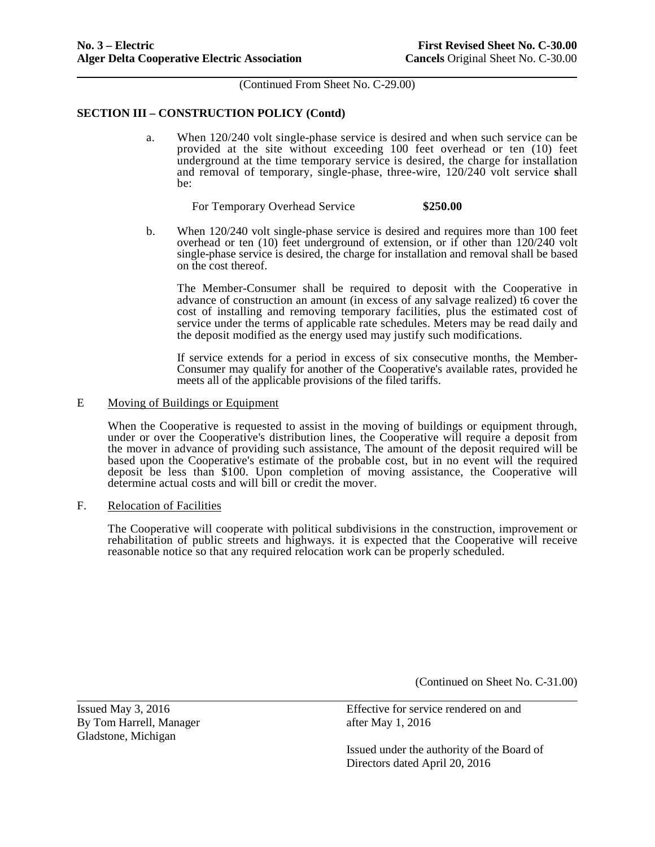(Continued From Sheet No. C-29.00)

#### **SECTION III – CONSTRUCTION POLICY (Contd)**

a. When 120/240 volt single-phase service is desired and when such service can be provided at the site without exceeding 100 feet overhead or ten (10) feet underground at the time temporary service is desired, the charge for installation and removal of temporary, single-phase, three-wire, 120/240 volt service **s**hall be:

For Temporary Overhead Service **\$250.00**

b. When 120/240 volt single-phase service is desired and requires more than 100 feet overhead or ten (10) feet underground of extension, or if other than 120/240 volt single-phase service is desired, the charge for installation and removal shall be based on the cost thereof.

The Member-Consumer shall be required to deposit with the Cooperative in advance of construction an amount (in excess of any salvage realized) to cover the cost of installing and removing temporary facilities, plus the estimated cost of service under the terms of applicable rate schedules. Meters may be read daily and the deposit modified as the energy used may justify such modifications.

If service extends for a period in excess of six consecutive months, the Member-Consumer may qualify for another of the Cooperative's available rates, provided he meets all of the applicable provisions of the filed tariffs.

#### E Moving of Buildings or Equipment

When the Cooperative is requested to assist in the moving of buildings or equipment through, under or over the Cooperative's distribution lines, the Cooperative will require a deposit from the mover in advance of providing such assistance, The amount of the deposit required will be based upon the Cooperative's estimate of the probable cost, but in no event will the required deposit be less than \$100. Upon completion of moving assistance, the Cooperative will determine actual costs and will bill or credit the mover.

#### F. Relocation of Facilities

The Cooperative will cooperate with political subdivisions in the construction, improvement or rehabilitation of public streets and highways. it is expected that the Cooperative will receive reasonable notice so that any required relocation work can be properly scheduled.

(Continued on Sheet No. C-31.00)

By Tom Harrell, Manager after May 1, 2016 Gladstone, Michigan

Issued May 3, 2016 Effective for service rendered on and

Issued under the authority of the Board of Directors dated April 20, 2016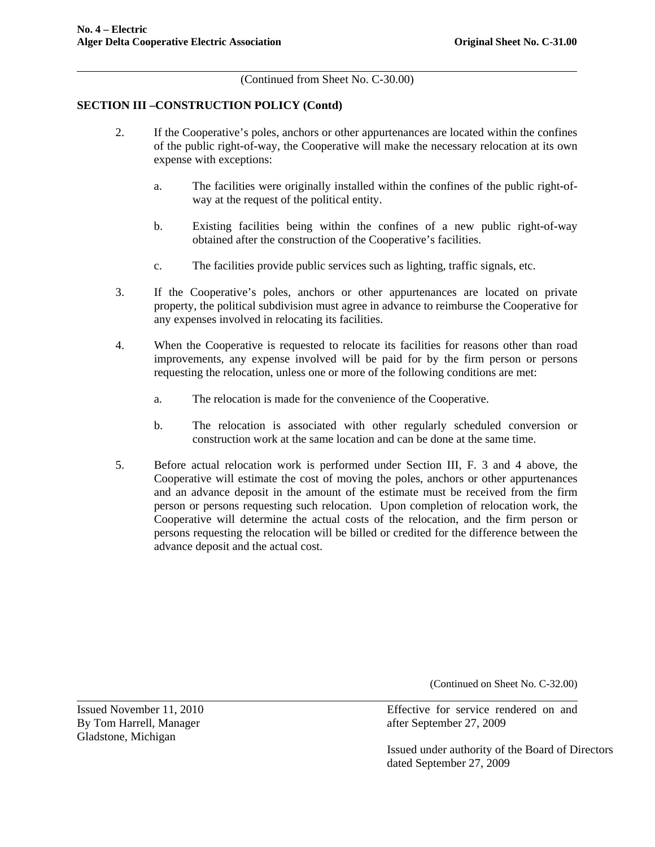(Continued from Sheet No. C-30.00)

## **SECTION III –CONSTRUCTION POLICY (Contd)**

- 2. If the Cooperative's poles, anchors or other appurtenances are located within the confines of the public right-of-way, the Cooperative will make the necessary relocation at its own expense with exceptions:
	- a. The facilities were originally installed within the confines of the public right-ofway at the request of the political entity.
	- b. Existing facilities being within the confines of a new public right-of-way obtained after the construction of the Cooperative's facilities.
	- c. The facilities provide public services such as lighting, traffic signals, etc.
- 3. If the Cooperative's poles, anchors or other appurtenances are located on private property, the political subdivision must agree in advance to reimburse the Cooperative for any expenses involved in relocating its facilities.
- 4. When the Cooperative is requested to relocate its facilities for reasons other than road improvements, any expense involved will be paid for by the firm person or persons requesting the relocation, unless one or more of the following conditions are met:
	- a. The relocation is made for the convenience of the Cooperative.
	- b. The relocation is associated with other regularly scheduled conversion or construction work at the same location and can be done at the same time.
- 5. Before actual relocation work is performed under Section III, F. 3 and 4 above, the Cooperative will estimate the cost of moving the poles, anchors or other appurtenances and an advance deposit in the amount of the estimate must be received from the firm person or persons requesting such relocation. Upon completion of relocation work, the Cooperative will determine the actual costs of the relocation, and the firm person or persons requesting the relocation will be billed or credited for the difference between the advance deposit and the actual cost.

(Continued on Sheet No. C-32.00)

Issued November 11, 2010 Effective for service rendered on and

Issued under authority of the Board of Directors dated September 27, 2009

By Tom Harrell, Manager after September 27, 2009 Gladstone, Michigan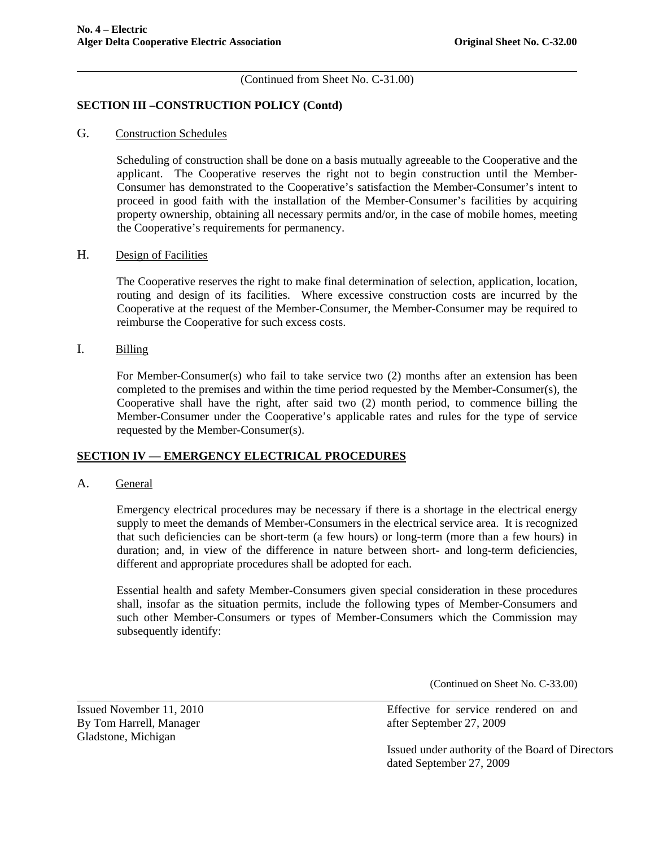(Continued from Sheet No. C-31.00)

## **SECTION III –CONSTRUCTION POLICY (Contd)**

#### G. Construction Schedules

Scheduling of construction shall be done on a basis mutually agreeable to the Cooperative and the applicant. The Cooperative reserves the right not to begin construction until the Member-Consumer has demonstrated to the Cooperative's satisfaction the Member-Consumer's intent to proceed in good faith with the installation of the Member-Consumer's facilities by acquiring property ownership, obtaining all necessary permits and/or, in the case of mobile homes, meeting the Cooperative's requirements for permanency.

#### H. Design of Facilities

The Cooperative reserves the right to make final determination of selection, application, location, routing and design of its facilities. Where excessive construction costs are incurred by the Cooperative at the request of the Member-Consumer, the Member-Consumer may be required to reimburse the Cooperative for such excess costs.

I. Billing

For Member-Consumer(s) who fail to take service two (2) months after an extension has been completed to the premises and within the time period requested by the Member-Consumer(s), the Cooperative shall have the right, after said two (2) month period, to commence billing the Member-Consumer under the Cooperative's applicable rates and rules for the type of service requested by the Member-Consumer(s).

#### **SECTION IV — EMERGENCY ELECTRICAL PROCEDURES**

A. General

Emergency electrical procedures may be necessary if there is a shortage in the electrical energy supply to meet the demands of Member-Consumers in the electrical service area. It is recognized that such deficiencies can be short-term (a few hours) or long-term (more than a few hours) in duration; and, in view of the difference in nature between short- and long-term deficiencies, different and appropriate procedures shall be adopted for each.

Essential health and safety Member-Consumers given special consideration in these procedures shall, insofar as the situation permits, include the following types of Member-Consumers and such other Member-Consumers or types of Member-Consumers which the Commission may subsequently identify:

(Continued on Sheet No. C-33.00)

By Tom Harrell, Manager after September 27, 2009 Gladstone, Michigan

l

Issued November 11, 2010 Effective for service rendered on and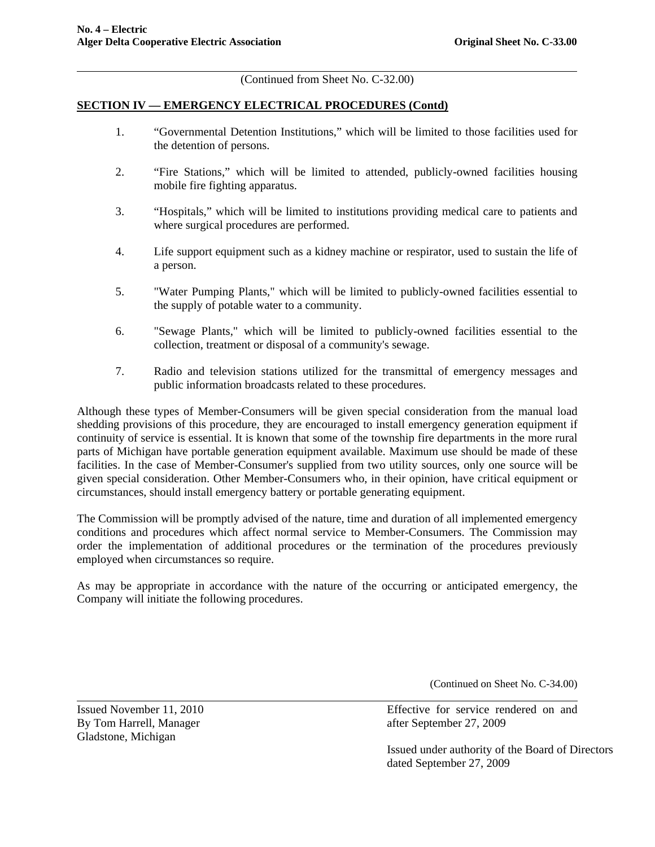### (Continued from Sheet No. C-32.00)

## **SECTION IV — EMERGENCY ELECTRICAL PROCEDURES (Contd)**

- 1. "Governmental Detention Institutions," which will be limited to those facilities used for the detention of persons.
- 2. "Fire Stations," which will be limited to attended, publicly-owned facilities housing mobile fire fighting apparatus.
- 3. "Hospitals," which will be limited to institutions providing medical care to patients and where surgical procedures are performed.
- 4. Life support equipment such as a kidney machine or respirator, used to sustain the life of a person.
- 5. "Water Pumping Plants," which will be limited to publicly-owned facilities essential to the supply of potable water to a community.
- 6. "Sewage Plants," which will be limited to publicly-owned facilities essential to the collection, treatment or disposal of a community's sewage.
- 7. Radio and television stations utilized for the transmittal of emergency messages and public information broadcasts related to these procedures.

Although these types of Member-Consumers will be given special consideration from the manual load shedding provisions of this procedure, they are encouraged to install emergency generation equipment if continuity of service is essential. It is known that some of the township fire departments in the more rural parts of Michigan have portable generation equipment available. Maximum use should be made of these facilities. In the case of Member-Consumer's supplied from two utility sources, only one source will be given special consideration. Other Member-Consumers who, in their opinion, have critical equipment or circumstances, should install emergency battery or portable generating equipment.

The Commission will be promptly advised of the nature, time and duration of all implemented emergency conditions and procedures which affect normal service to Member-Consumers. The Commission may order the implementation of additional procedures or the termination of the procedures previously employed when circumstances so require.

As may be appropriate in accordance with the nature of the occurring or anticipated emergency, the Company will initiate the following procedures.

(Continued on Sheet No. C-34.00)

Issued November 11, 2010 Effective for service rendered on and By Tom Harrell, Manager after September 27, 2009

> Issued under authority of the Board of Directors dated September 27, 2009

Gladstone, Michigan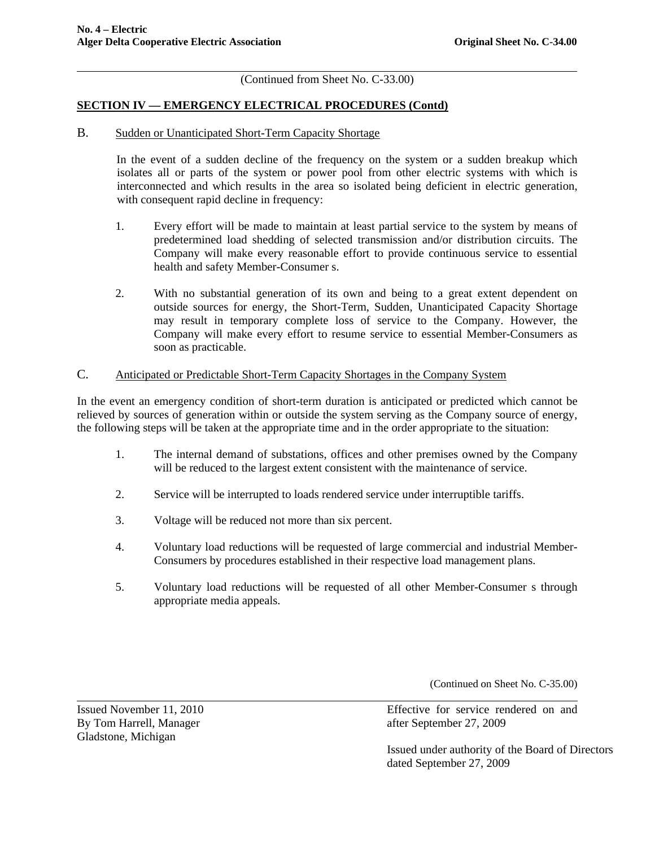## (Continued from Sheet No. C-33.00)

## **SECTION IV — EMERGENCY ELECTRICAL PROCEDURES (Contd)**

#### B. Sudden or Unanticipated Short-Term Capacity Shortage

In the event of a sudden decline of the frequency on the system or a sudden breakup which isolates all or parts of the system or power pool from other electric systems with which is interconnected and which results in the area so isolated being deficient in electric generation, with consequent rapid decline in frequency:

- 1. Every effort will be made to maintain at least partial service to the system by means of predetermined load shedding of selected transmission and/or distribution circuits. The Company will make every reasonable effort to provide continuous service to essential health and safety Member-Consumer s.
- 2. With no substantial generation of its own and being to a great extent dependent on outside sources for energy, the Short-Term, Sudden, Unanticipated Capacity Shortage may result in temporary complete loss of service to the Company. However, the Company will make every effort to resume service to essential Member-Consumers as soon as practicable.

### C. Anticipated or Predictable Short-Term Capacity Shortages in the Company System

In the event an emergency condition of short-term duration is anticipated or predicted which cannot be relieved by sources of generation within or outside the system serving as the Company source of energy, the following steps will be taken at the appropriate time and in the order appropriate to the situation:

- 1. The internal demand of substations, offices and other premises owned by the Company will be reduced to the largest extent consistent with the maintenance of service.
- 2. Service will be interrupted to loads rendered service under interruptible tariffs.
- 3. Voltage will be reduced not more than six percent.
- 4. Voluntary load reductions will be requested of large commercial and industrial Member-Consumers by procedures established in their respective load management plans.
- 5. Voluntary load reductions will be requested of all other Member-Consumer s through appropriate media appeals.

(Continued on Sheet No. C-35.00)

Issued November 11, 2010 Effective for service rendered on and By Tom Harrell, Manager after September 27, 2009

> Issued under authority of the Board of Directors dated September 27, 2009

Gladstone, Michigan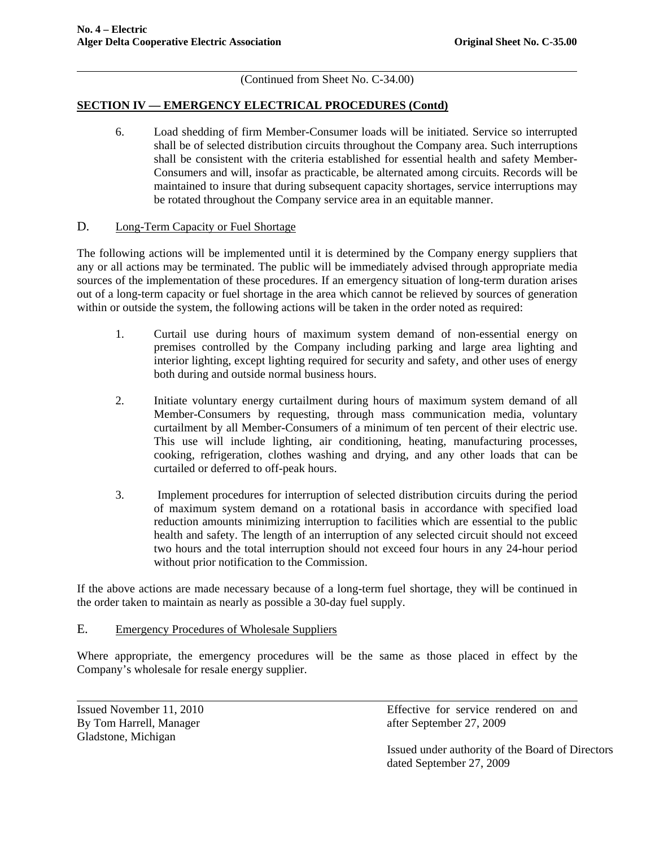# (Continued from Sheet No. C-34.00)

# **SECTION IV — EMERGENCY ELECTRICAL PROCEDURES (Contd)**

6. Load shedding of firm Member-Consumer loads will be initiated. Service so interrupted shall be of selected distribution circuits throughout the Company area. Such interruptions shall be consistent with the criteria established for essential health and safety Member-Consumers and will, insofar as practicable, be alternated among circuits. Records will be maintained to insure that during subsequent capacity shortages, service interruptions may be rotated throughout the Company service area in an equitable manner.

## D. Long-Term Capacity or Fuel Shortage

The following actions will be implemented until it is determined by the Company energy suppliers that any or all actions may be terminated. The public will be immediately advised through appropriate media sources of the implementation of these procedures. If an emergency situation of long-term duration arises out of a long-term capacity or fuel shortage in the area which cannot be relieved by sources of generation within or outside the system, the following actions will be taken in the order noted as required:

- 1. Curtail use during hours of maximum system demand of non-essential energy on premises controlled by the Company including parking and large area lighting and interior lighting, except lighting required for security and safety, and other uses of energy both during and outside normal business hours.
- 2. Initiate voluntary energy curtailment during hours of maximum system demand of all Member-Consumers by requesting, through mass communication media, voluntary curtailment by all Member-Consumers of a minimum of ten percent of their electric use. This use will include lighting, air conditioning, heating, manufacturing processes, cooking, refrigeration, clothes washing and drying, and any other loads that can be curtailed or deferred to off-peak hours.
- 3. Implement procedures for interruption of selected distribution circuits during the period of maximum system demand on a rotational basis in accordance with specified load reduction amounts minimizing interruption to facilities which are essential to the public health and safety. The length of an interruption of any selected circuit should not exceed two hours and the total interruption should not exceed four hours in any 24-hour period without prior notification to the Commission.

If the above actions are made necessary because of a long-term fuel shortage, they will be continued in the order taken to maintain as nearly as possible a 30-day fuel supply.

### E. Emergency Procedures of Wholesale Suppliers

Where appropriate, the emergency procedures will be the same as those placed in effect by the Company's wholesale for resale energy supplier.

By Tom Harrell, Manager after September 27, 2009 Gladstone, Michigan

l

Issued November 11, 2010 Effective for service rendered on and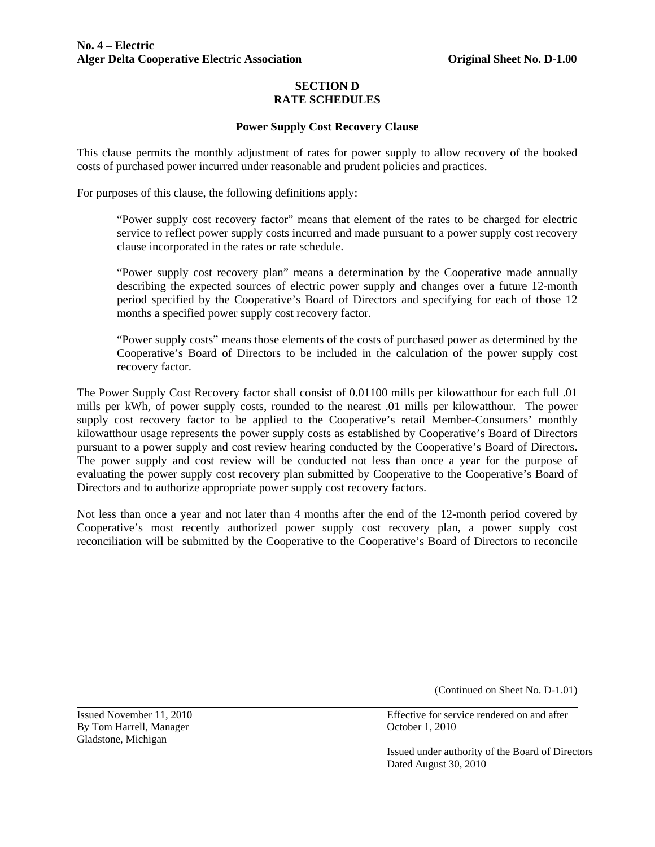### **SECTION D RATE SCHEDULES**

## **Power Supply Cost Recovery Clause**

This clause permits the monthly adjustment of rates for power supply to allow recovery of the booked costs of purchased power incurred under reasonable and prudent policies and practices.

For purposes of this clause, the following definitions apply:

"Power supply cost recovery factor" means that element of the rates to be charged for electric service to reflect power supply costs incurred and made pursuant to a power supply cost recovery clause incorporated in the rates or rate schedule.

"Power supply cost recovery plan" means a determination by the Cooperative made annually describing the expected sources of electric power supply and changes over a future 12-month period specified by the Cooperative's Board of Directors and specifying for each of those 12 months a specified power supply cost recovery factor.

"Power supply costs" means those elements of the costs of purchased power as determined by the Cooperative's Board of Directors to be included in the calculation of the power supply cost recovery factor.

The Power Supply Cost Recovery factor shall consist of 0.01100 mills per kilowatthour for each full .01 mills per kWh, of power supply costs, rounded to the nearest .01 mills per kilowatthour. The power supply cost recovery factor to be applied to the Cooperative's retail Member-Consumers' monthly kilowatthour usage represents the power supply costs as established by Cooperative's Board of Directors pursuant to a power supply and cost review hearing conducted by the Cooperative's Board of Directors. The power supply and cost review will be conducted not less than once a year for the purpose of evaluating the power supply cost recovery plan submitted by Cooperative to the Cooperative's Board of Directors and to authorize appropriate power supply cost recovery factors.

Not less than once a year and not later than 4 months after the end of the 12-month period covered by Cooperative's most recently authorized power supply cost recovery plan, a power supply cost reconciliation will be submitted by the Cooperative to the Cooperative's Board of Directors to reconcile

(Continued on Sheet No. D-1.01)

By Tom Harrell, Manager Corober 1, 2010 Gladstone, Michigan

 $\overline{a}$ 

Issued November 11, 2010 Effective for service rendered on and after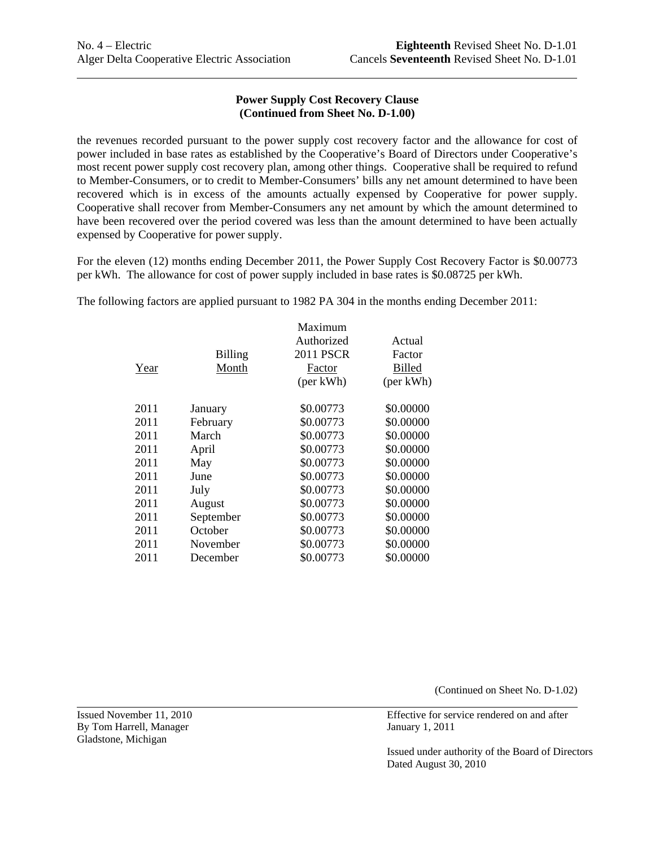## **Power Supply Cost Recovery Clause (Continued from Sheet No. D-1.00)**

the revenues recorded pursuant to the power supply cost recovery factor and the allowance for cost of power included in base rates as established by the Cooperative's Board of Directors under Cooperative's most recent power supply cost recovery plan, among other things. Cooperative shall be required to refund to Member-Consumers, or to credit to Member-Consumers' bills any net amount determined to have been recovered which is in excess of the amounts actually expensed by Cooperative for power supply. Cooperative shall recover from Member-Consumers any net amount by which the amount determined to have been recovered over the period covered was less than the amount determined to have been actually expensed by Cooperative for power supply.

For the eleven (12) months ending December 2011, the Power Supply Cost Recovery Factor is \$0.00773 per kWh. The allowance for cost of power supply included in base rates is \$0.08725 per kWh.

The following factors are applied pursuant to 1982 PA 304 in the months ending December 2011:

| Year | <b>Billing</b><br>Month | Maximum<br>Authorized<br>2011 PSCR<br>Factor<br>(per kWh) | Actual<br>Factor<br><b>Billed</b><br>(per kWh) |
|------|-------------------------|-----------------------------------------------------------|------------------------------------------------|
| 2011 | January                 | \$0.00773                                                 | \$0.00000                                      |
| 2011 | February                | \$0.00773                                                 | \$0.00000                                      |
| 2011 | March                   | \$0.00773                                                 | \$0.00000                                      |
| 2011 | April                   | \$0.00773                                                 | \$0.00000                                      |
| 2011 | May                     | \$0.00773                                                 | \$0.00000                                      |
| 2011 | June                    | \$0.00773                                                 | \$0.00000                                      |
| 2011 | July                    | \$0.00773                                                 | \$0.00000                                      |
| 2011 | August                  | \$0.00773                                                 | \$0.00000                                      |
| 2011 | September               | \$0.00773                                                 | \$0.00000                                      |
| 2011 | October                 | \$0.00773                                                 | \$0.00000                                      |
| 2011 | November                | \$0.00773                                                 | \$0.00000                                      |
| 2011 | December                | \$0.00773                                                 | \$0.00000                                      |

By Tom Harrell, Manager January 1, 2011 Gladstone, Michigan

 $\overline{a}$ 

(Continued on Sheet No. D-1.02)

Issued November 11, 2010 Effective for service rendered on and after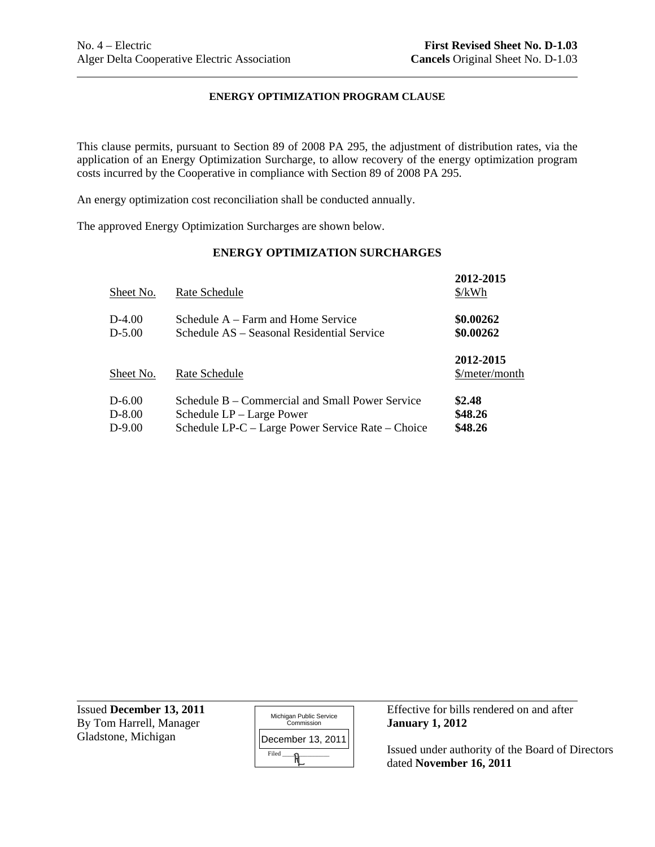l

### **ENERGY OPTIMIZATION PROGRAM CLAUSE**

This clause permits, pursuant to Section 89 of 2008 PA 295, the adjustment of distribution rates, via the application of an Energy Optimization Surcharge, to allow recovery of the energy optimization program costs incurred by the Cooperative in compliance with Section 89 of 2008 PA 295.

An energy optimization cost reconciliation shall be conducted annually.

The approved Energy Optimization Surcharges are shown below.

### **ENERGY OPTIMIZATION SURCHARGES**

| Sheet No. | Rate Schedule                                     | 2012-2015<br>\$/kWh         |
|-----------|---------------------------------------------------|-----------------------------|
| D-4.00    | Schedule A – Farm and Home Service                | \$0.00262                   |
| D-5.00    | Schedule AS – Seasonal Residential Service        | \$0.00262                   |
| Sheet No. | Rate Schedule                                     | 2012-2015<br>\$/meter/month |
| D-6.00    | Schedule B – Commercial and Small Power Service   | \$2.48                      |
| D-8.00    | Schedule LP – Large Power                         | \$48.26                     |
| D-9.00    | Schedule LP-C – Large Power Service Rate – Choice | \$48.26                     |

By Tom Harrell, Manager **Value Accommission** Public Service **January 1, 2012** Gladstone, Michigan

 $\overline{a}$ 

| Michigan Public Service<br>Commission |
|---------------------------------------|
| December 13, 2011                     |
| Filed                                 |

Issued **December 13, 2011** Effective for bills rendered on and after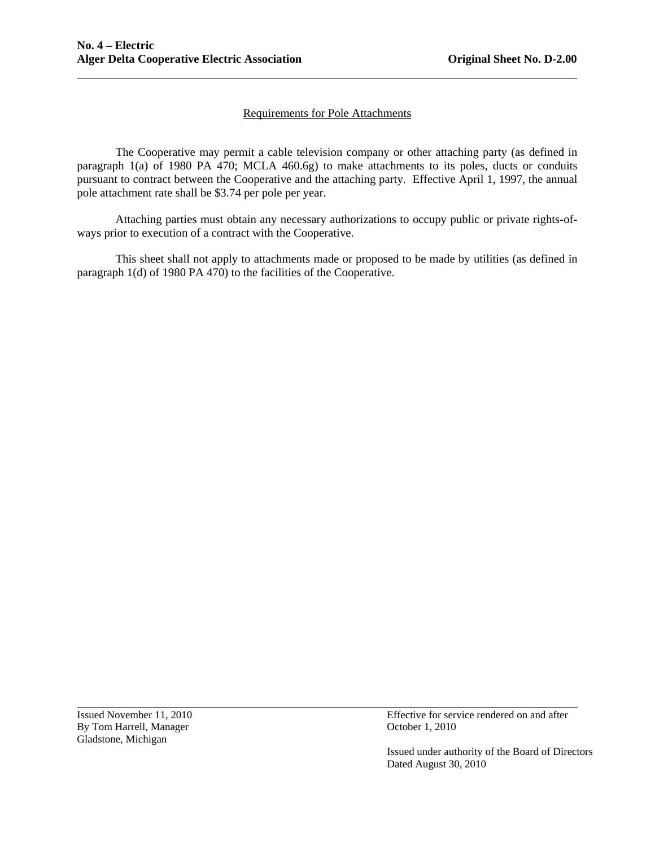## Requirements for Pole Attachments

The Cooperative may permit a cable television company or other attaching party (as defined in paragraph 1(a) of 1980 PA 470; MCLA 460.6g) to make attachments to its poles, ducts or conduits pursuant to contract between the Cooperative and the attaching party. Effective April 1, 1997, the annual pole attachment rate shall be \$3.74 per pole per year.

Attaching parties must obtain any necessary authorizations to occupy public or private rights-ofways prior to execution of a contract with the Cooperative.

This sheet shall not apply to attachments made or proposed to be made by utilities (as defined in paragraph 1(d) of 1980 PA 470) to the facilities of the Cooperative.

l

Issued November 11, 2010 Effective for service rendered on and after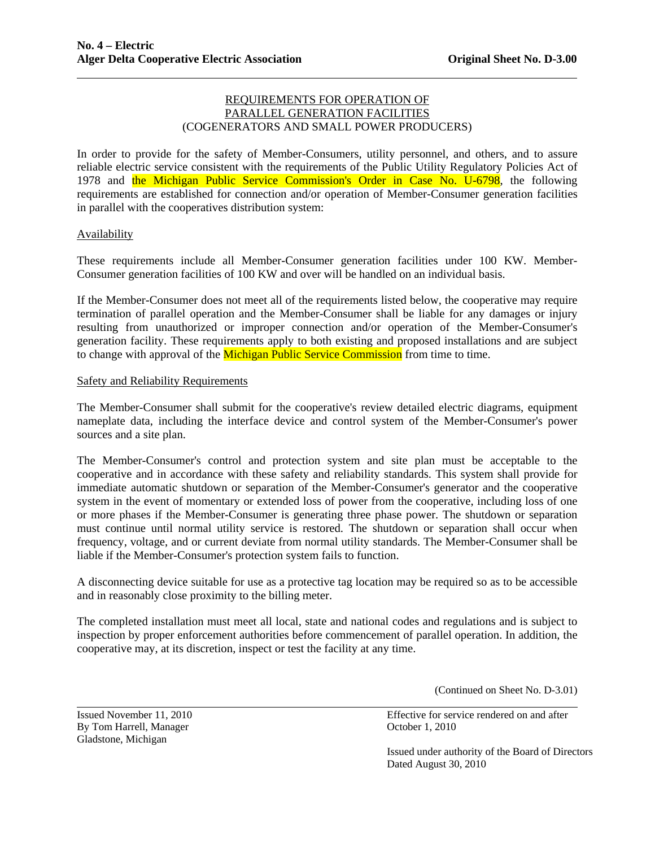# REQUIREMENTS FOR OPERATION OF PARALLEL GENERATION FACILITIES (COGENERATORS AND SMALL POWER PRODUCERS)

In order to provide for the safety of Member-Consumers, utility personnel, and others, and to assure reliable electric service consistent with the requirements of the Public Utility Regulatory Policies Act of 1978 and the Michigan Public Service Commission's Order in Case No. U-6798, the following requirements are established for connection and/or operation of Member-Consumer generation facilities in parallel with the cooperatives distribution system:

### Availability

These requirements include all Member-Consumer generation facilities under 100 KW. Member-Consumer generation facilities of 100 KW and over will be handled on an individual basis.

If the Member-Consumer does not meet all of the requirements listed below, the cooperative may require termination of parallel operation and the Member-Consumer shall be liable for any damages or injury resulting from unauthorized or improper connection and/or operation of the Member-Consumer's generation facility. These requirements apply to both existing and proposed installations and are subject to change with approval of the Michigan Public Service Commission from time to time.

#### Safety and Reliability Requirements

The Member-Consumer shall submit for the cooperative's review detailed electric diagrams, equipment nameplate data, including the interface device and control system of the Member-Consumer's power sources and a site plan.

The Member-Consumer's control and protection system and site plan must be acceptable to the cooperative and in accordance with these safety and reliability standards. This system shall provide for immediate automatic shutdown or separation of the Member-Consumer's generator and the cooperative system in the event of momentary or extended loss of power from the cooperative, including loss of one or more phases if the Member-Consumer is generating three phase power. The shutdown or separation must continue until normal utility service is restored. The shutdown or separation shall occur when frequency, voltage, and or current deviate from normal utility standards. The Member-Consumer shall be liable if the Member-Consumer's protection system fails to function.

A disconnecting device suitable for use as a protective tag location may be required so as to be accessible and in reasonably close proximity to the billing meter.

The completed installation must meet all local, state and national codes and regulations and is subject to inspection by proper enforcement authorities before commencement of parallel operation. In addition, the cooperative may, at its discretion, inspect or test the facility at any time.

(Continued on Sheet No. D-3.01)

By Tom Harrell, Manager Corober 1, 2010 Gladstone, Michigan

l

Issued November 11, 2010 Effective for service rendered on and after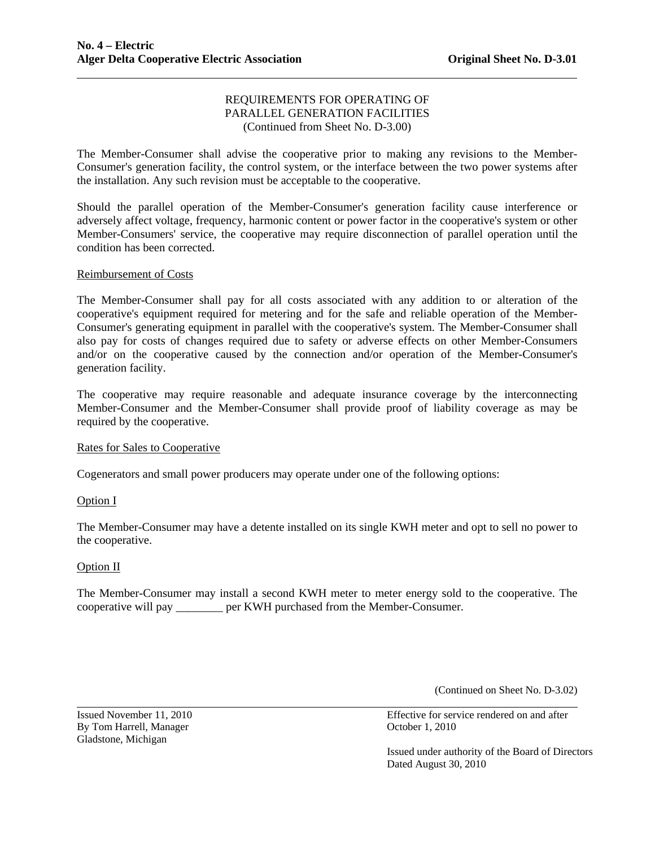# REQUIREMENTS FOR OPERATING OF PARALLEL GENERATION FACILITIES (Continued from Sheet No. D-3.00)

The Member-Consumer shall advise the cooperative prior to making any revisions to the Member-Consumer's generation facility, the control system, or the interface between the two power systems after the installation. Any such revision must be acceptable to the cooperative.

Should the parallel operation of the Member-Consumer's generation facility cause interference or adversely affect voltage, frequency, harmonic content or power factor in the cooperative's system or other Member-Consumers' service, the cooperative may require disconnection of parallel operation until the condition has been corrected.

### Reimbursement of Costs

The Member-Consumer shall pay for all costs associated with any addition to or alteration of the cooperative's equipment required for metering and for the safe and reliable operation of the Member-Consumer's generating equipment in parallel with the cooperative's system. The Member-Consumer shall also pay for costs of changes required due to safety or adverse effects on other Member-Consumers and/or on the cooperative caused by the connection and/or operation of the Member-Consumer's generation facility.

The cooperative may require reasonable and adequate insurance coverage by the interconnecting Member-Consumer and the Member-Consumer shall provide proof of liability coverage as may be required by the cooperative.

#### Rates for Sales to Cooperative

Cogenerators and small power producers may operate under one of the following options:

#### Option I

The Member-Consumer may have a detente installed on its single KWH meter and opt to sell no power to the cooperative.

#### Option II

l

The Member-Consumer may install a second KWH meter to meter energy sold to the cooperative. The cooperative will pay entity per KWH purchased from the Member-Consumer.

(Continued on Sheet No. D-3.02)

By Tom Harrell, Manager Gladstone, Michigan

Issued November 11, 2010 Effective for service rendered on and after<br>By Tom Harrell, Manager October 1, 2010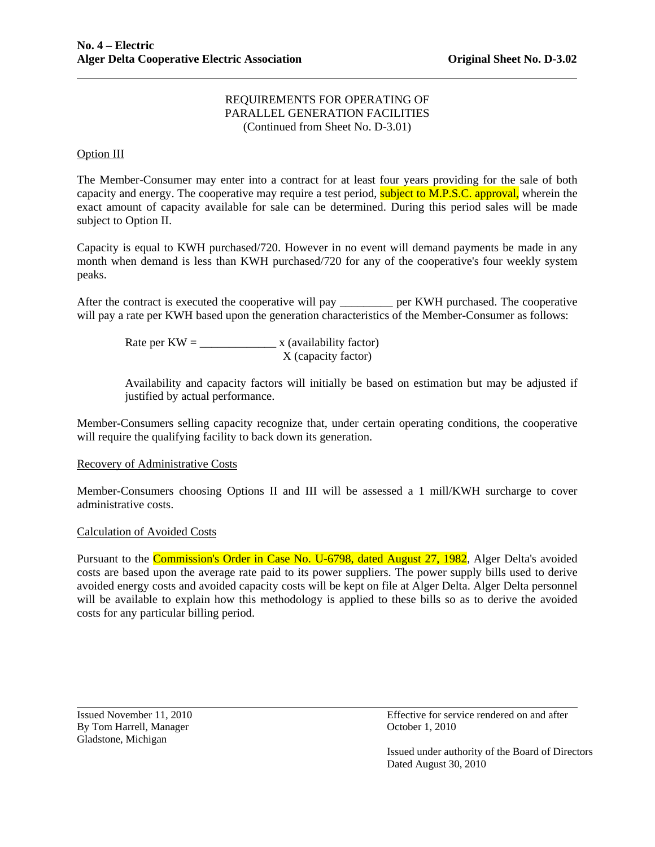## REQUIREMENTS FOR OPERATING OF PARALLEL GENERATION FACILITIES (Continued from Sheet No. D-3.01)

## Option III

The Member-Consumer may enter into a contract for at least four years providing for the sale of both capacity and energy. The cooperative may require a test period, subject to M.P.S.C. approval, wherein the exact amount of capacity available for sale can be determined. During this period sales will be made subject to Option II.

Capacity is equal to KWH purchased/720. However in no event will demand payments be made in any month when demand is less than KWH purchased/720 for any of the cooperative's four weekly system peaks.

After the contract is executed the cooperative will pay \_\_\_\_\_\_\_\_\_ per KWH purchased. The cooperative will pay a rate per KWH based upon the generation characteristics of the Member-Consumer as follows:

Rate per  $KW = \_ x$  (availability factor) X (capacity factor)

Availability and capacity factors will initially be based on estimation but may be adjusted if justified by actual performance.

Member-Consumers selling capacity recognize that, under certain operating conditions, the cooperative will require the qualifying facility to back down its generation.

#### Recovery of Administrative Costs

Member-Consumers choosing Options II and III will be assessed a 1 mill/KWH surcharge to cover administrative costs.

### Calculation of Avoided Costs

Pursuant to the Commission's Order in Case No. U-6798, dated August 27, 1982, Alger Delta's avoided costs are based upon the average rate paid to its power suppliers. The power supply bills used to derive avoided energy costs and avoided capacity costs will be kept on file at Alger Delta. Alger Delta personnel will be available to explain how this methodology is applied to these bills so as to derive the avoided costs for any particular billing period.

l

Issued November 11, 2010 Effective for service rendered on and after<br>By Tom Harrell, Manager October 1, 2010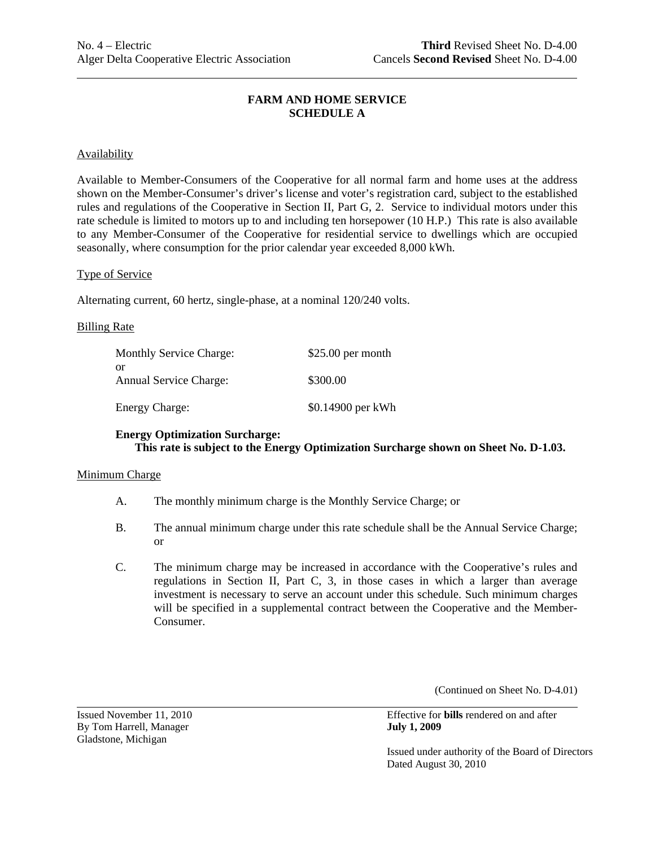# **FARM AND HOME SERVICE SCHEDULE A**

## Availability

Available to Member-Consumers of the Cooperative for all normal farm and home uses at the address shown on the Member-Consumer's driver's license and voter's registration card, subject to the established rules and regulations of the Cooperative in Section II, Part G, 2. Service to individual motors under this rate schedule is limited to motors up to and including ten horsepower (10 H.P.) This rate is also available to any Member-Consumer of the Cooperative for residential service to dwellings which are occupied seasonally, where consumption for the prior calendar year exceeded 8,000 kWh.

#### Type of Service

Alternating current, 60 hertz, single-phase, at a nominal 120/240 volts.

#### Billing Rate

| <b>Monthly Service Charge:</b> | $$25.00$ per month |
|--------------------------------|--------------------|
| or<br>Annual Service Charge:   | \$300.00           |
| <b>Energy Charge:</b>          | \$0.14900 per kWh  |

#### **Energy Optimization Surcharge: This rate is subject to the Energy Optimization Surcharge shown on Sheet No. D-1.03.**

#### Minimum Charge

- A. The monthly minimum charge is the Monthly Service Charge; or
- B. The annual minimum charge under this rate schedule shall be the Annual Service Charge; or
- C. The minimum charge may be increased in accordance with the Cooperative's rules and regulations in Section II, Part C, 3, in those cases in which a larger than average investment is necessary to serve an account under this schedule. Such minimum charges will be specified in a supplemental contract between the Cooperative and the Member-Consumer.

(Continued on Sheet No. D-4.01)

By Tom Harrell, Manager **July 1, 2009** Gladstone, Michigan

 $\overline{a}$ 

Issued November 11, 2010 Effective for **bills** rendered on and after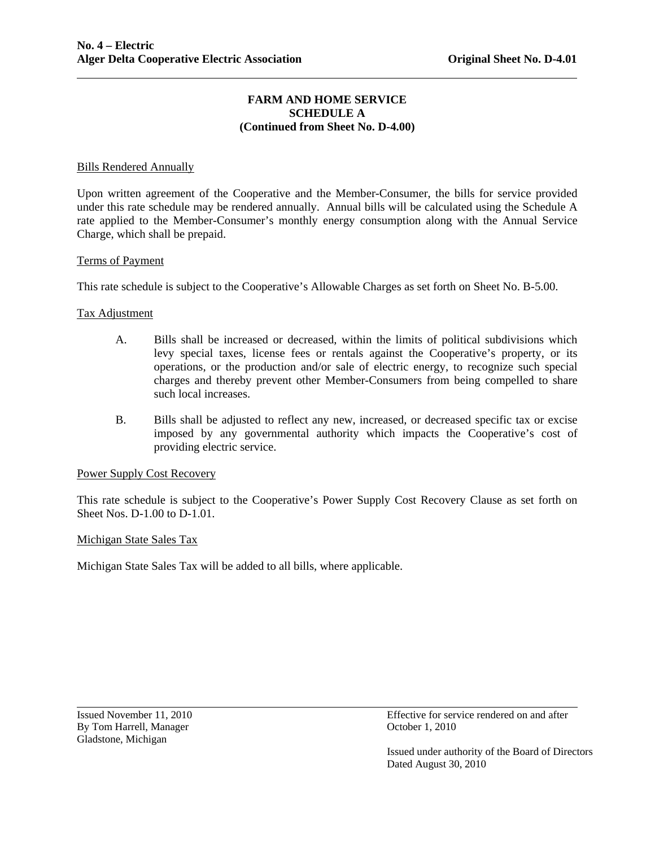# **FARM AND HOME SERVICE SCHEDULE A (Continued from Sheet No. D-4.00)**

### Bills Rendered Annually

Upon written agreement of the Cooperative and the Member-Consumer, the bills for service provided under this rate schedule may be rendered annually. Annual bills will be calculated using the Schedule A rate applied to the Member-Consumer's monthly energy consumption along with the Annual Service Charge, which shall be prepaid.

### Terms of Payment

This rate schedule is subject to the Cooperative's Allowable Charges as set forth on Sheet No. B-5.00.

### Tax Adjustment

- A. Bills shall be increased or decreased, within the limits of political subdivisions which levy special taxes, license fees or rentals against the Cooperative's property, or its operations, or the production and/or sale of electric energy, to recognize such special charges and thereby prevent other Member-Consumers from being compelled to share such local increases.
- B. Bills shall be adjusted to reflect any new, increased, or decreased specific tax or excise imposed by any governmental authority which impacts the Cooperative's cost of providing electric service.

#### Power Supply Cost Recovery

This rate schedule is subject to the Cooperative's Power Supply Cost Recovery Clause as set forth on Sheet Nos. D-1.00 to D-1.01.

#### Michigan State Sales Tax

Michigan State Sales Tax will be added to all bills, where applicable.

l

Issued November 11, 2010 Effective for service rendered on and after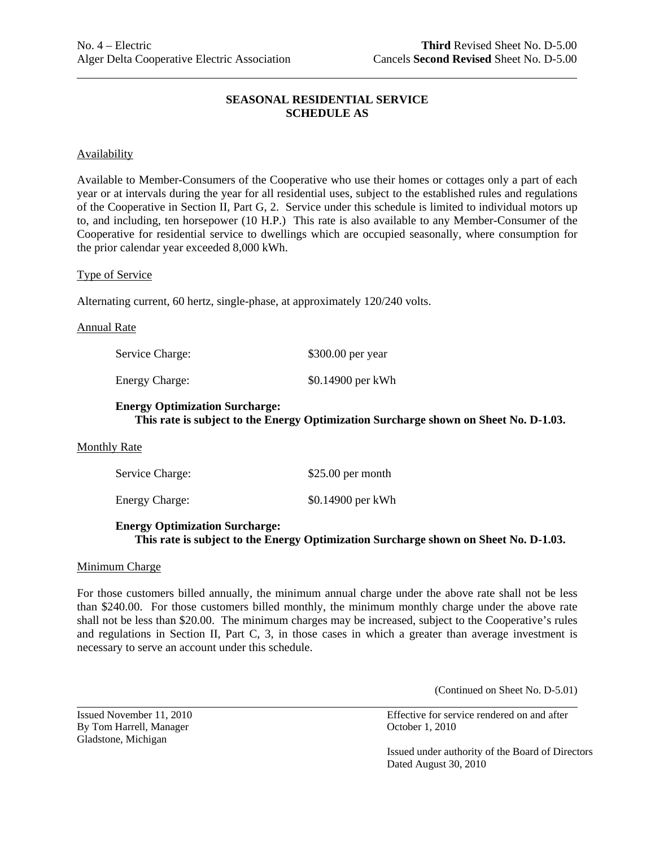# **SEASONAL RESIDENTIAL SERVICE SCHEDULE AS**

# Availability

Available to Member-Consumers of the Cooperative who use their homes or cottages only a part of each year or at intervals during the year for all residential uses, subject to the established rules and regulations of the Cooperative in Section II, Part G, 2. Service under this schedule is limited to individual motors up to, and including, ten horsepower (10 H.P.) This rate is also available to any Member-Consumer of the Cooperative for residential service to dwellings which are occupied seasonally, where consumption for the prior calendar year exceeded 8,000 kWh.

#### Type of Service

Alternating current, 60 hertz, single-phase, at approximately 120/240 volts.

#### Annual Rate

| Service Charge: | \$300.00 per year |
|-----------------|-------------------|
| Energy Charge:  | \$0.14900 per kWh |

# **Energy Optimization Surcharge: This rate is subject to the Energy Optimization Surcharge shown on Sheet No. D-1.03.**

### Monthly Rate

| Service Charge:       | $$25.00$ per month |
|-----------------------|--------------------|
| <b>Energy Charge:</b> | \$0.14900 per kWh  |

# **Energy Optimization Surcharge: This rate is subject to the Energy Optimization Surcharge shown on Sheet No. D-1.03.**

#### Minimum Charge

For those customers billed annually, the minimum annual charge under the above rate shall not be less than \$240.00. For those customers billed monthly, the minimum monthly charge under the above rate shall not be less than \$20.00. The minimum charges may be increased, subject to the Cooperative's rules and regulations in Section II, Part C, 3, in those cases in which a greater than average investment is necessary to serve an account under this schedule.

(Continued on Sheet No. D-5.01)

By Tom Harrell, Manager Corober 1, 2010 Gladstone, Michigan

 $\overline{a}$ 

Issued November 11, 2010 Effective for service rendered on and after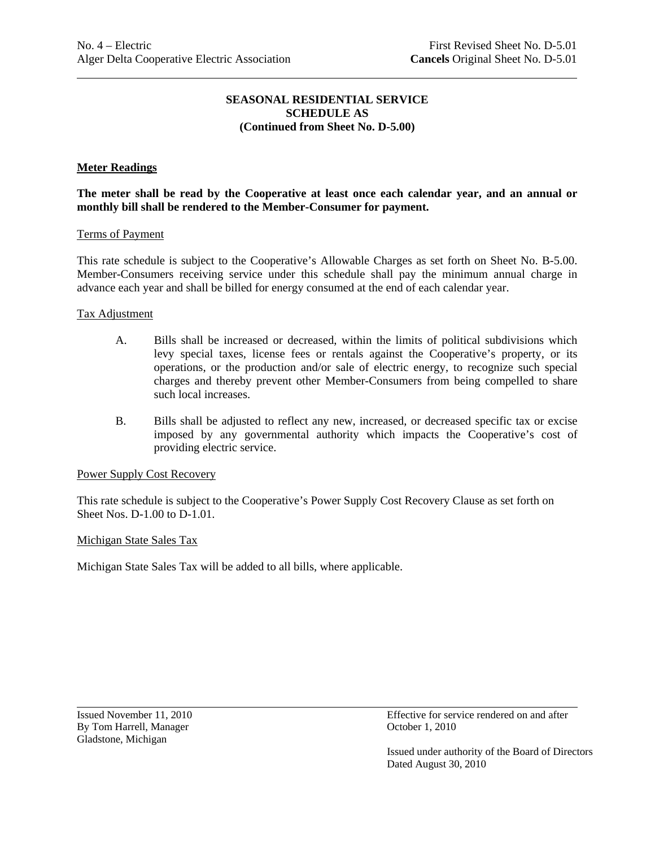# **SEASONAL RESIDENTIAL SERVICE SCHEDULE AS (Continued from Sheet No. D-5.00)**

### **Meter Readings**

# **The meter shall be read by the Cooperative at least once each calendar year, and an annual or monthly bill shall be rendered to the Member-Consumer for payment.**

#### Terms of Payment

This rate schedule is subject to the Cooperative's Allowable Charges as set forth on Sheet No. B-5.00. Member-Consumers receiving service under this schedule shall pay the minimum annual charge in advance each year and shall be billed for energy consumed at the end of each calendar year.

#### Tax Adjustment

- A. Bills shall be increased or decreased, within the limits of political subdivisions which levy special taxes, license fees or rentals against the Cooperative's property, or its operations, or the production and/or sale of electric energy, to recognize such special charges and thereby prevent other Member-Consumers from being compelled to share such local increases.
- B. Bills shall be adjusted to reflect any new, increased, or decreased specific tax or excise imposed by any governmental authority which impacts the Cooperative's cost of providing electric service.

#### Power Supply Cost Recovery

This rate schedule is subject to the Cooperative's Power Supply Cost Recovery Clause as set forth on Sheet Nos. D-1.00 to D-1.01.

# Michigan State Sales Tax

Michigan State Sales Tax will be added to all bills, where applicable.

l

Issued November 11, 2010 Effective for service rendered on and after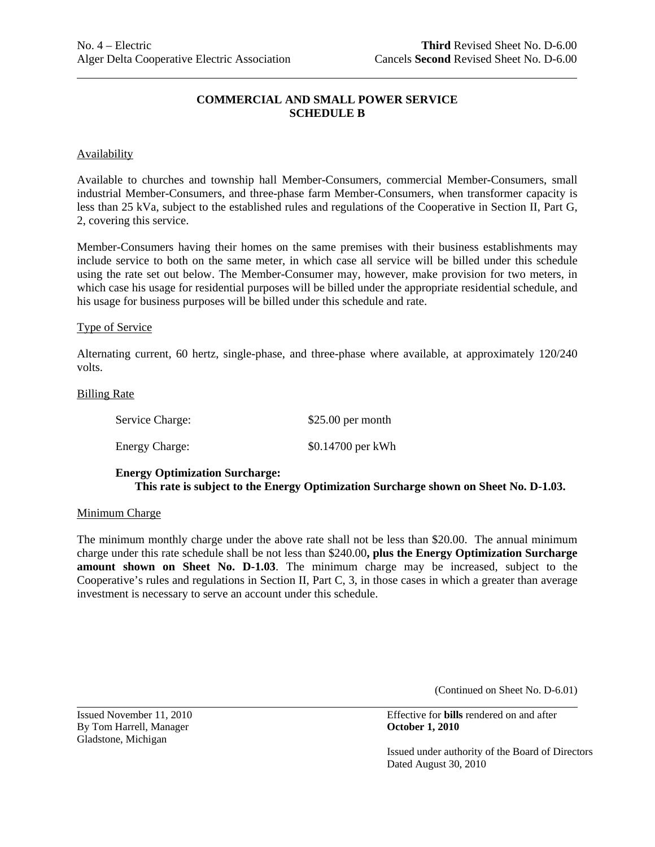# **COMMERCIAL AND SMALL POWER SERVICE SCHEDULE B**

# Availability

Available to churches and township hall Member-Consumers, commercial Member-Consumers, small industrial Member-Consumers, and three-phase farm Member-Consumers, when transformer capacity is less than 25 kVa, subject to the established rules and regulations of the Cooperative in Section II, Part G, 2, covering this service.

Member-Consumers having their homes on the same premises with their business establishments may include service to both on the same meter, in which case all service will be billed under this schedule using the rate set out below. The Member-Consumer may, however, make provision for two meters, in which case his usage for residential purposes will be billed under the appropriate residential schedule, and his usage for business purposes will be billed under this schedule and rate.

#### Type of Service

Alternating current, 60 hertz, single-phase, and three-phase where available, at approximately 120/240 volts.

## Billing Rate

| Service Charge: | $$25.00$ per month |
|-----------------|--------------------|
| Energy Charge:  | \$0.14700 per kWh  |

# **Energy Optimization Surcharge:**

## **This rate is subject to the Energy Optimization Surcharge shown on Sheet No. D-1.03.**

#### Minimum Charge

The minimum monthly charge under the above rate shall not be less than \$20.00. The annual minimum charge under this rate schedule shall be not less than \$240.00**, plus the Energy Optimization Surcharge amount shown on Sheet No. D-1.03**. The minimum charge may be increased, subject to the Cooperative's rules and regulations in Section II, Part C, 3, in those cases in which a greater than average investment is necessary to serve an account under this schedule.

(Continued on Sheet No. D-6.01)

By Tom Harrell, Manager **October 1, 2010** Gladstone, Michigan

 $\overline{a}$ 

Issued November 11, 2010 Effective for **bills** rendered on and after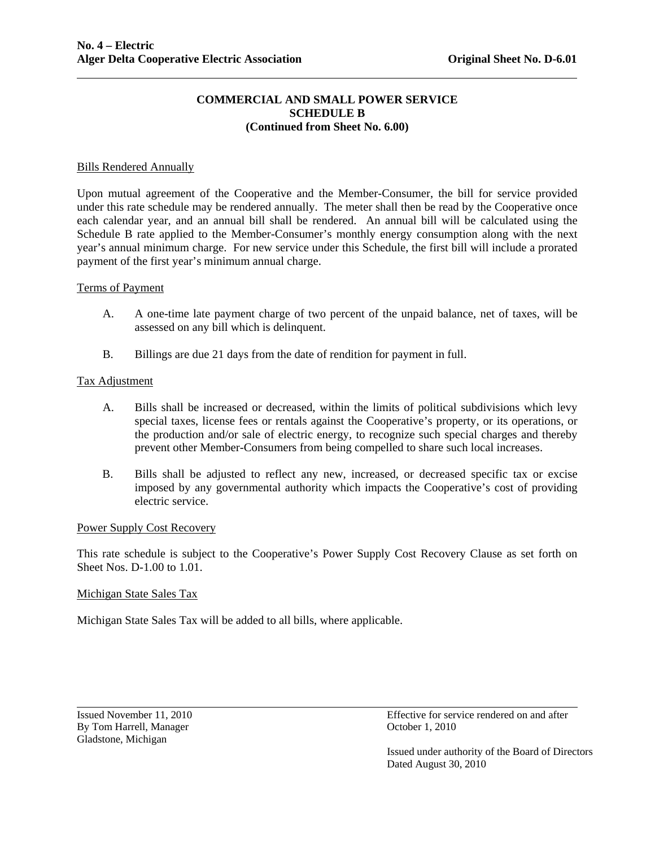# **COMMERCIAL AND SMALL POWER SERVICE SCHEDULE B (Continued from Sheet No. 6.00)**

### Bills Rendered Annually

Upon mutual agreement of the Cooperative and the Member-Consumer, the bill for service provided under this rate schedule may be rendered annually. The meter shall then be read by the Cooperative once each calendar year, and an annual bill shall be rendered. An annual bill will be calculated using the Schedule B rate applied to the Member-Consumer's monthly energy consumption along with the next year's annual minimum charge. For new service under this Schedule, the first bill will include a prorated payment of the first year's minimum annual charge.

#### Terms of Payment

- A. A one-time late payment charge of two percent of the unpaid balance, net of taxes, will be assessed on any bill which is delinquent.
- B. Billings are due 21 days from the date of rendition for payment in full.

## Tax Adjustment

- A. Bills shall be increased or decreased, within the limits of political subdivisions which levy special taxes, license fees or rentals against the Cooperative's property, or its operations, or the production and/or sale of electric energy, to recognize such special charges and thereby prevent other Member-Consumers from being compelled to share such local increases.
- B. Bills shall be adjusted to reflect any new, increased, or decreased specific tax or excise imposed by any governmental authority which impacts the Cooperative's cost of providing electric service.

# Power Supply Cost Recovery

This rate schedule is subject to the Cooperative's Power Supply Cost Recovery Clause as set forth on Sheet Nos. D-1.00 to 1.01.

#### Michigan State Sales Tax

Michigan State Sales Tax will be added to all bills, where applicable.

By Tom Harrell, Manager Corober 1, 2010 Gladstone, Michigan

l

Issued November 11, 2010 Effective for service rendered on and after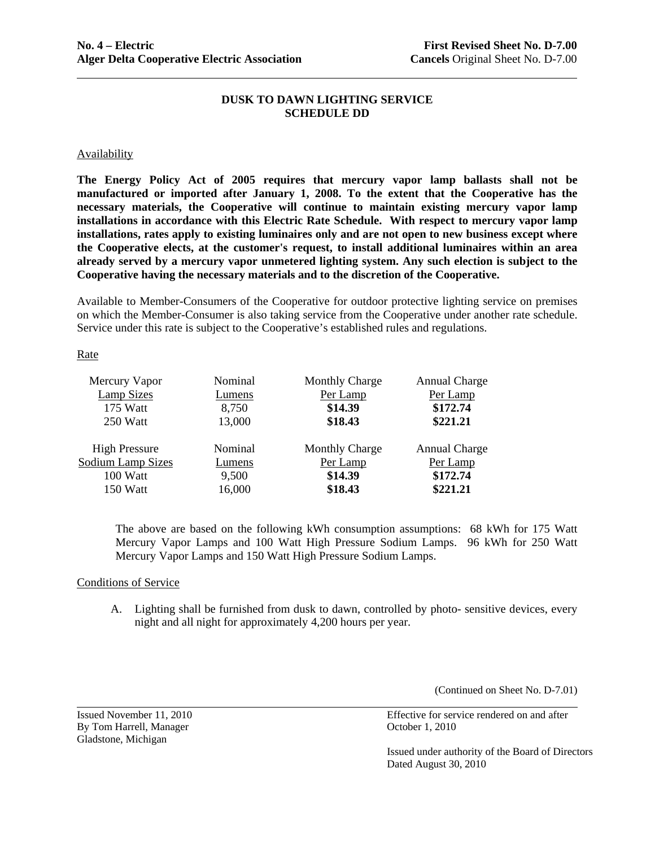## **DUSK TO DAWN LIGHTING SERVICE SCHEDULE DD**

## Availability

Rate

**The Energy Policy Act of 2005 requires that mercury vapor lamp ballasts shall not be manufactured or imported after January 1, 2008. To the extent that the Cooperative has the necessary materials, the Cooperative will continue to maintain existing mercury vapor lamp installations in accordance with this Electric Rate Schedule. With respect to mercury vapor lamp installations, rates apply to existing luminaires only and are not open to new business except where the Cooperative elects, at the customer's request, to install additional luminaires within an area already served by a mercury vapor unmetered lighting system. Any such election is subject to the Cooperative having the necessary materials and to the discretion of the Cooperative.** 

Available to Member-Consumers of the Cooperative for outdoor protective lighting service on premises on which the Member-Consumer is also taking service from the Cooperative under another rate schedule. Service under this rate is subject to the Cooperative's established rules and regulations.

| Mercury Vapor        | Nominal | <b>Monthly Charge</b> | <b>Annual Charge</b> |
|----------------------|---------|-----------------------|----------------------|
| <b>Lamp Sizes</b>    | Lumens  | Per Lamp              | Per Lamp             |
| 175 Watt             | 8,750   | \$14.39               | \$172.74             |
| 250 Watt             | 13,000  | \$18.43               | \$221.21             |
| <b>High Pressure</b> | Nominal | <b>Monthly Charge</b> | <b>Annual Charge</b> |
| Sodium Lamp Sizes    | Lumens  | Per Lamp              | Per Lamp             |
| 100 Watt             | 9,500   | \$14.39               | \$172.74             |
| 150 Watt             | 16,000  | \$18.43               | \$221.21             |

The above are based on the following kWh consumption assumptions: 68 kWh for 175 Watt Mercury Vapor Lamps and 100 Watt High Pressure Sodium Lamps. 96 kWh for 250 Watt Mercury Vapor Lamps and 150 Watt High Pressure Sodium Lamps.

#### Conditions of Service

A. Lighting shall be furnished from dusk to dawn, controlled by photo- sensitive devices, every night and all night for approximately 4,200 hours per year.

(Continued on Sheet No. D-7.01)

By Tom Harrell, Manager Corolex and Corolex Corolex Corolex October 1, 2010 Gladstone, Michigan

 $\overline{a}$ 

Issued November 11, 2010 Effective for service rendered on and after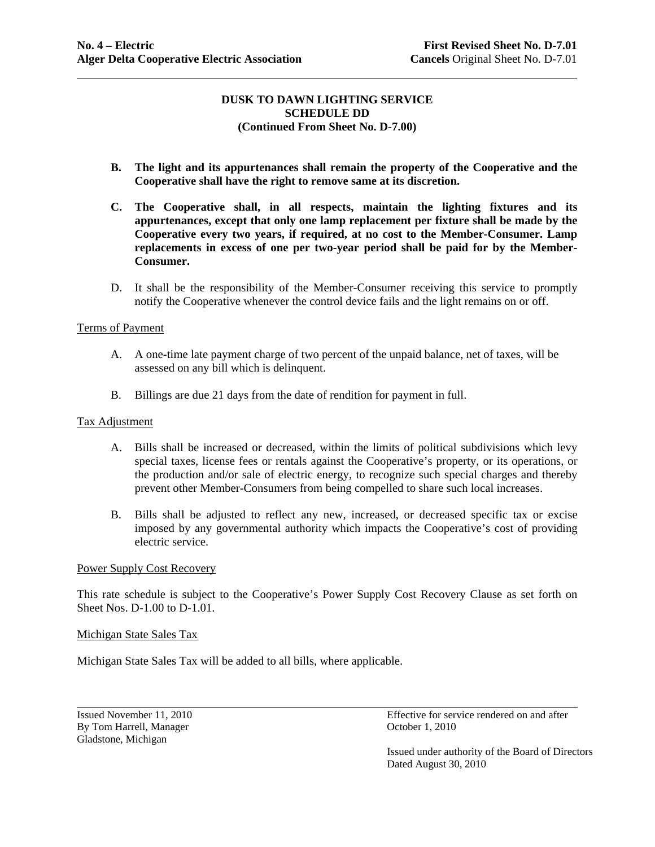# **DUSK TO DAWN LIGHTING SERVICE SCHEDULE DD (Continued From Sheet No. D-7.00)**

- **B. The light and its appurtenances shall remain the property of the Cooperative and the Cooperative shall have the right to remove same at its discretion.**
- **C. The Cooperative shall, in all respects, maintain the lighting fixtures and its appurtenances, except that only one lamp replacement per fixture shall be made by the Cooperative every two years, if required, at no cost to the Member-Consumer. Lamp replacements in excess of one per two-year period shall be paid for by the Member-Consumer.**
- D. It shall be the responsibility of the Member-Consumer receiving this service to promptly notify the Cooperative whenever the control device fails and the light remains on or off.

#### Terms of Payment

- A. A one-time late payment charge of two percent of the unpaid balance, net of taxes, will be assessed on any bill which is delinquent.
- B. Billings are due 21 days from the date of rendition for payment in full.

### Tax Adjustment

- A. Bills shall be increased or decreased, within the limits of political subdivisions which levy special taxes, license fees or rentals against the Cooperative's property, or its operations, or the production and/or sale of electric energy, to recognize such special charges and thereby prevent other Member-Consumers from being compelled to share such local increases.
- B. Bills shall be adjusted to reflect any new, increased, or decreased specific tax or excise imposed by any governmental authority which impacts the Cooperative's cost of providing electric service.

#### Power Supply Cost Recovery

This rate schedule is subject to the Cooperative's Power Supply Cost Recovery Clause as set forth on Sheet Nos. D-1.00 to D-1.01.

### Michigan State Sales Tax

Michigan State Sales Tax will be added to all bills, where applicable.

By Tom Harrell, Manager Corober 1, 2010 Gladstone, Michigan

l

Issued November 11, 2010 Effective for service rendered on and after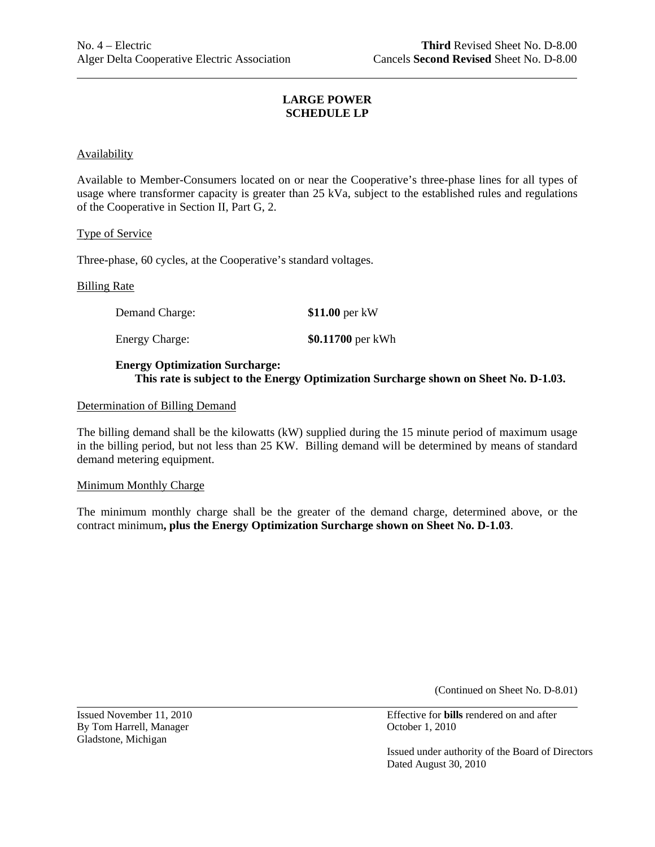# **LARGE POWER SCHEDULE LP**

# Availability

Available to Member-Consumers located on or near the Cooperative's three-phase lines for all types of usage where transformer capacity is greater than 25 kVa, subject to the established rules and regulations of the Cooperative in Section II, Part G, 2.

#### Type of Service

Three-phase, 60 cycles, at the Cooperative's standard voltages.

#### Billing Rate

Demand Charge: **\$11.00** per kW

Energy Charge: **\$0.11700** per kWh

## **Energy Optimization Surcharge: This rate is subject to the Energy Optimization Surcharge shown on Sheet No. D-1.03.**

### Determination of Billing Demand

The billing demand shall be the kilowatts (kW) supplied during the 15 minute period of maximum usage in the billing period, but not less than 25 KW. Billing demand will be determined by means of standard demand metering equipment.

#### Minimum Monthly Charge

The minimum monthly charge shall be the greater of the demand charge, determined above, or the contract minimum**, plus the Energy Optimization Surcharge shown on Sheet No. D-1.03**.

(Continued on Sheet No. D-8.01)

By Tom Harrell, Manager Corober 1, 2010 Gladstone, Michigan

 $\overline{a}$ 

Issued November 11, 2010 Effective for **bills** rendered on and after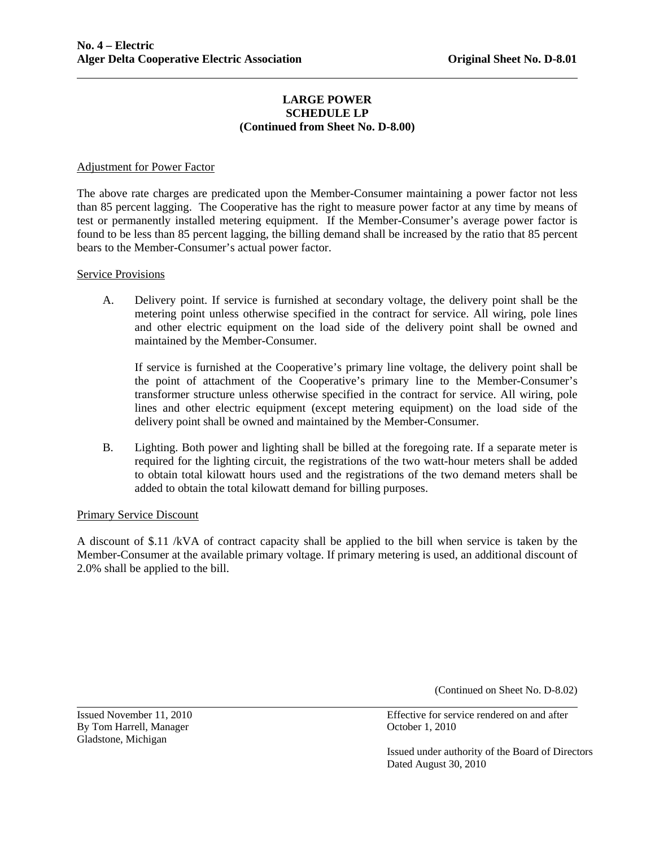# **LARGE POWER SCHEDULE LP (Continued from Sheet No. D-8.00)**

## Adjustment for Power Factor

The above rate charges are predicated upon the Member-Consumer maintaining a power factor not less than 85 percent lagging. The Cooperative has the right to measure power factor at any time by means of test or permanently installed metering equipment. If the Member-Consumer's average power factor is found to be less than 85 percent lagging, the billing demand shall be increased by the ratio that 85 percent bears to the Member-Consumer's actual power factor.

#### Service Provisions

A. Delivery point. If service is furnished at secondary voltage, the delivery point shall be the metering point unless otherwise specified in the contract for service. All wiring, pole lines and other electric equipment on the load side of the delivery point shall be owned and maintained by the Member-Consumer.

If service is furnished at the Cooperative's primary line voltage, the delivery point shall be the point of attachment of the Cooperative's primary line to the Member-Consumer's transformer structure unless otherwise specified in the contract for service. All wiring, pole lines and other electric equipment (except metering equipment) on the load side of the delivery point shall be owned and maintained by the Member-Consumer.

B. Lighting. Both power and lighting shall be billed at the foregoing rate. If a separate meter is required for the lighting circuit, the registrations of the two watt-hour meters shall be added to obtain total kilowatt hours used and the registrations of the two demand meters shall be added to obtain the total kilowatt demand for billing purposes.

#### Primary Service Discount

A discount of \$.11 /kVA of contract capacity shall be applied to the bill when service is taken by the Member-Consumer at the available primary voltage. If primary metering is used, an additional discount of 2.0% shall be applied to the bill.

(Continued on Sheet No. D-8.02)

By Tom Harrell, Manager Corober 1, 2010 Gladstone, Michigan

 $\overline{a}$ 

Issued November 11, 2010 Effective for service rendered on and after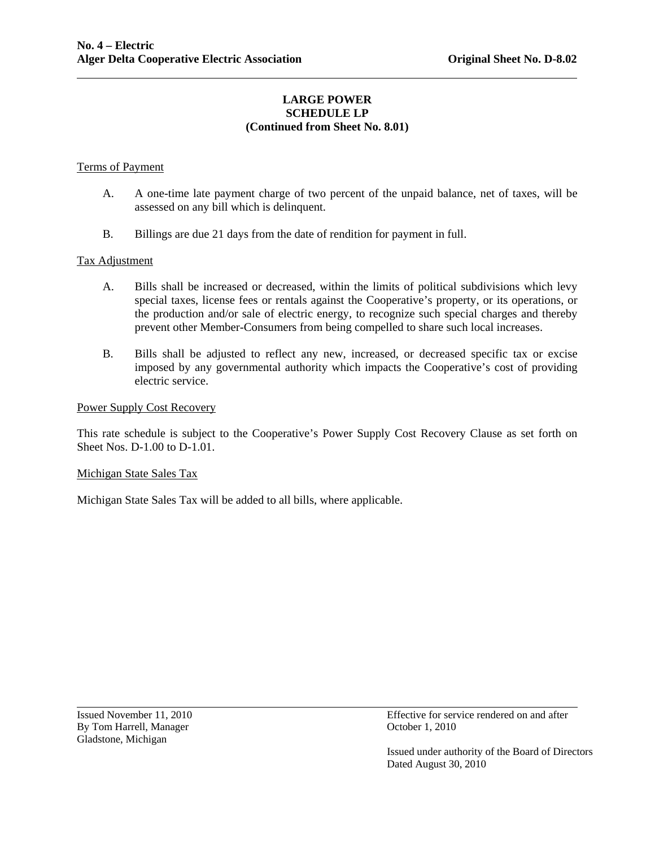# **LARGE POWER SCHEDULE LP (Continued from Sheet No. 8.01)**

# Terms of Payment

- A. A one-time late payment charge of two percent of the unpaid balance, net of taxes, will be assessed on any bill which is delinquent.
- B. Billings are due 21 days from the date of rendition for payment in full.

## Tax Adjustment

- A. Bills shall be increased or decreased, within the limits of political subdivisions which levy special taxes, license fees or rentals against the Cooperative's property, or its operations, or the production and/or sale of electric energy, to recognize such special charges and thereby prevent other Member-Consumers from being compelled to share such local increases.
- B. Bills shall be adjusted to reflect any new, increased, or decreased specific tax or excise imposed by any governmental authority which impacts the Cooperative's cost of providing electric service.

## Power Supply Cost Recovery

This rate schedule is subject to the Cooperative's Power Supply Cost Recovery Clause as set forth on Sheet Nos. D-1.00 to D-1.01.

#### Michigan State Sales Tax

Michigan State Sales Tax will be added to all bills, where applicable.

Issued November 11, 2010 Effective for service rendered on and after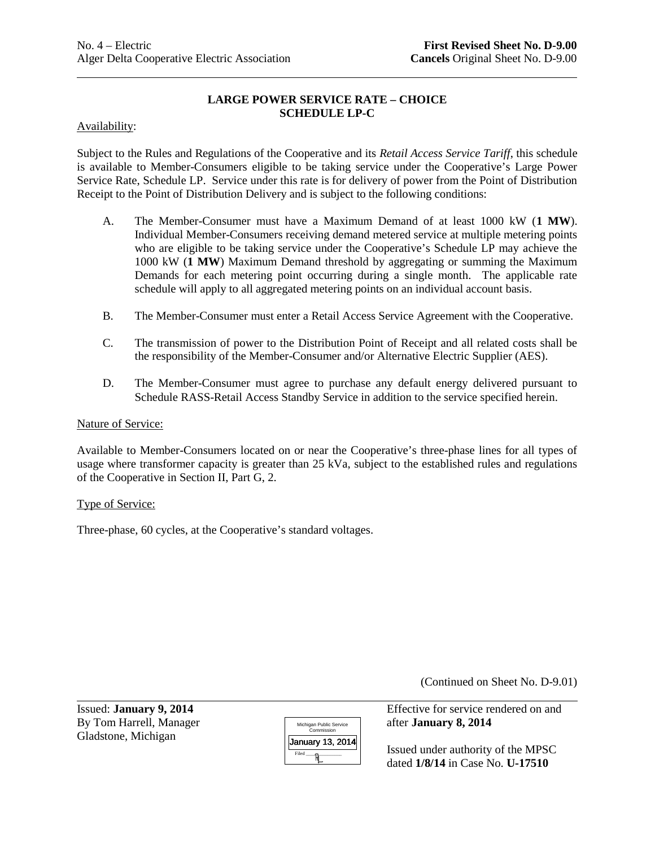# **LARGE POWER SERVICE RATE – CHOICE SCHEDULE LP-C**

Availability:

Subject to the Rules and Regulations of the Cooperative and its *Retail Access Service Tariff*, this schedule is available to Member-Consumers eligible to be taking service under the Cooperative's Large Power Service Rate, Schedule LP. Service under this rate is for delivery of power from the Point of Distribution Receipt to the Point of Distribution Delivery and is subject to the following conditions:

- A. The Member-Consumer must have a Maximum Demand of at least 1000 kW (**1 MW**). Individual Member-Consumers receiving demand metered service at multiple metering points who are eligible to be taking service under the Cooperative's Schedule LP may achieve the 1000 kW (**1 MW**) Maximum Demand threshold by aggregating or summing the Maximum Demands for each metering point occurring during a single month. The applicable rate schedule will apply to all aggregated metering points on an individual account basis.
- B. The Member-Consumer must enter a Retail Access Service Agreement with the Cooperative.
- C. The transmission of power to the Distribution Point of Receipt and all related costs shall be the responsibility of the Member-Consumer and/or Alternative Electric Supplier (AES).
- D. The Member-Consumer must agree to purchase any default energy delivered pursuant to Schedule RASS-Retail Access Standby Service in addition to the service specified herein.

#### Nature of Service:

Available to Member-Consumers located on or near the Cooperative's three-phase lines for all types of usage where transformer capacity is greater than 25 kVa, subject to the established rules and regulations of the Cooperative in Section II, Part G, 2.

#### Type of Service:

Three-phase, 60 cycles, at the Cooperative's standard voltages.

(Continued on Sheet No. D-9.01)

By Tom Harrell, Manager **and Community 1 Auchigan Public Service** after **January 8, 2014** Gladstone, Michigan



Issued: **January 9, 2014** Effective for service rendered on and

Issued under authority of the MPSC dated **1/8/14** in Case No. **U-17510**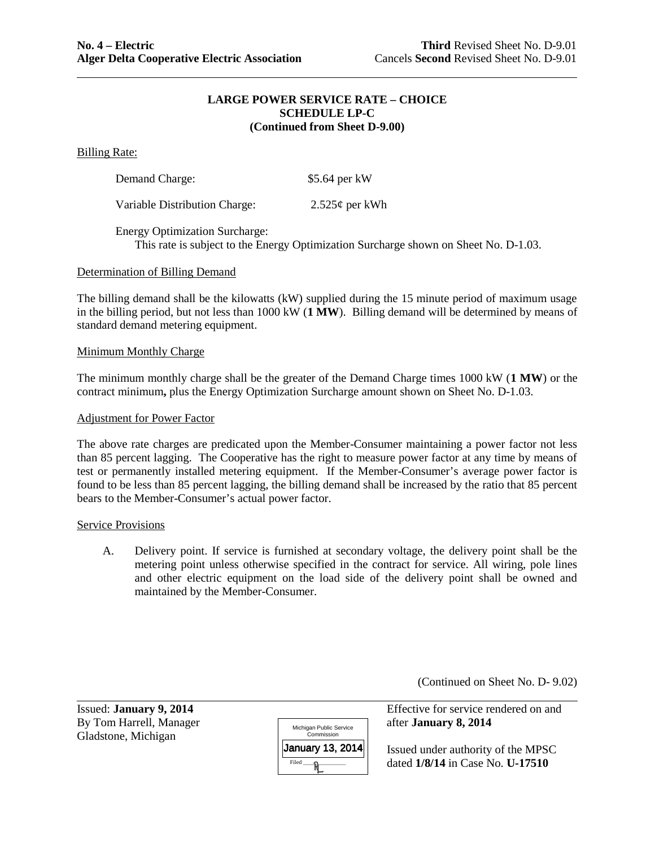## **LARGE POWER SERVICE RATE – CHOICE SCHEDULE LP-C (Continued from Sheet D-9.00)**

Billing Rate:

| Demand Charge:                        | \$5.64 per kW                                                                        |
|---------------------------------------|--------------------------------------------------------------------------------------|
| Variable Distribution Charge:         | $2.525\phi$ per kWh                                                                  |
| <b>Energy Optimization Surcharge:</b> | This rate is subject to the Energy Optimization Surcharge shown on Sheet No. D-1.03. |

## Determination of Billing Demand

The billing demand shall be the kilowatts (kW) supplied during the 15 minute period of maximum usage in the billing period, but not less than 1000 kW (**1 MW**). Billing demand will be determined by means of standard demand metering equipment.

## Minimum Monthly Charge

The minimum monthly charge shall be the greater of the Demand Charge times 1000 kW (**1 MW**) or the contract minimum**,** plus the Energy Optimization Surcharge amount shown on Sheet No. D-1.03.

#### Adjustment for Power Factor

The above rate charges are predicated upon the Member-Consumer maintaining a power factor not less than 85 percent lagging. The Cooperative has the right to measure power factor at any time by means of test or permanently installed metering equipment. If the Member-Consumer's average power factor is found to be less than 85 percent lagging, the billing demand shall be increased by the ratio that 85 percent bears to the Member-Consumer's actual power factor.

#### Service Provisions

A. Delivery point. If service is furnished at secondary voltage, the delivery point shall be the metering point unless otherwise specified in the contract for service. All wiring, pole lines and other electric equipment on the load side of the delivery point shall be owned and maintained by the Member-Consumer.

(Continued on Sheet No. D- 9.02)

By Tom Harrell, Manager **after January 8, 2014** Gladstone, Michigan



Issued: **January 9, 2014** Effective for service rendered on and

Issued under authority of the MPSC dated **1/8/14** in Case No. **U-17510**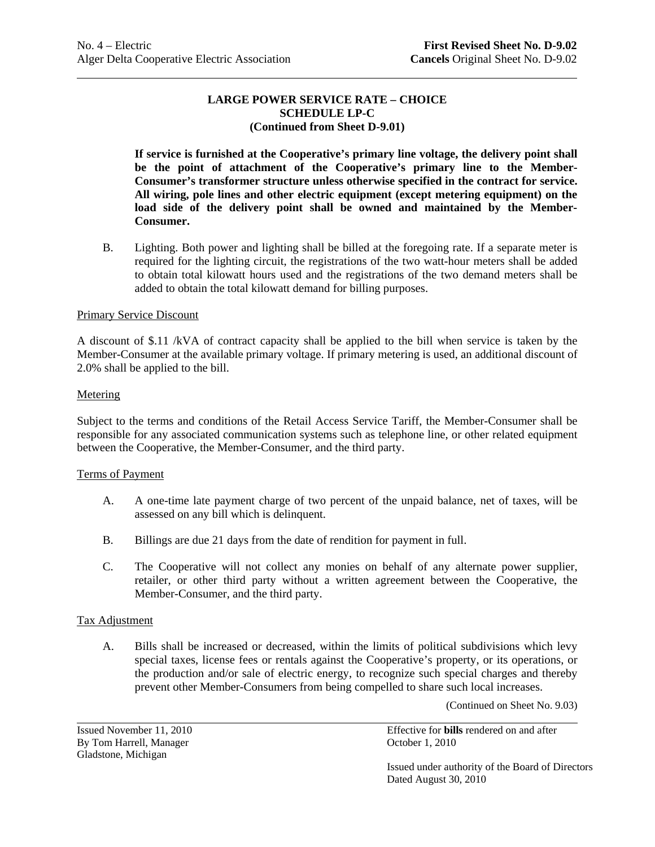# **LARGE POWER SERVICE RATE – CHOICE SCHEDULE LP-C (Continued from Sheet D-9.01)**

**If service is furnished at the Cooperative's primary line voltage, the delivery point shall be the point of attachment of the Cooperative's primary line to the Member-Consumer's transformer structure unless otherwise specified in the contract for service. All wiring, pole lines and other electric equipment (except metering equipment) on the load side of the delivery point shall be owned and maintained by the Member-Consumer.** 

B. Lighting. Both power and lighting shall be billed at the foregoing rate. If a separate meter is required for the lighting circuit, the registrations of the two watt-hour meters shall be added to obtain total kilowatt hours used and the registrations of the two demand meters shall be added to obtain the total kilowatt demand for billing purposes.

# Primary Service Discount

A discount of \$.11 /kVA of contract capacity shall be applied to the bill when service is taken by the Member-Consumer at the available primary voltage. If primary metering is used, an additional discount of 2.0% shall be applied to the bill.

## Metering

Subject to the terms and conditions of the Retail Access Service Tariff, the Member-Consumer shall be responsible for any associated communication systems such as telephone line, or other related equipment between the Cooperative, the Member-Consumer, and the third party.

#### Terms of Payment

- A. A one-time late payment charge of two percent of the unpaid balance, net of taxes, will be assessed on any bill which is delinquent.
- B. Billings are due 21 days from the date of rendition for payment in full.
- C. The Cooperative will not collect any monies on behalf of any alternate power supplier, retailer, or other third party without a written agreement between the Cooperative, the Member-Consumer, and the third party.

#### Tax Adjustment

 $\overline{a}$ 

A. Bills shall be increased or decreased, within the limits of political subdivisions which levy special taxes, license fees or rentals against the Cooperative's property, or its operations, or the production and/or sale of electric energy, to recognize such special charges and thereby prevent other Member-Consumers from being compelled to share such local increases.

(Continued on Sheet No. 9.03)

By Tom Harrell, Manager **Detail and Solution** October 1, 2010 Gladstone, Michigan

Issued November 11, 2010 Effective for **bills** rendered on and after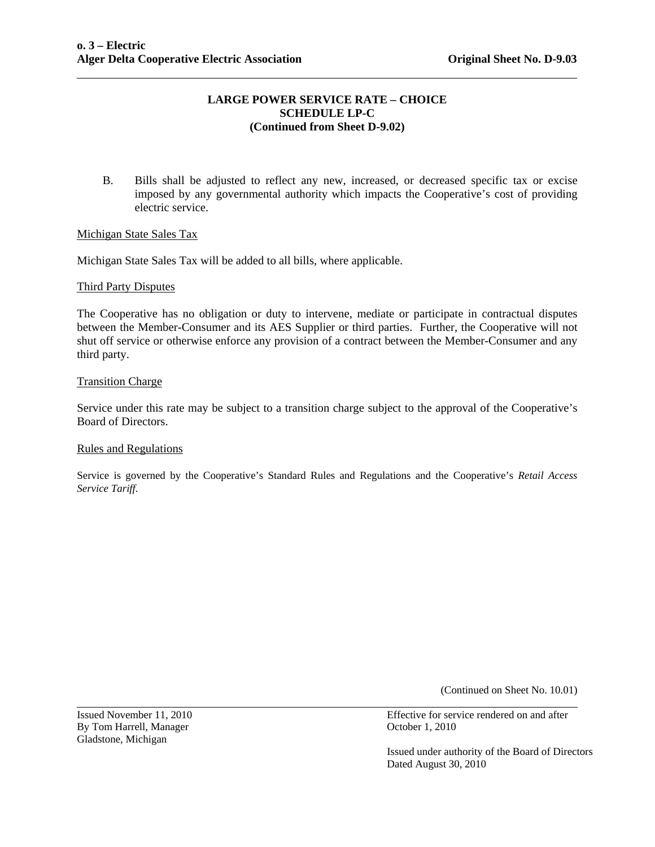# **LARGE POWER SERVICE RATE – CHOICE SCHEDULE LP-C (Continued from Sheet D-9.02)**

B. Bills shall be adjusted to reflect any new, increased, or decreased specific tax or excise imposed by any governmental authority which impacts the Cooperative's cost of providing electric service.

## Michigan State Sales Tax

Michigan State Sales Tax will be added to all bills, where applicable.

#### Third Party Disputes

The Cooperative has no obligation or duty to intervene, mediate or participate in contractual disputes between the Member-Consumer and its AES Supplier or third parties. Further, the Cooperative will not shut off service or otherwise enforce any provision of a contract between the Member-Consumer and any third party.

## **Transition Charge**

Service under this rate may be subject to a transition charge subject to the approval of the Cooperative's Board of Directors.

### Rules and Regulations

Service is governed by the Cooperative's Standard Rules and Regulations and the Cooperative's *Retail Access Service Tariff*.

(Continued on Sheet No. 10.01)

By Tom Harrell, Manager Corober 1, 2010 Gladstone, Michigan

 $\overline{a}$ 

Issued November 11, 2010 Effective for service rendered on and after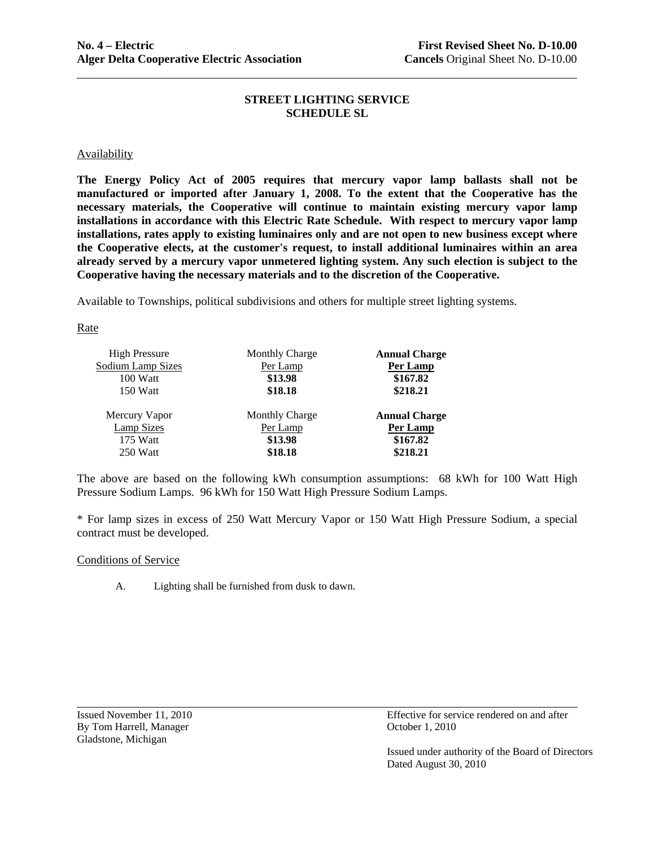# **STREET LIGHTING SERVICE SCHEDULE SL**

# Availability

**The Energy Policy Act of 2005 requires that mercury vapor lamp ballasts shall not be manufactured or imported after January 1, 2008. To the extent that the Cooperative has the necessary materials, the Cooperative will continue to maintain existing mercury vapor lamp installations in accordance with this Electric Rate Schedule. With respect to mercury vapor lamp installations, rates apply to existing luminaires only and are not open to new business except where the Cooperative elects, at the customer's request, to install additional luminaires within an area already served by a mercury vapor unmetered lighting system. Any such election is subject to the Cooperative having the necessary materials and to the discretion of the Cooperative.** 

Available to Townships, political subdivisions and others for multiple street lighting systems.

Rate

| <b>High Pressure</b> | <b>Monthly Charge</b> | <b>Annual Charge</b> |
|----------------------|-----------------------|----------------------|
| Sodium Lamp Sizes    | Per Lamp              | Per Lamp             |
| 100 Watt             | \$13.98               | \$167.82             |
| 150 Watt             | \$18.18               | \$218.21             |
| Mercury Vapor        | <b>Monthly Charge</b> | <b>Annual Charge</b> |
| Lamp Sizes           | Per Lamp              | Per Lamp             |
| 175 Watt             | \$13.98               | \$167.82             |
| 250 Watt             | \$18.18               | \$218.21             |

The above are based on the following kWh consumption assumptions: 68 kWh for 100 Watt High Pressure Sodium Lamps. 96 kWh for 150 Watt High Pressure Sodium Lamps.

\* For lamp sizes in excess of 250 Watt Mercury Vapor or 150 Watt High Pressure Sodium, a special contract must be developed.

#### Conditions of Service

A. Lighting shall be furnished from dusk to dawn.

l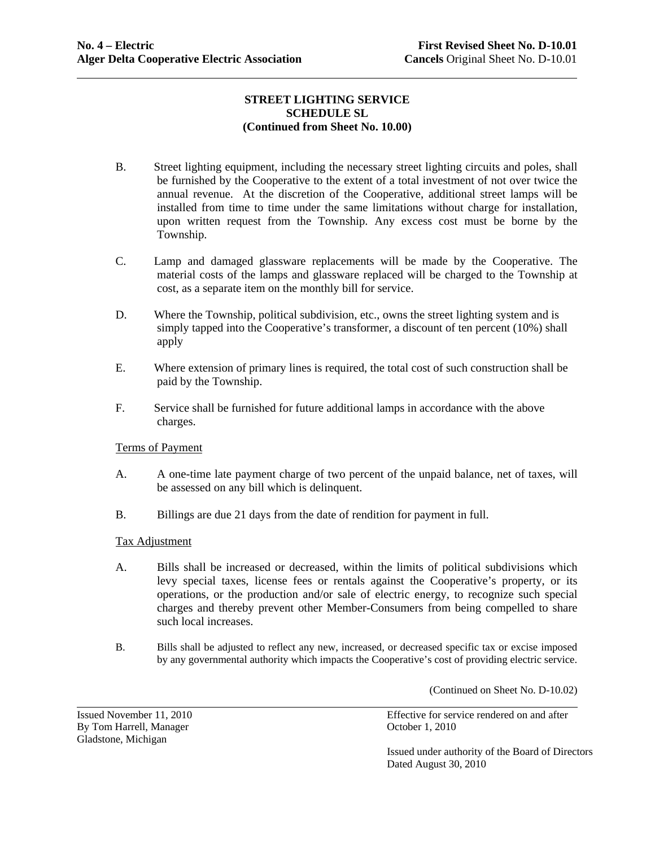# **STREET LIGHTING SERVICE SCHEDULE SL (Continued from Sheet No. 10.00)**

- B. Street lighting equipment, including the necessary street lighting circuits and poles, shall be furnished by the Cooperative to the extent of a total investment of not over twice the annual revenue. At the discretion of the Cooperative, additional street lamps will be installed from time to time under the same limitations without charge for installation, upon written request from the Township. Any excess cost must be borne by the Township.
- C. Lamp and damaged glassware replacements will be made by the Cooperative. The material costs of the lamps and glassware replaced will be charged to the Township at cost, as a separate item on the monthly bill for service.
- D. Where the Township, political subdivision, etc., owns the street lighting system and is simply tapped into the Cooperative's transformer, a discount of ten percent (10%) shall apply
- E. Where extension of primary lines is required, the total cost of such construction shall be paid by the Township.
- F. Service shall be furnished for future additional lamps in accordance with the above charges.

# Terms of Payment

- A. A one-time late payment charge of two percent of the unpaid balance, net of taxes, will be assessed on any bill which is delinquent.
- B. Billings are due 21 days from the date of rendition for payment in full.

# Tax Adjustment

- A. Bills shall be increased or decreased, within the limits of political subdivisions which levy special taxes, license fees or rentals against the Cooperative's property, or its operations, or the production and/or sale of electric energy, to recognize such special charges and thereby prevent other Member-Consumers from being compelled to share such local increases.
- B. Bills shall be adjusted to reflect any new, increased, or decreased specific tax or excise imposed by any governmental authority which impacts the Cooperative's cost of providing electric service.

(Continued on Sheet No. D-10.02)

By Tom Harrell, Manager Gladstone, Michigan

l

Issued November 11, 2010 Effective for service rendered on and after<br>By Tom Harrell, Manager October 1, 2010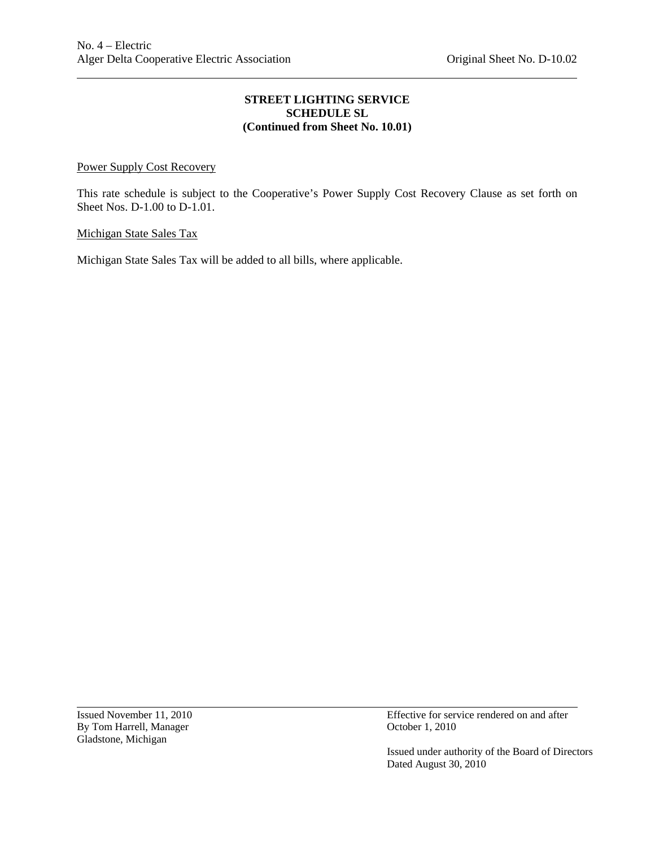# **STREET LIGHTING SERVICE SCHEDULE SL (Continued from Sheet No. 10.01)**

Power Supply Cost Recovery

This rate schedule is subject to the Cooperative's Power Supply Cost Recovery Clause as set forth on Sheet Nos. D-1.00 to D-1.01.

Michigan State Sales Tax

Michigan State Sales Tax will be added to all bills, where applicable.

Issued November 11, 2010 Effective for service rendered on and after<br>By Tom Harrell, Manager October 1, 2010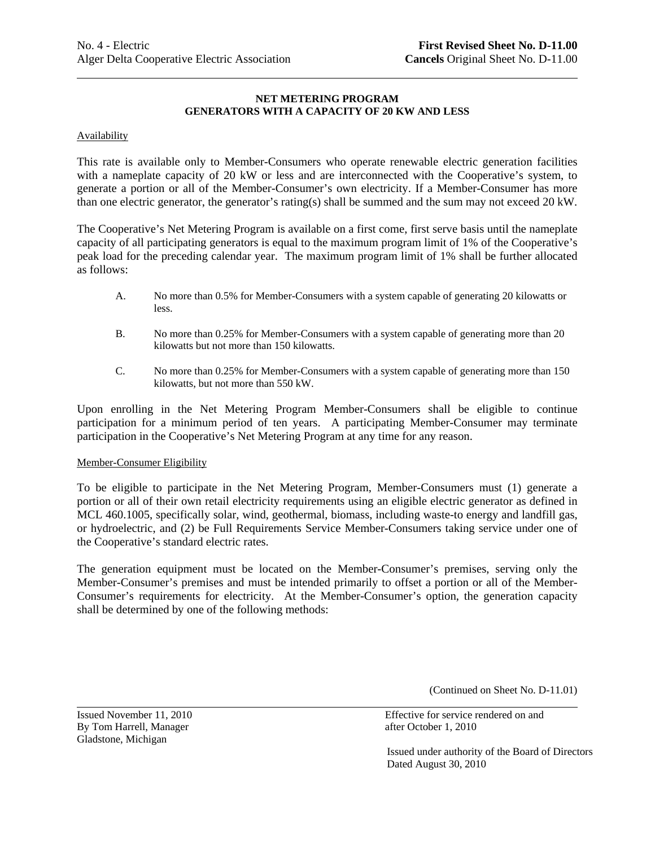### **NET METERING PROGRAM GENERATORS WITH A CAPACITY OF 20 KW AND LESS**

#### **Availability**

This rate is available only to Member-Consumers who operate renewable electric generation facilities with a nameplate capacity of 20 kW or less and are interconnected with the Cooperative's system, to generate a portion or all of the Member-Consumer's own electricity. If a Member-Consumer has more than one electric generator, the generator's rating(s) shall be summed and the sum may not exceed 20 kW.

The Cooperative's Net Metering Program is available on a first come, first serve basis until the nameplate capacity of all participating generators is equal to the maximum program limit of 1% of the Cooperative's peak load for the preceding calendar year. The maximum program limit of 1% shall be further allocated as follows:

- A. No more than 0.5% for Member-Consumers with a system capable of generating 20 kilowatts or less.
- B. No more than 0.25% for Member-Consumers with a system capable of generating more than 20 kilowatts but not more than 150 kilowatts.
- C. No more than 0.25% for Member-Consumers with a system capable of generating more than 150 kilowatts, but not more than 550 kW.

Upon enrolling in the Net Metering Program Member-Consumers shall be eligible to continue participation for a minimum period of ten years. A participating Member-Consumer may terminate participation in the Cooperative's Net Metering Program at any time for any reason.

#### Member-Consumer Eligibility

To be eligible to participate in the Net Metering Program, Member-Consumers must (1) generate a portion or all of their own retail electricity requirements using an eligible electric generator as defined in MCL 460.1005, specifically solar, wind, geothermal, biomass, including waste-to energy and landfill gas, or hydroelectric, and (2) be Full Requirements Service Member-Consumers taking service under one of the Cooperative's standard electric rates.

The generation equipment must be located on the Member-Consumer's premises, serving only the Member-Consumer's premises and must be intended primarily to offset a portion or all of the Member-Consumer's requirements for electricity. At the Member-Consumer's option, the generation capacity shall be determined by one of the following methods:

(Continued on Sheet No. D-11.01)

By Tom Harrell, Manager after October 1, 2010 Gladstone, Michigan

l

Issued November 11, 2010 Effective for service rendered on and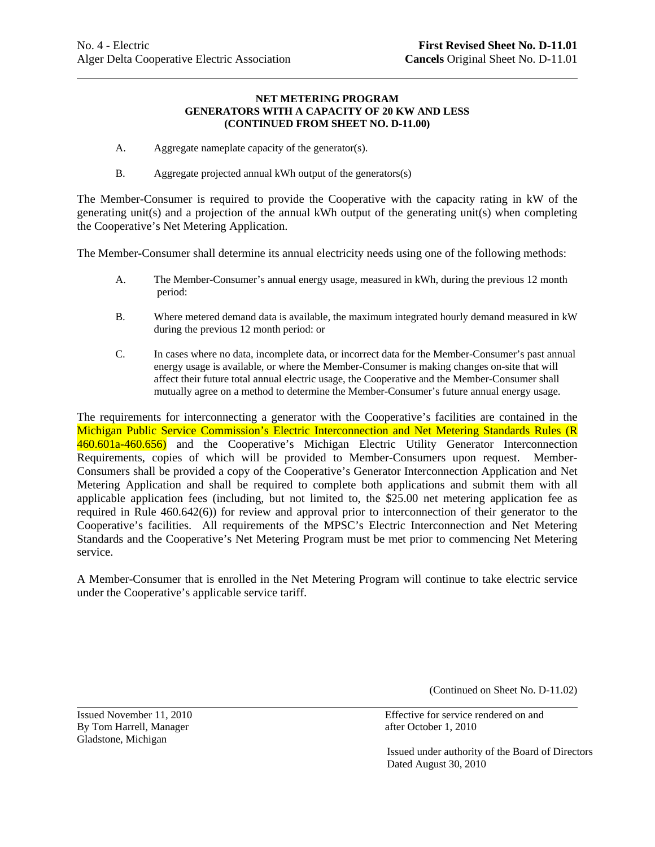#### **NET METERING PROGRAM GENERATORS WITH A CAPACITY OF 20 KW AND LESS (CONTINUED FROM SHEET NO. D-11.00)**

- A. Aggregate nameplate capacity of the generator(s).
- B. Aggregate projected annual kWh output of the generators(s)

The Member-Consumer is required to provide the Cooperative with the capacity rating in kW of the generating unit(s) and a projection of the annual kWh output of the generating unit(s) when completing the Cooperative's Net Metering Application.

The Member-Consumer shall determine its annual electricity needs using one of the following methods:

- A. The Member-Consumer's annual energy usage, measured in kWh, during the previous 12 month period:
- B. Where metered demand data is available, the maximum integrated hourly demand measured in kW during the previous 12 month period: or
- C. In cases where no data, incomplete data, or incorrect data for the Member-Consumer's past annual energy usage is available, or where the Member-Consumer is making changes on-site that will affect their future total annual electric usage, the Cooperative and the Member-Consumer shall mutually agree on a method to determine the Member-Consumer's future annual energy usage.

The requirements for interconnecting a generator with the Cooperative's facilities are contained in the Michigan Public Service Commission's Electric Interconnection and Net Metering Standards Rules (R 460.601a-460.656) and the Cooperative's Michigan Electric Utility Generator Interconnection Requirements, copies of which will be provided to Member-Consumers upon request. Member-Consumers shall be provided a copy of the Cooperative's Generator Interconnection Application and Net Metering Application and shall be required to complete both applications and submit them with all applicable application fees (including, but not limited to, the \$25.00 net metering application fee as required in Rule 460.642(6)) for review and approval prior to interconnection of their generator to the Cooperative's facilities. All requirements of the MPSC's Electric Interconnection and Net Metering Standards and the Cooperative's Net Metering Program must be met prior to commencing Net Metering service.

A Member-Consumer that is enrolled in the Net Metering Program will continue to take electric service under the Cooperative's applicable service tariff.

(Continued on Sheet No. D-11.02)

By Tom Harrell, Manager after October 1, 2010 Gladstone, Michigan

l

Issued November 11, 2010 Effective for service rendered on and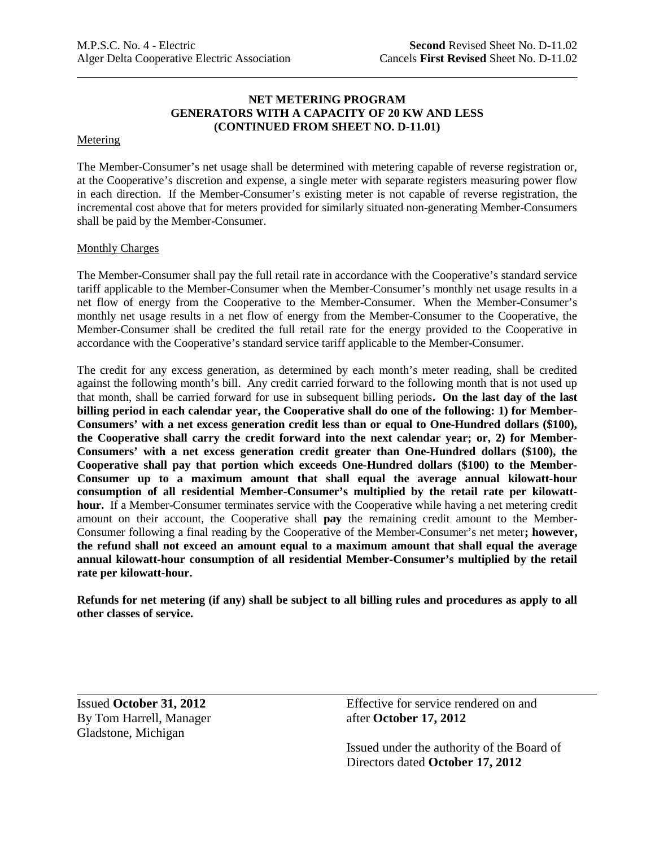# **NET METERING PROGRAM GENERATORS WITH A CAPACITY OF 20 KW AND LESS (CONTINUED FROM SHEET NO. D-11.01)**

#### Metering

The Member-Consumer's net usage shall be determined with metering capable of reverse registration or, at the Cooperative's discretion and expense, a single meter with separate registers measuring power flow in each direction. If the Member-Consumer's existing meter is not capable of reverse registration, the incremental cost above that for meters provided for similarly situated non-generating Member-Consumers shall be paid by the Member-Consumer.

#### Monthly Charges

The Member-Consumer shall pay the full retail rate in accordance with the Cooperative's standard service tariff applicable to the Member-Consumer when the Member-Consumer's monthly net usage results in a net flow of energy from the Cooperative to the Member-Consumer. When the Member-Consumer's monthly net usage results in a net flow of energy from the Member-Consumer to the Cooperative, the Member-Consumer shall be credited the full retail rate for the energy provided to the Cooperative in accordance with the Cooperative's standard service tariff applicable to the Member-Consumer.

The credit for any excess generation, as determined by each month's meter reading, shall be credited against the following month's bill. Any credit carried forward to the following month that is not used up that month, shall be carried forward for use in subsequent billing periods**. On the last day of the last billing period in each calendar year, the Cooperative shall do one of the following: 1) for Member-Consumers' with a net excess generation credit less than or equal to One-Hundred dollars (\$100), the Cooperative shall carry the credit forward into the next calendar year; or, 2) for Member-Consumers' with a net excess generation credit greater than One-Hundred dollars (\$100), the Cooperative shall pay that portion which exceeds One-Hundred dollars (\$100) to the Member-Consumer up to a maximum amount that shall equal the average annual kilowatt-hour consumption of all residential Member-Consumer's multiplied by the retail rate per kilowatthour.** If a Member-Consumer terminates service with the Cooperative while having a net metering credit amount on their account, the Cooperative shall **pay** the remaining credit amount to the Member-Consumer following a final reading by the Cooperative of the Member-Consumer's net meter**; however, the refund shall not exceed an amount equal to a maximum amount that shall equal the average annual kilowatt-hour consumption of all residential Member-Consumer's multiplied by the retail rate per kilowatt-hour.**

**Refunds for net metering (if any) shall be subject to all billing rules and procedures as apply to all other classes of service.**

By Tom Harrell, Manager after **October 17, 2012** Gladstone, Michigan

Issued **October 31, 2012** Effective for service rendered on and

Issued under the authority of the Board of Directors dated **October 17, 2012**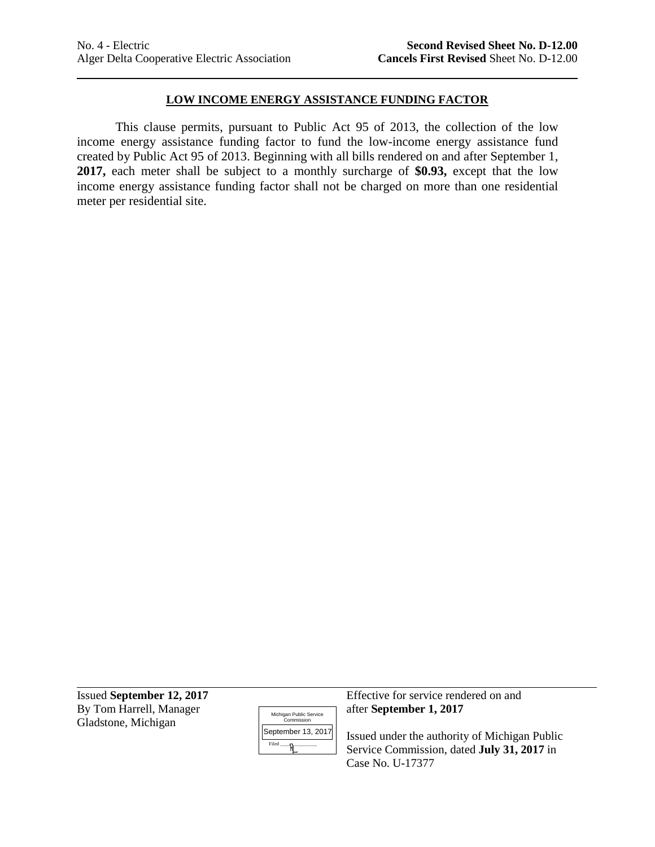# **LOW INCOME ENERGY ASSISTANCE FUNDING FACTOR**

This clause permits, pursuant to Public Act 95 of 2013, the collection of the low income energy assistance funding factor to fund the low-income energy assistance fund created by Public Act 95 of 2013. Beginning with all bills rendered on and after September 1, **2017,** each meter shall be subject to a monthly surcharge of **\$0.93,** except that the low income energy assistance funding factor shall not be charged on more than one residential meter per residential site.

By Tom Harrell, Manager **after September 1, 2017** Gladstone, Michigan

| Michigan Public Service<br>Commission |  |
|---------------------------------------|--|
| September 13, 2017                    |  |
| Filed                                 |  |

Issued **September 12, 2017** Effective for service rendered on and

Issued under the authority of Michigan Public Service Commission, dated **July 31, 2017** in Case No. U-17377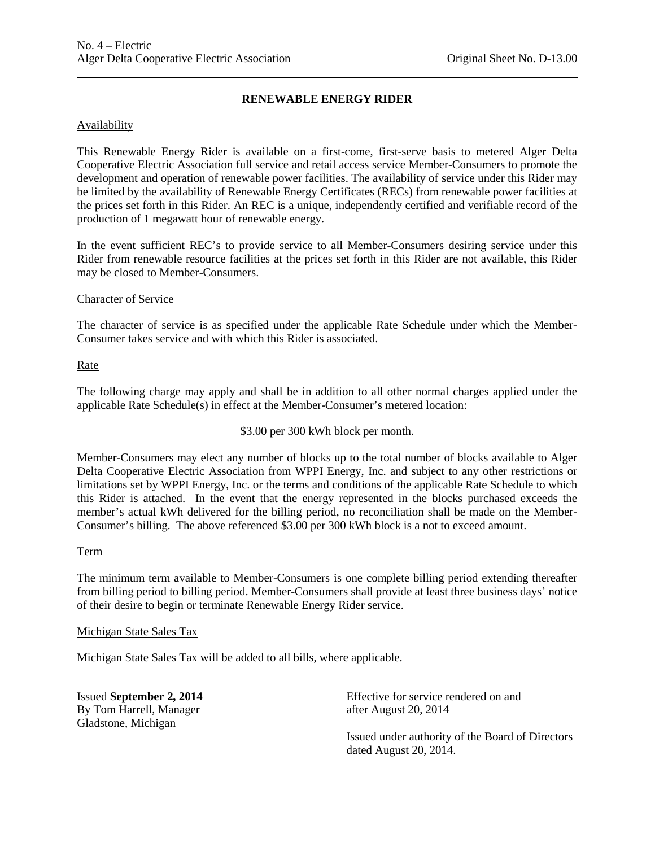# **RENEWABLE ENERGY RIDER**

# **Availability**

This Renewable Energy Rider is available on a first-come, first-serve basis to metered Alger Delta Cooperative Electric Association full service and retail access service Member-Consumers to promote the development and operation of renewable power facilities. The availability of service under this Rider may be limited by the availability of Renewable Energy Certificates (RECs) from renewable power facilities at the prices set forth in this Rider. An REC is a unique, independently certified and verifiable record of the production of 1 megawatt hour of renewable energy.

In the event sufficient REC's to provide service to all Member-Consumers desiring service under this Rider from renewable resource facilities at the prices set forth in this Rider are not available, this Rider may be closed to Member-Consumers.

#### Character of Service

The character of service is as specified under the applicable Rate Schedule under which the Member-Consumer takes service and with which this Rider is associated.

**Rate** 

The following charge may apply and shall be in addition to all other normal charges applied under the applicable Rate Schedule(s) in effect at the Member-Consumer's metered location:

\$3.00 per 300 kWh block per month.

Member-Consumers may elect any number of blocks up to the total number of blocks available to Alger Delta Cooperative Electric Association from WPPI Energy, Inc. and subject to any other restrictions or limitations set by WPPI Energy, Inc. or the terms and conditions of the applicable Rate Schedule to which this Rider is attached. In the event that the energy represented in the blocks purchased exceeds the member's actual kWh delivered for the billing period, no reconciliation shall be made on the Member-Consumer's billing. The above referenced \$3.00 per 300 kWh block is a not to exceed amount.

### Term

The minimum term available to Member-Consumers is one complete billing period extending thereafter from billing period to billing period. Member-Consumers shall provide at least three business days' notice of their desire to begin or terminate Renewable Energy Rider service.

## Michigan State Sales Tax

Michigan State Sales Tax will be added to all bills, where applicable.

By Tom Harrell, Manager after August 20, 2014 Gladstone, Michigan

Issued **September 2, 2014** Effective for service rendered on and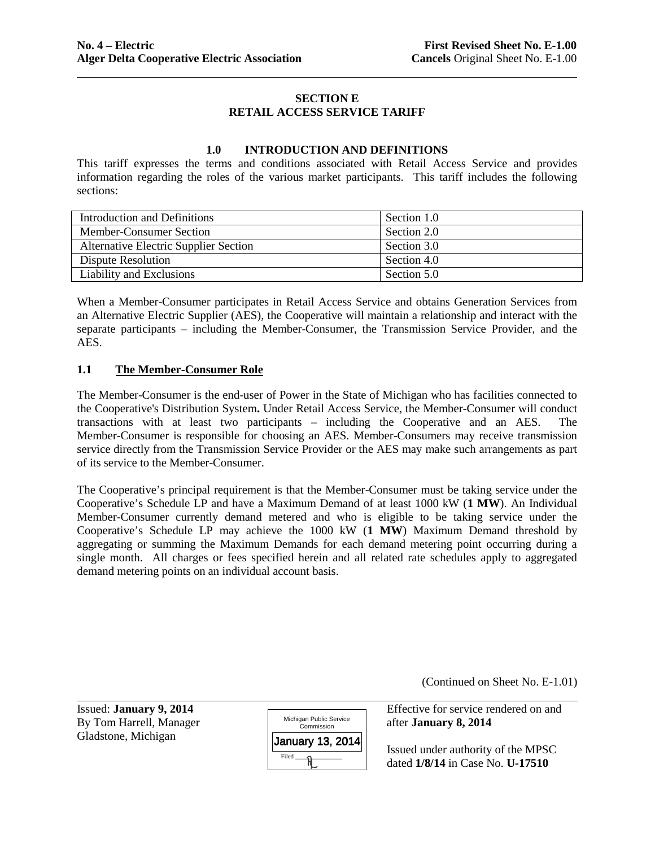# **SECTION E RETAIL ACCESS SERVICE TARIFF**

# **1.0 INTRODUCTION AND DEFINITIONS**

This tariff expresses the terms and conditions associated with Retail Access Service and provides information regarding the roles of the various market participants. This tariff includes the following sections:

| Introduction and Definitions                 | Section 1.0 |
|----------------------------------------------|-------------|
| Member-Consumer Section                      | Section 2.0 |
| <b>Alternative Electric Supplier Section</b> | Section 3.0 |
| Dispute Resolution                           | Section 4.0 |
| Liability and Exclusions                     | Section 5.0 |

When a Member-Consumer participates in Retail Access Service and obtains Generation Services from an Alternative Electric Supplier (AES), the Cooperative will maintain a relationship and interact with the separate participants – including the Member-Consumer, the Transmission Service Provider, and the AES.

# **1.1 The Member-Consumer Role**

The Member-Consumer is the end-user of Power in the State of Michigan who has facilities connected to the Cooperative's Distribution System**.** Under Retail Access Service, the Member-Consumer will conduct transactions with at least two participants – including the Cooperative and an AES. The Member-Consumer is responsible for choosing an AES. Member-Consumers may receive transmission service directly from the Transmission Service Provider or the AES may make such arrangements as part of its service to the Member-Consumer.

The Cooperative's principal requirement is that the Member-Consumer must be taking service under the Cooperative's Schedule LP and have a Maximum Demand of at least 1000 kW (**1 MW**). An Individual Member-Consumer currently demand metered and who is eligible to be taking service under the Cooperative's Schedule LP may achieve the 1000 kW (**1 MW**) Maximum Demand threshold by aggregating or summing the Maximum Demands for each demand metering point occurring during a single month. All charges or fees specified herein and all related rate schedules apply to aggregated demand metering points on an individual account basis.

(Continued on Sheet No. E-1.01)

By Tom Harrell, Manager **and Struck** Michigan Public Service after **January 8, 2014** Gladstone, Michigan



Issued: **January 9, 2014** Effective for service rendered on and

Issued under authority of the MPSC dated **1/8/14** in Case No. **U-17510**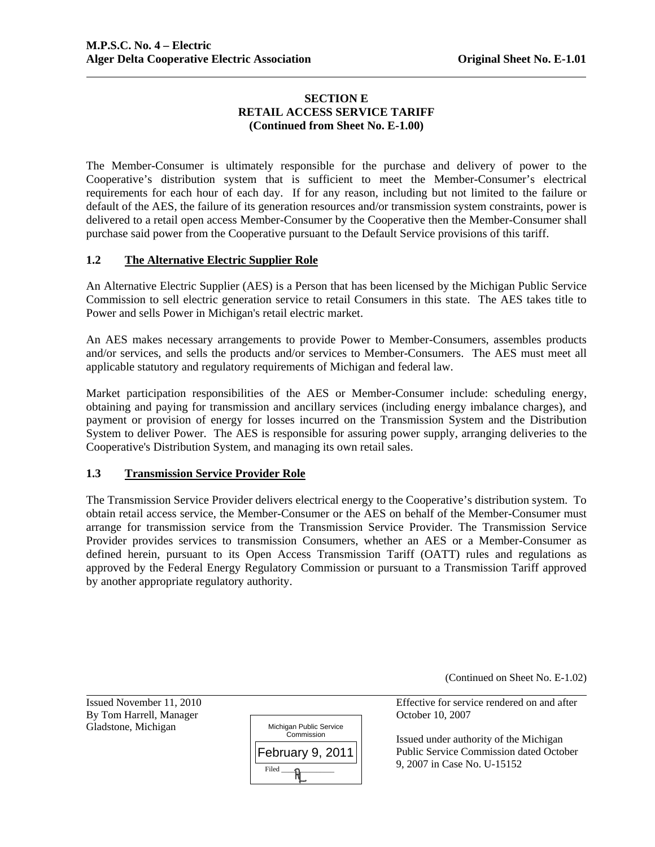# **SECTION E RETAIL ACCESS SERVICE TARIFF (Continued from Sheet No. E-1.00)**

The Member-Consumer is ultimately responsible for the purchase and delivery of power to the Cooperative's distribution system that is sufficient to meet the Member-Consumer's electrical requirements for each hour of each day. If for any reason, including but not limited to the failure or default of the AES, the failure of its generation resources and/or transmission system constraints, power is delivered to a retail open access Member-Consumer by the Cooperative then the Member-Consumer shall purchase said power from the Cooperative pursuant to the Default Service provisions of this tariff.

# **1.2 The Alternative Electric Supplier Role**

An Alternative Electric Supplier (AES) is a Person that has been licensed by the Michigan Public Service Commission to sell electric generation service to retail Consumers in this state. The AES takes title to Power and sells Power in Michigan's retail electric market.

An AES makes necessary arrangements to provide Power to Member-Consumers, assembles products and/or services, and sells the products and/or services to Member-Consumers. The AES must meet all applicable statutory and regulatory requirements of Michigan and federal law.

Market participation responsibilities of the AES or Member-Consumer include: scheduling energy, obtaining and paying for transmission and ancillary services (including energy imbalance charges), and payment or provision of energy for losses incurred on the Transmission System and the Distribution System to deliver Power. The AES is responsible for assuring power supply, arranging deliveries to the Cooperative's Distribution System, and managing its own retail sales.

# **1.3 Transmission Service Provider Role**

The Transmission Service Provider delivers electrical energy to the Cooperative's distribution system. To obtain retail access service, the Member-Consumer or the AES on behalf of the Member-Consumer must arrange for transmission service from the Transmission Service Provider. The Transmission Service Provider provides services to transmission Consumers, whether an AES or a Member-Consumer as defined herein, pursuant to its Open Access Transmission Tariff (OATT) rules and regulations as approved by the Federal Energy Regulatory Commission or pursuant to a Transmission Tariff approved by another appropriate regulatory authority.

(Continued on Sheet No. E-1.02)

Gladstone, Michigan

l



Issued November 11, 2010 Effective for service rendered on and after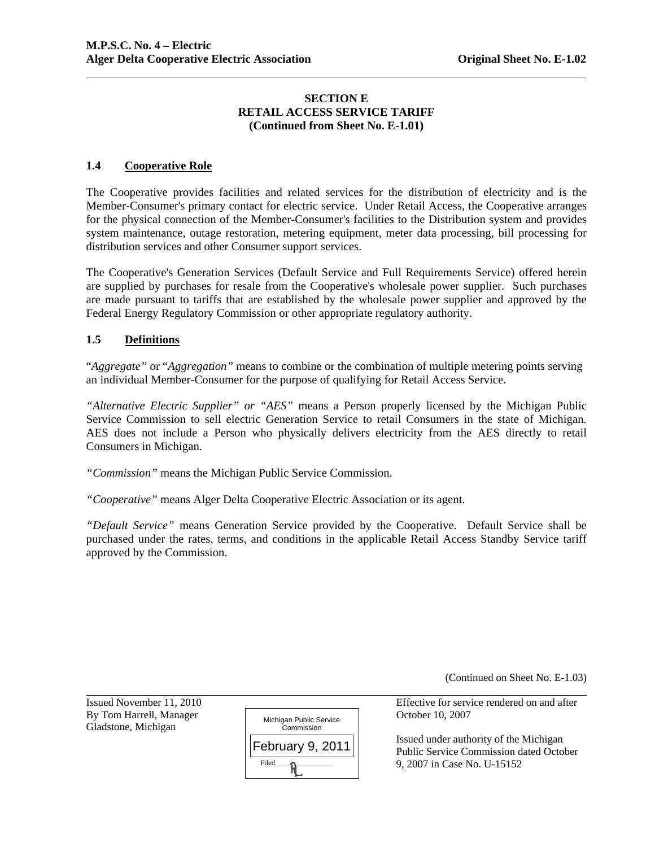## **SECTION E RETAIL ACCESS SERVICE TARIFF (Continued from Sheet No. E-1.01)**

# **1.4 Cooperative Role**

The Cooperative provides facilities and related services for the distribution of electricity and is the Member-Consumer's primary contact for electric service. Under Retail Access, the Cooperative arranges for the physical connection of the Member-Consumer's facilities to the Distribution system and provides system maintenance, outage restoration, metering equipment, meter data processing, bill processing for distribution services and other Consumer support services.

The Cooperative's Generation Services (Default Service and Full Requirements Service) offered herein are supplied by purchases for resale from the Cooperative's wholesale power supplier. Such purchases are made pursuant to tariffs that are established by the wholesale power supplier and approved by the Federal Energy Regulatory Commission or other appropriate regulatory authority.

# **1.5 Definitions**

"*Aggregate"* or "*Aggregation"* means to combine or the combination of multiple metering points serving an individual Member-Consumer for the purpose of qualifying for Retail Access Service.

*"Alternative Electric Supplier" or "AES"* means a Person properly licensed by the Michigan Public Service Commission to sell electric Generation Service to retail Consumers in the state of Michigan. AES does not include a Person who physically delivers electricity from the AES directly to retail Consumers in Michigan.

*"Commission"* means the Michigan Public Service Commission.

*"Cooperative"* means Alger Delta Cooperative Electric Association or its agent.

*"Default Service"* means Generation Service provided by the Cooperative. Default Service shall be purchased under the rates, terms, and conditions in the applicable Retail Access Standby Service tariff approved by the Commission.

(Continued on Sheet No. E-1.03)

Gladstone, Michigan

l



Issued November 11, 2010 Effective for service rendered on and after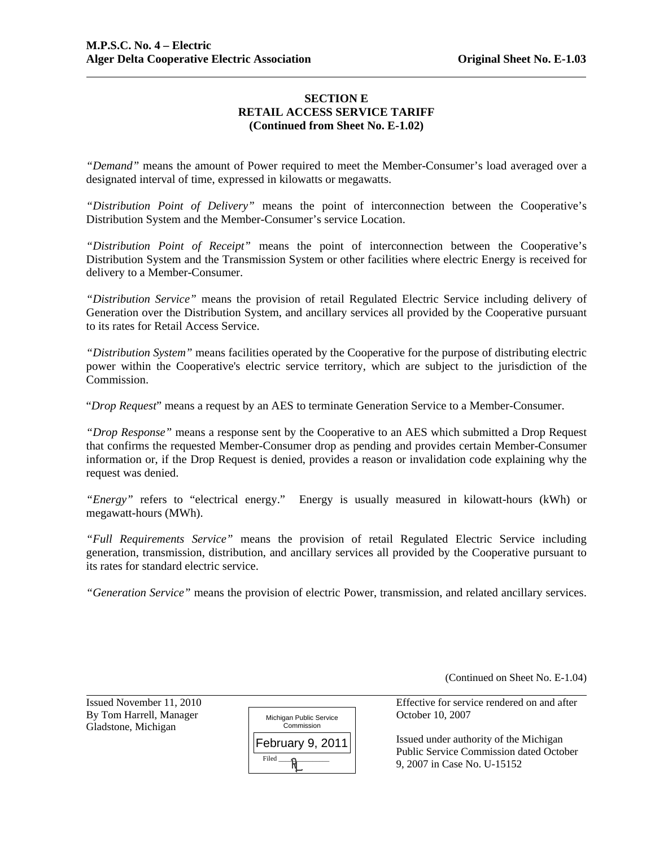# **SECTION E RETAIL ACCESS SERVICE TARIFF (Continued from Sheet No. E-1.02)**

*"Demand"* means the amount of Power required to meet the Member-Consumer's load averaged over a designated interval of time, expressed in kilowatts or megawatts.

*"Distribution Point of Delivery"* means the point of interconnection between the Cooperative's Distribution System and the Member-Consumer's service Location.

*"Distribution Point of Receipt"* means the point of interconnection between the Cooperative's Distribution System and the Transmission System or other facilities where electric Energy is received for delivery to a Member-Consumer.

*"Distribution Service"* means the provision of retail Regulated Electric Service including delivery of Generation over the Distribution System, and ancillary services all provided by the Cooperative pursuant to its rates for Retail Access Service.

*"Distribution System"* means facilities operated by the Cooperative for the purpose of distributing electric power within the Cooperative's electric service territory, which are subject to the jurisdiction of the Commission.

"*Drop Request*" means a request by an AES to terminate Generation Service to a Member-Consumer.

*"Drop Response"* means a response sent by the Cooperative to an AES which submitted a Drop Request that confirms the requested Member-Consumer drop as pending and provides certain Member-Consumer information or, if the Drop Request is denied, provides a reason or invalidation code explaining why the request was denied.

*"Energy"* refers to "electrical energy." Energy is usually measured in kilowatt-hours (kWh) or megawatt-hours (MWh).

*"Full Requirements Service"* means the provision of retail Regulated Electric Service including generation, transmission, distribution, and ancillary services all provided by the Cooperative pursuant to its rates for standard electric service.

*"Generation Service"* means the provision of electric Power, transmission, and related ancillary services.

(Continued on Sheet No. E-1.04)

Gladstone, Michigan

l



Issued November 11, 2010 Effective for service rendered on and after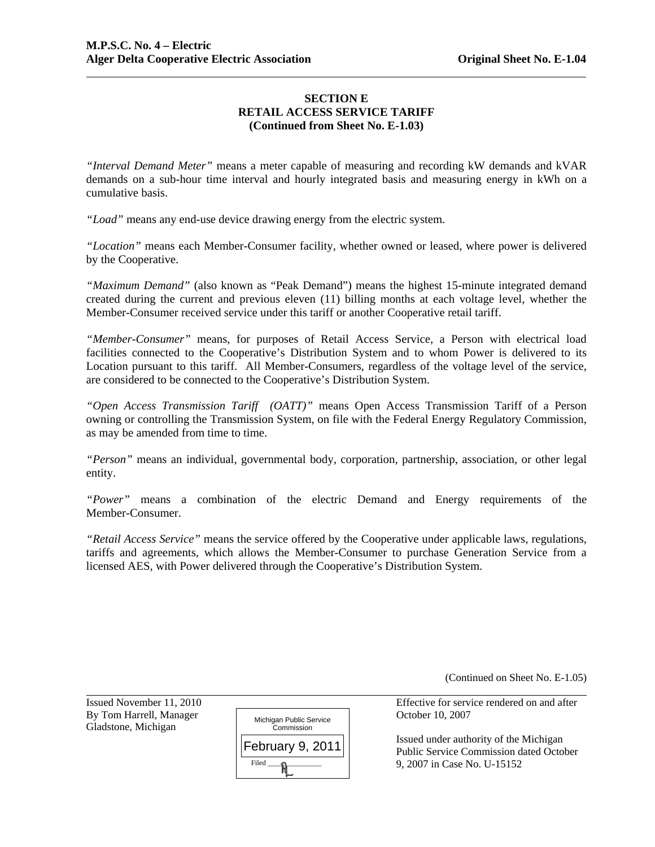# **SECTION E RETAIL ACCESS SERVICE TARIFF (Continued from Sheet No. E-1.03)**

*"Interval Demand Meter"* means a meter capable of measuring and recording kW demands and kVAR demands on a sub-hour time interval and hourly integrated basis and measuring energy in kWh on a cumulative basis.

*"Load"* means any end-use device drawing energy from the electric system.

*"Location"* means each Member-Consumer facility, whether owned or leased, where power is delivered by the Cooperative.

*"Maximum Demand"* (also known as "Peak Demand") means the highest 15-minute integrated demand created during the current and previous eleven (11) billing months at each voltage level, whether the Member-Consumer received service under this tariff or another Cooperative retail tariff.

*"Member-Consumer"* means, for purposes of Retail Access Service, a Person with electrical load facilities connected to the Cooperative's Distribution System and to whom Power is delivered to its Location pursuant to this tariff. All Member-Consumers, regardless of the voltage level of the service, are considered to be connected to the Cooperative's Distribution System.

*"Open Access Transmission Tariff (OATT)"* means Open Access Transmission Tariff of a Person owning or controlling the Transmission System, on file with the Federal Energy Regulatory Commission, as may be amended from time to time.

*"Person"* means an individual, governmental body, corporation, partnership, association, or other legal entity.

*"Power"* means a combination of the electric Demand and Energy requirements of the Member-Consumer.

*"Retail Access Service"* means the service offered by the Cooperative under applicable laws, regulations, tariffs and agreements, which allows the Member-Consumer to purchase Generation Service from a licensed AES, with Power delivered through the Cooperative's Distribution System.

(Continued on Sheet No. E-1.05)

By Tom Harrell, Manager Mishigan Public Service Cotober 10, 2007 Gladstone, Michigan

l

| Michigan Public Service<br>Commission |
|---------------------------------------|
| February 9, 2011                      |
| Filed                                 |

Issued November 11, 2010 Effective for service rendered on and after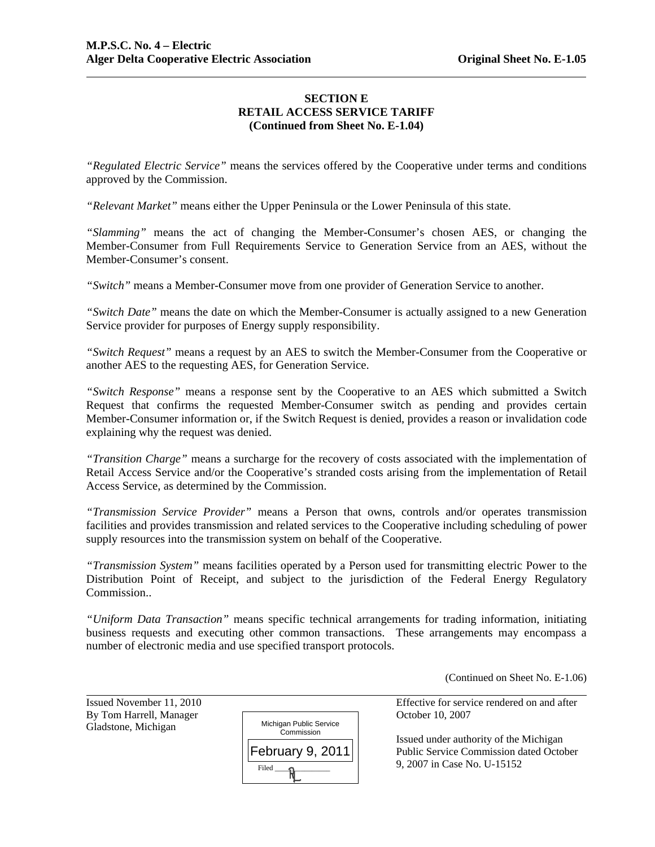# **SECTION E RETAIL ACCESS SERVICE TARIFF (Continued from Sheet No. E-1.04)**

*"Regulated Electric Service"* means the services offered by the Cooperative under terms and conditions approved by the Commission.

*"Relevant Market"* means either the Upper Peninsula or the Lower Peninsula of this state.

*"Slamming"* means the act of changing the Member-Consumer's chosen AES, or changing the Member-Consumer from Full Requirements Service to Generation Service from an AES, without the Member-Consumer's consent.

*"Switch"* means a Member-Consumer move from one provider of Generation Service to another.

*"Switch Date"* means the date on which the Member-Consumer is actually assigned to a new Generation Service provider for purposes of Energy supply responsibility.

*"Switch Request"* means a request by an AES to switch the Member-Consumer from the Cooperative or another AES to the requesting AES, for Generation Service.

*"Switch Response"* means a response sent by the Cooperative to an AES which submitted a Switch Request that confirms the requested Member-Consumer switch as pending and provides certain Member-Consumer information or, if the Switch Request is denied, provides a reason or invalidation code explaining why the request was denied.

*"Transition Charge"* means a surcharge for the recovery of costs associated with the implementation of Retail Access Service and/or the Cooperative's stranded costs arising from the implementation of Retail Access Service, as determined by the Commission.

*"Transmission Service Provider"* means a Person that owns, controls and/or operates transmission facilities and provides transmission and related services to the Cooperative including scheduling of power supply resources into the transmission system on behalf of the Cooperative.

*"Transmission System"* means facilities operated by a Person used for transmitting electric Power to the Distribution Point of Receipt, and subject to the jurisdiction of the Federal Energy Regulatory Commission..

*"Uniform Data Transaction"* means specific technical arrangements for trading information, initiating business requests and executing other common transactions. These arrangements may encompass a number of electronic media and use specified transport protocols.

(Continued on Sheet No. E-1.06)

| Issued November 11, 2010                       |                                                                    | Effective for service rendered on and after                                                                                          |
|------------------------------------------------|--------------------------------------------------------------------|--------------------------------------------------------------------------------------------------------------------------------------|
| By Tom Harrell, Manager<br>Gladstone, Michigan | Michigan Public Service<br>Commission<br>February 9, 2011<br>Filed | October 10, 2007<br>Issued under authority of the Michigan<br>Public Service Commission dated October<br>9, 2007 in Case No. U-15152 |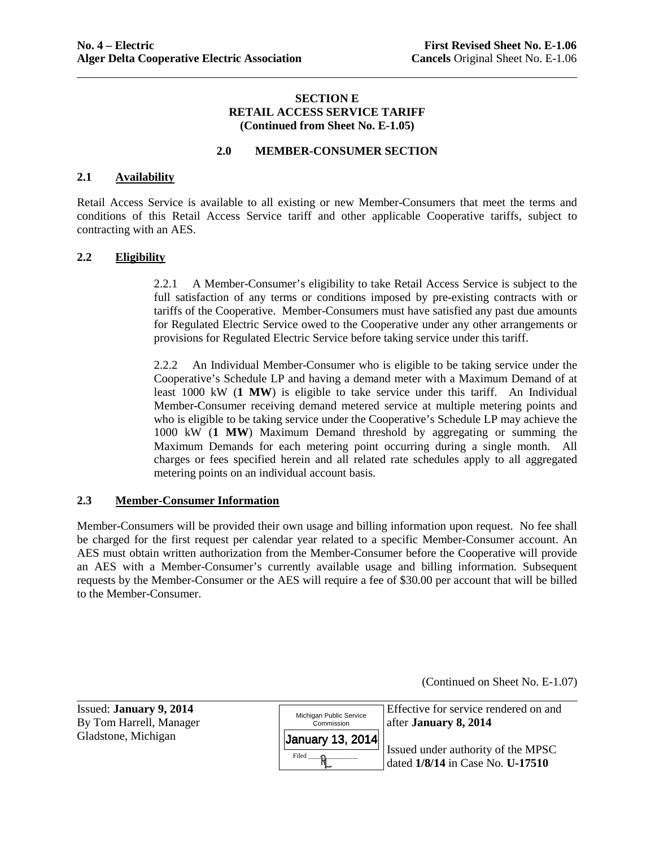### **SECTION E RETAIL ACCESS SERVICE TARIFF (Continued from Sheet No. E-1.05)**

#### **2.0 MEMBER-CONSUMER SECTION**

# **2.1 Availability**

Retail Access Service is available to all existing or new Member-Consumers that meet the terms and conditions of this Retail Access Service tariff and other applicable Cooperative tariffs, subject to contracting with an AES.

## **2.2 Eligibility**

2.2.1 A Member-Consumer's eligibility to take Retail Access Service is subject to the full satisfaction of any terms or conditions imposed by pre-existing contracts with or tariffs of the Cooperative. Member-Consumers must have satisfied any past due amounts for Regulated Electric Service owed to the Cooperative under any other arrangements or provisions for Regulated Electric Service before taking service under this tariff.

2.2.2 An Individual Member-Consumer who is eligible to be taking service under the Cooperative's Schedule LP and having a demand meter with a Maximum Demand of at least 1000 kW (**1 MW**) is eligible to take service under this tariff. An Individual Member-Consumer receiving demand metered service at multiple metering points and who is eligible to be taking service under the Cooperative's Schedule LP may achieve the 1000 kW (**1 MW**) Maximum Demand threshold by aggregating or summing the Maximum Demands for each metering point occurring during a single month. All charges or fees specified herein and all related rate schedules apply to all aggregated metering points on an individual account basis.

### **2.3 Member-Consumer Information**

Member-Consumers will be provided their own usage and billing information upon request. No fee shall be charged for the first request per calendar year related to a specific Member-Consumer account. An AES must obtain written authorization from the Member-Consumer before the Cooperative will provide an AES with a Member-Consumer's currently available usage and billing information. Subsequent requests by the Member-Consumer or the AES will require a fee of \$30.00 per account that will be billed to the Member-Consumer.

(Continued on Sheet No. E-1.07)

Issued: **January 9, 2014** Effective for service rendered on and By Tom Harrell, Manager **and School School** Commission after **January 8, 2014** Gladstone, Michigan Issued under authority of the MPSC dated **1/8/14** in Case No. **U-17510** Michigan Public Service **Commission** Filed \_\_\_\_\_\_\_\_\_\_\_\_\_\_\_ January 13, 2014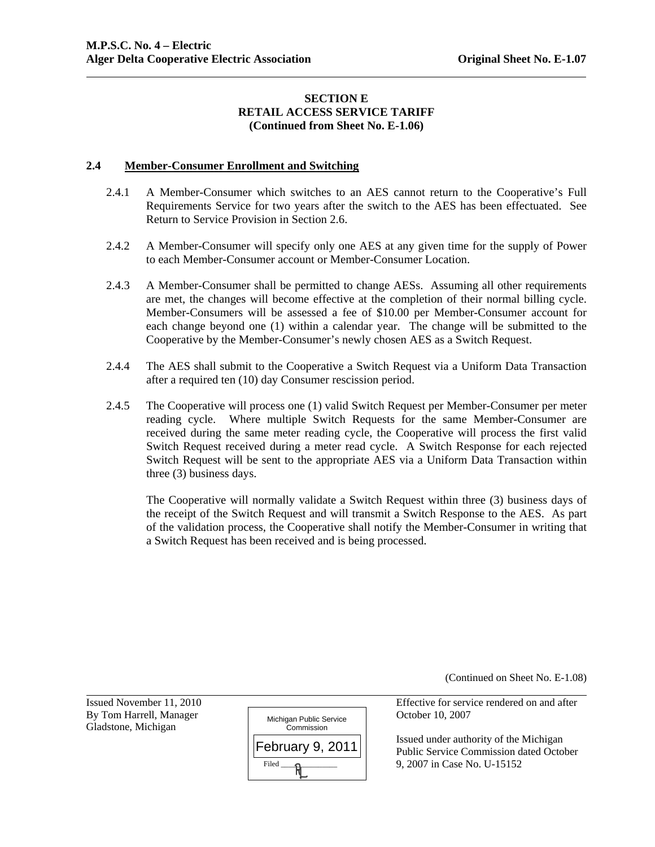## **SECTION E RETAIL ACCESS SERVICE TARIFF (Continued from Sheet No. E-1.06)**

## **2.4 Member-Consumer Enrollment and Switching**

- 2.4.1 A Member-Consumer which switches to an AES cannot return to the Cooperative's Full Requirements Service for two years after the switch to the AES has been effectuated. See Return to Service Provision in Section 2.6.
- 2.4.2 A Member-Consumer will specify only one AES at any given time for the supply of Power to each Member-Consumer account or Member-Consumer Location.
- 2.4.3 A Member-Consumer shall be permitted to change AESs. Assuming all other requirements are met, the changes will become effective at the completion of their normal billing cycle. Member-Consumers will be assessed a fee of \$10.00 per Member-Consumer account for each change beyond one (1) within a calendar year. The change will be submitted to the Cooperative by the Member-Consumer's newly chosen AES as a Switch Request.
- 2.4.4 The AES shall submit to the Cooperative a Switch Request via a Uniform Data Transaction after a required ten (10) day Consumer rescission period.
- 2.4.5 The Cooperative will process one (1) valid Switch Request per Member-Consumer per meter reading cycle. Where multiple Switch Requests for the same Member-Consumer are received during the same meter reading cycle, the Cooperative will process the first valid Switch Request received during a meter read cycle. A Switch Response for each rejected Switch Request will be sent to the appropriate AES via a Uniform Data Transaction within three (3) business days.

The Cooperative will normally validate a Switch Request within three (3) business days of the receipt of the Switch Request and will transmit a Switch Response to the AES. As part of the validation process, the Cooperative shall notify the Member-Consumer in writing that a Switch Request has been received and is being processed.

(Continued on Sheet No. E-1.08)

Gladstone, Michigan

l



Issued November 11, 2010 Effective for service rendered on and after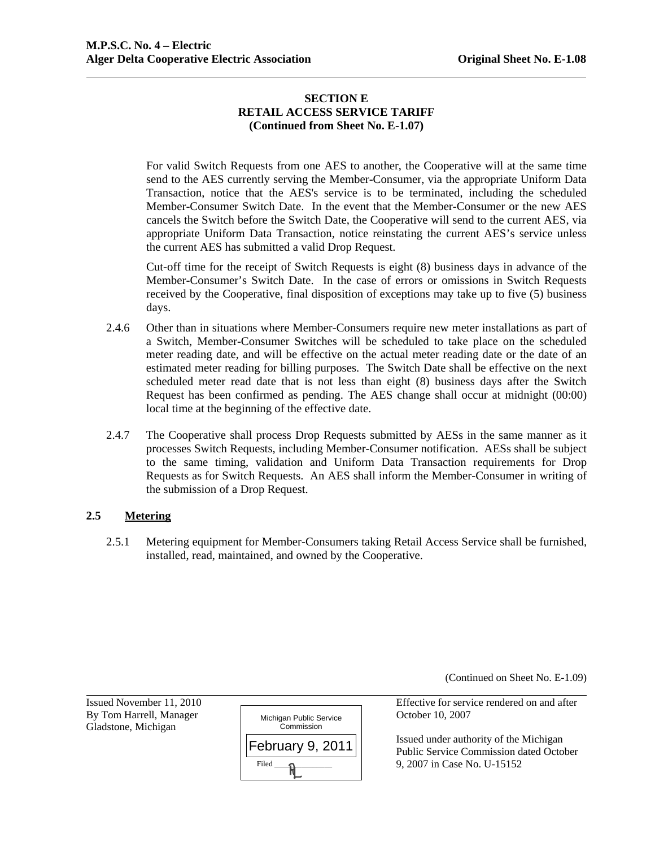# **SECTION E RETAIL ACCESS SERVICE TARIFF (Continued from Sheet No. E-1.07)**

For valid Switch Requests from one AES to another, the Cooperative will at the same time send to the AES currently serving the Member-Consumer, via the appropriate Uniform Data Transaction, notice that the AES's service is to be terminated, including the scheduled Member-Consumer Switch Date. In the event that the Member-Consumer or the new AES cancels the Switch before the Switch Date, the Cooperative will send to the current AES, via appropriate Uniform Data Transaction, notice reinstating the current AES's service unless the current AES has submitted a valid Drop Request.

Cut-off time for the receipt of Switch Requests is eight (8) business days in advance of the Member-Consumer's Switch Date. In the case of errors or omissions in Switch Requests received by the Cooperative, final disposition of exceptions may take up to five (5) business days.

- 2.4.6 Other than in situations where Member-Consumers require new meter installations as part of a Switch, Member-Consumer Switches will be scheduled to take place on the scheduled meter reading date, and will be effective on the actual meter reading date or the date of an estimated meter reading for billing purposes. The Switch Date shall be effective on the next scheduled meter read date that is not less than eight (8) business days after the Switch Request has been confirmed as pending. The AES change shall occur at midnight (00:00) local time at the beginning of the effective date.
- 2.4.7 The Cooperative shall process Drop Requests submitted by AESs in the same manner as it processes Switch Requests, including Member-Consumer notification. AESs shall be subject to the same timing, validation and Uniform Data Transaction requirements for Drop Requests as for Switch Requests. An AES shall inform the Member-Consumer in writing of the submission of a Drop Request.

# **2.5 Metering**

2.5.1 Metering equipment for Member-Consumers taking Retail Access Service shall be furnished, installed, read, maintained, and owned by the Cooperative.

(Continued on Sheet No. E-1.09)

Gladstone, Michigan

l



Issued November 11, 2010 Effective for service rendered on and after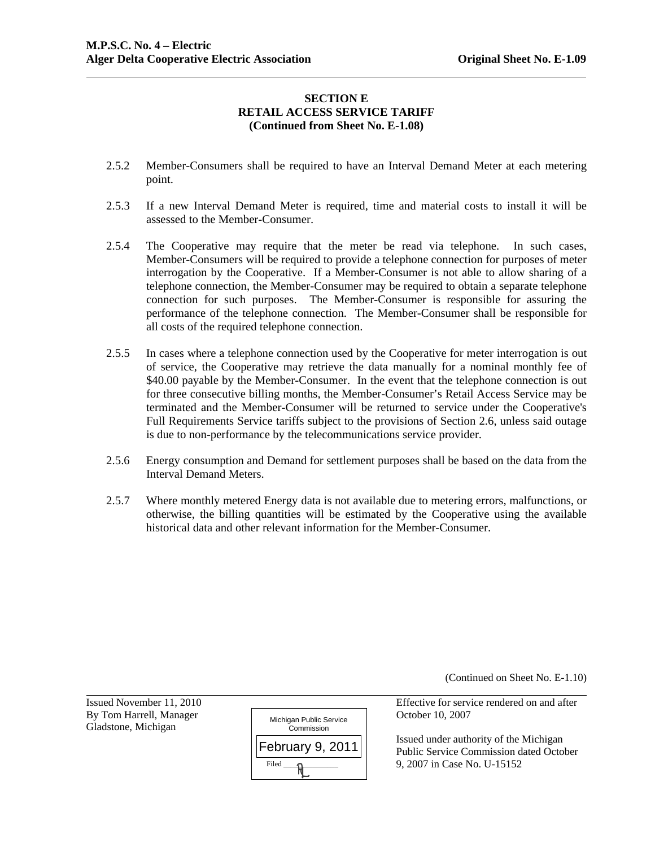# **SECTION E RETAIL ACCESS SERVICE TARIFF (Continued from Sheet No. E-1.08)**

- 2.5.2 Member-Consumers shall be required to have an Interval Demand Meter at each metering point.
- 2.5.3 If a new Interval Demand Meter is required, time and material costs to install it will be assessed to the Member-Consumer.
- 2.5.4 The Cooperative may require that the meter be read via telephone. In such cases, Member-Consumers will be required to provide a telephone connection for purposes of meter interrogation by the Cooperative. If a Member-Consumer is not able to allow sharing of a telephone connection, the Member-Consumer may be required to obtain a separate telephone connection for such purposes. The Member-Consumer is responsible for assuring the performance of the telephone connection. The Member-Consumer shall be responsible for all costs of the required telephone connection.
- 2.5.5 In cases where a telephone connection used by the Cooperative for meter interrogation is out of service, the Cooperative may retrieve the data manually for a nominal monthly fee of \$40.00 payable by the Member-Consumer. In the event that the telephone connection is out for three consecutive billing months, the Member-Consumer's Retail Access Service may be terminated and the Member-Consumer will be returned to service under the Cooperative's Full Requirements Service tariffs subject to the provisions of Section 2.6, unless said outage is due to non-performance by the telecommunications service provider.
- 2.5.6 Energy consumption and Demand for settlement purposes shall be based on the data from the Interval Demand Meters.
- 2.5.7 Where monthly metered Energy data is not available due to metering errors, malfunctions, or otherwise, the billing quantities will be estimated by the Cooperative using the available historical data and other relevant information for the Member-Consumer.

(Continued on Sheet No. E-1.10)

Gladstone, Michigan

l



Issued November 11, 2010 Effective for service rendered on and after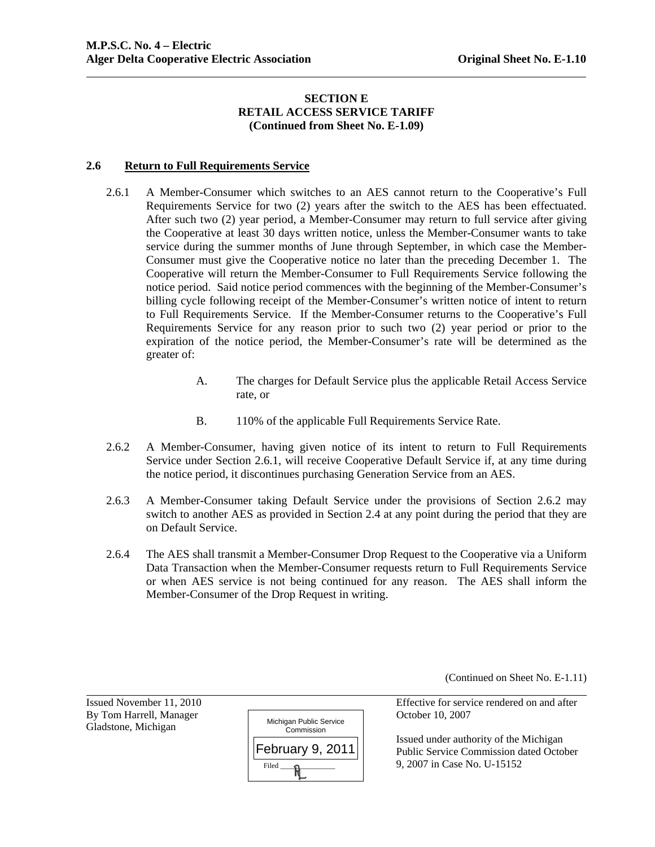## **SECTION E RETAIL ACCESS SERVICE TARIFF (Continued from Sheet No. E-1.09)**

# **2.6 Return to Full Requirements Service**

- 2.6.1 A Member-Consumer which switches to an AES cannot return to the Cooperative's Full Requirements Service for two (2) years after the switch to the AES has been effectuated. After such two (2) year period, a Member-Consumer may return to full service after giving the Cooperative at least 30 days written notice, unless the Member-Consumer wants to take service during the summer months of June through September, in which case the Member-Consumer must give the Cooperative notice no later than the preceding December 1. The Cooperative will return the Member-Consumer to Full Requirements Service following the notice period. Said notice period commences with the beginning of the Member-Consumer's billing cycle following receipt of the Member-Consumer's written notice of intent to return to Full Requirements Service. If the Member-Consumer returns to the Cooperative's Full Requirements Service for any reason prior to such two (2) year period or prior to the expiration of the notice period, the Member-Consumer's rate will be determined as the greater of:
	- A. The charges for Default Service plus the applicable Retail Access Service rate, or
	- B. 110% of the applicable Full Requirements Service Rate.
- 2.6.2 A Member-Consumer, having given notice of its intent to return to Full Requirements Service under Section 2.6.1, will receive Cooperative Default Service if, at any time during the notice period, it discontinues purchasing Generation Service from an AES.
- 2.6.3 A Member-Consumer taking Default Service under the provisions of Section 2.6.2 may switch to another AES as provided in Section 2.4 at any point during the period that they are on Default Service.
- 2.6.4 The AES shall transmit a Member-Consumer Drop Request to the Cooperative via a Uniform Data Transaction when the Member-Consumer requests return to Full Requirements Service or when AES service is not being continued for any reason. The AES shall inform the Member-Consumer of the Drop Request in writing.

(Continued on Sheet No. E-1.11)

l Issued November 11, 2010 Effective for service rendered on and after By Tom Harrell, Manager **Detail Containers** October 10, 2007 Gladstone, Michigan

| Michigan Public Service<br>Commission |
|---------------------------------------|
| February 9, 2011                      |
| Filed                                 |
|                                       |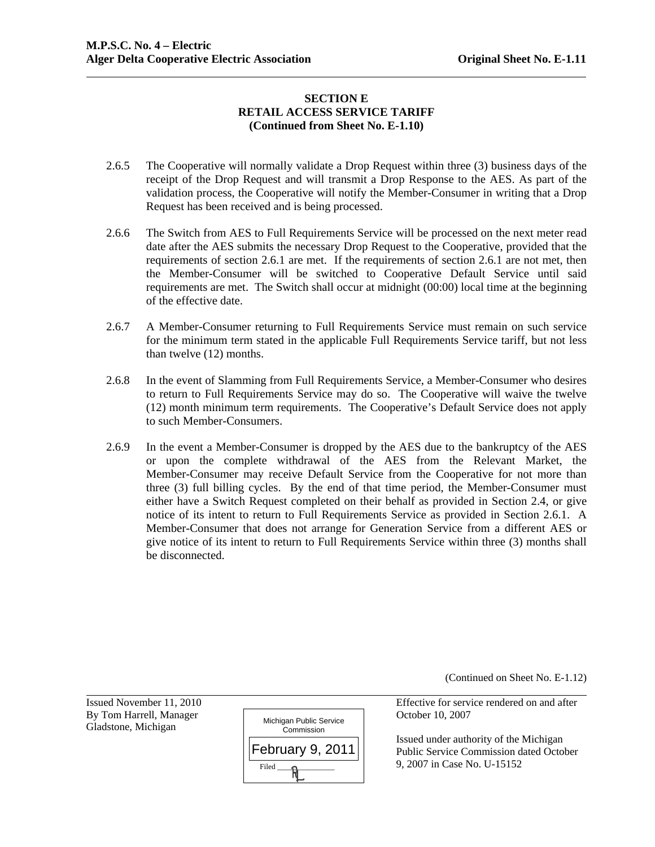# **SECTION E RETAIL ACCESS SERVICE TARIFF (Continued from Sheet No. E-1.10)**

- 2.6.5 The Cooperative will normally validate a Drop Request within three (3) business days of the receipt of the Drop Request and will transmit a Drop Response to the AES. As part of the validation process, the Cooperative will notify the Member-Consumer in writing that a Drop Request has been received and is being processed.
- 2.6.6 The Switch from AES to Full Requirements Service will be processed on the next meter read date after the AES submits the necessary Drop Request to the Cooperative, provided that the requirements of section 2.6.1 are met. If the requirements of section 2.6.1 are not met, then the Member-Consumer will be switched to Cooperative Default Service until said requirements are met. The Switch shall occur at midnight (00:00) local time at the beginning of the effective date.
- 2.6.7 A Member-Consumer returning to Full Requirements Service must remain on such service for the minimum term stated in the applicable Full Requirements Service tariff, but not less than twelve (12) months.
- 2.6.8 In the event of Slamming from Full Requirements Service, a Member-Consumer who desires to return to Full Requirements Service may do so. The Cooperative will waive the twelve (12) month minimum term requirements. The Cooperative's Default Service does not apply to such Member-Consumers.
- 2.6.9 In the event a Member-Consumer is dropped by the AES due to the bankruptcy of the AES or upon the complete withdrawal of the AES from the Relevant Market, the Member-Consumer may receive Default Service from the Cooperative for not more than three (3) full billing cycles. By the end of that time period, the Member-Consumer must either have a Switch Request completed on their behalf as provided in Section 2.4, or give notice of its intent to return to Full Requirements Service as provided in Section 2.6.1. A Member-Consumer that does not arrange for Generation Service from a different AES or give notice of its intent to return to Full Requirements Service within three (3) months shall be disconnected.

(Continued on Sheet No. E-1.12)

Gladstone, Michigan

l



Issued November 11, 2010 Effective for service rendered on and after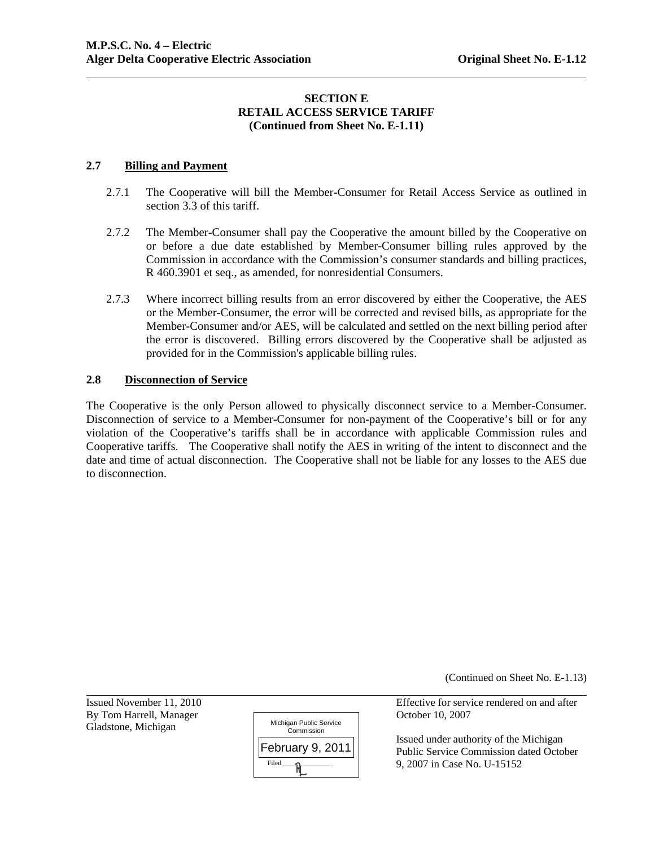# **SECTION E RETAIL ACCESS SERVICE TARIFF (Continued from Sheet No. E-1.11)**

# **2.7 Billing and Payment**

- 2.7.1 The Cooperative will bill the Member-Consumer for Retail Access Service as outlined in section 3.3 of this tariff.
- 2.7.2 The Member-Consumer shall pay the Cooperative the amount billed by the Cooperative on or before a due date established by Member-Consumer billing rules approved by the Commission in accordance with the Commission's consumer standards and billing practices, R 460.3901 et seq., as amended, for nonresidential Consumers.
- 2.7.3 Where incorrect billing results from an error discovered by either the Cooperative, the AES or the Member-Consumer, the error will be corrected and revised bills, as appropriate for the Member-Consumer and/or AES, will be calculated and settled on the next billing period after the error is discovered. Billing errors discovered by the Cooperative shall be adjusted as provided for in the Commission's applicable billing rules.

## **2.8 Disconnection of Service**

The Cooperative is the only Person allowed to physically disconnect service to a Member-Consumer. Disconnection of service to a Member-Consumer for non-payment of the Cooperative's bill or for any violation of the Cooperative's tariffs shall be in accordance with applicable Commission rules and Cooperative tariffs. The Cooperative shall notify the AES in writing of the intent to disconnect and the date and time of actual disconnection. The Cooperative shall not be liable for any losses to the AES due to disconnection.

(Continued on Sheet No. E-1.13)

By Tom Harrell, Manager **Department Controller** October 10, 2007 Gladstone, Michigan

l



Issued November 11, 2010 Effective for service rendered on and after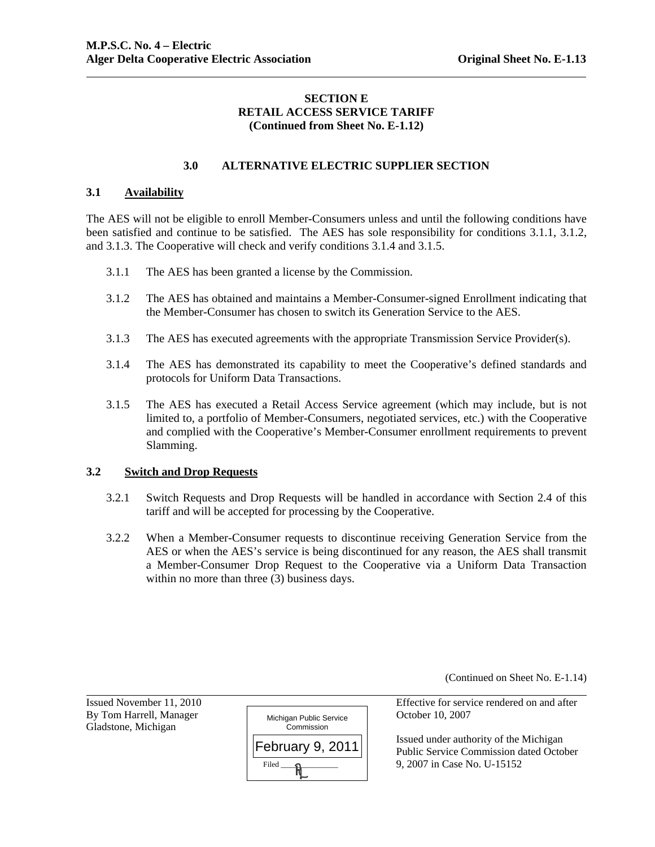## **SECTION E RETAIL ACCESS SERVICE TARIFF (Continued from Sheet No. E-1.12)**

# **3.0 ALTERNATIVE ELECTRIC SUPPLIER SECTION**

### **3.1 Availability**

The AES will not be eligible to enroll Member-Consumers unless and until the following conditions have been satisfied and continue to be satisfied. The AES has sole responsibility for conditions 3.1.1, 3.1.2, and 3.1.3. The Cooperative will check and verify conditions 3.1.4 and 3.1.5.

- 3.1.1 The AES has been granted a license by the Commission.
- 3.1.2 The AES has obtained and maintains a Member-Consumer-signed Enrollment indicating that the Member-Consumer has chosen to switch its Generation Service to the AES.
- 3.1.3 The AES has executed agreements with the appropriate Transmission Service Provider(s).
- 3.1.4 The AES has demonstrated its capability to meet the Cooperative's defined standards and protocols for Uniform Data Transactions.
- 3.1.5 The AES has executed a Retail Access Service agreement (which may include, but is not limited to, a portfolio of Member-Consumers, negotiated services, etc.) with the Cooperative and complied with the Cooperative's Member-Consumer enrollment requirements to prevent Slamming.

## **3.2 Switch and Drop Requests**

- 3.2.1 Switch Requests and Drop Requests will be handled in accordance with Section 2.4 of this tariff and will be accepted for processing by the Cooperative.
- 3.2.2 When a Member-Consumer requests to discontinue receiving Generation Service from the AES or when the AES's service is being discontinued for any reason, the AES shall transmit a Member-Consumer Drop Request to the Cooperative via a Uniform Data Transaction within no more than three (3) business days.

(Continued on Sheet No. E-1.14)

Gladstone, Michigan

l



Issued November 11, 2010 Effective for service rendered on and after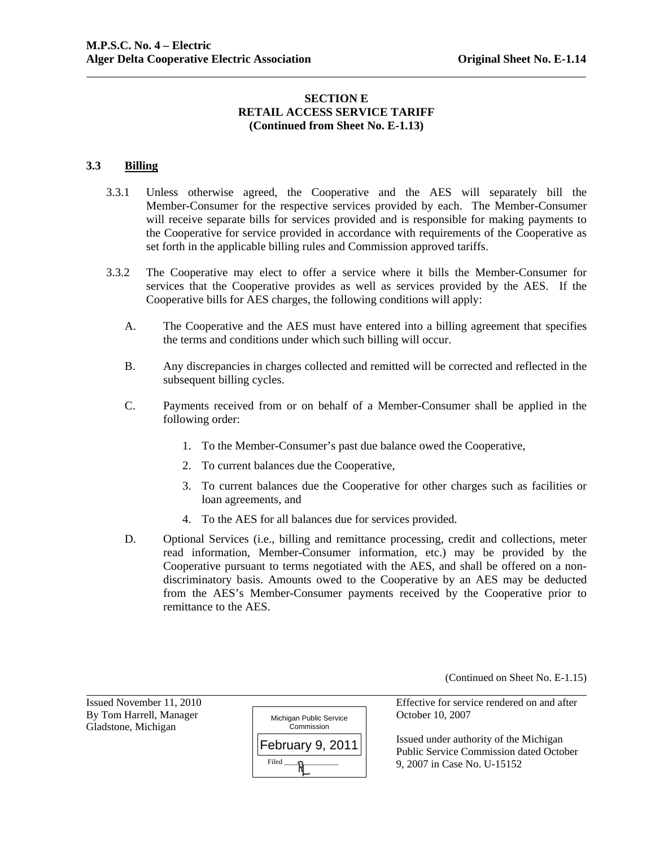# **SECTION E RETAIL ACCESS SERVICE TARIFF (Continued from Sheet No. E-1.13)**

# **3.3 Billing**

- 3.3.1 Unless otherwise agreed, the Cooperative and the AES will separately bill the Member-Consumer for the respective services provided by each. The Member-Consumer will receive separate bills for services provided and is responsible for making payments to the Cooperative for service provided in accordance with requirements of the Cooperative as set forth in the applicable billing rules and Commission approved tariffs.
- 3.3.2 The Cooperative may elect to offer a service where it bills the Member-Consumer for services that the Cooperative provides as well as services provided by the AES. If the Cooperative bills for AES charges, the following conditions will apply:
	- A. The Cooperative and the AES must have entered into a billing agreement that specifies the terms and conditions under which such billing will occur.
	- B. Any discrepancies in charges collected and remitted will be corrected and reflected in the subsequent billing cycles.
	- C. Payments received from or on behalf of a Member-Consumer shall be applied in the following order:
		- 1. To the Member-Consumer's past due balance owed the Cooperative,
		- 2. To current balances due the Cooperative,
		- 3. To current balances due the Cooperative for other charges such as facilities or loan agreements, and
		- 4. To the AES for all balances due for services provided.
	- D. Optional Services (i.e., billing and remittance processing, credit and collections, meter read information, Member-Consumer information, etc.) may be provided by the Cooperative pursuant to terms negotiated with the AES, and shall be offered on a nondiscriminatory basis. Amounts owed to the Cooperative by an AES may be deducted from the AES's Member-Consumer payments received by the Cooperative prior to remittance to the AES.

(Continued on Sheet No. E-1.15)

Gladstone, Michigan

l



Issued November 11, 2010 Effective for service rendered on and after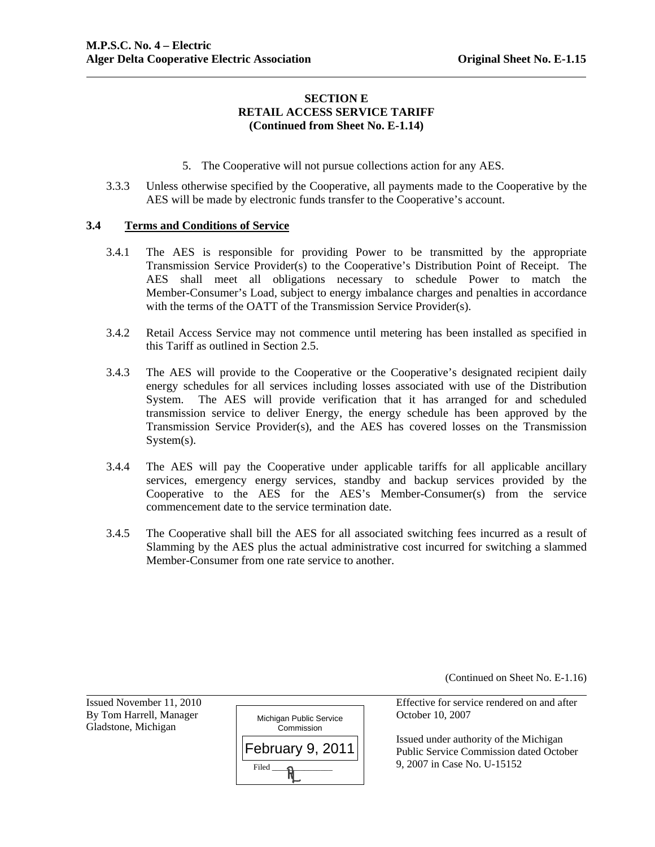## **SECTION E RETAIL ACCESS SERVICE TARIFF (Continued from Sheet No. E-1.14)**

- 5. The Cooperative will not pursue collections action for any AES.
- 3.3.3 Unless otherwise specified by the Cooperative, all payments made to the Cooperative by the AES will be made by electronic funds transfer to the Cooperative's account.

# **3.4 Terms and Conditions of Service**

- 3.4.1 The AES is responsible for providing Power to be transmitted by the appropriate Transmission Service Provider(s) to the Cooperative's Distribution Point of Receipt. The AES shall meet all obligations necessary to schedule Power to match the Member-Consumer's Load, subject to energy imbalance charges and penalties in accordance with the terms of the OATT of the Transmission Service Provider(s).
- 3.4.2 Retail Access Service may not commence until metering has been installed as specified in this Tariff as outlined in Section 2.5.
- 3.4.3 The AES will provide to the Cooperative or the Cooperative's designated recipient daily energy schedules for all services including losses associated with use of the Distribution System. The AES will provide verification that it has arranged for and scheduled transmission service to deliver Energy, the energy schedule has been approved by the Transmission Service Provider(s), and the AES has covered losses on the Transmission System(s).
- 3.4.4 The AES will pay the Cooperative under applicable tariffs for all applicable ancillary services, emergency energy services, standby and backup services provided by the Cooperative to the AES for the AES's Member-Consumer(s) from the service commencement date to the service termination date.
- 3.4.5 The Cooperative shall bill the AES for all associated switching fees incurred as a result of Slamming by the AES plus the actual administrative cost incurred for switching a slammed Member-Consumer from one rate service to another.

(Continued on Sheet No. E-1.16)

Gladstone, Michigan

l



Issued November 11, 2010 Effective for service rendered on and after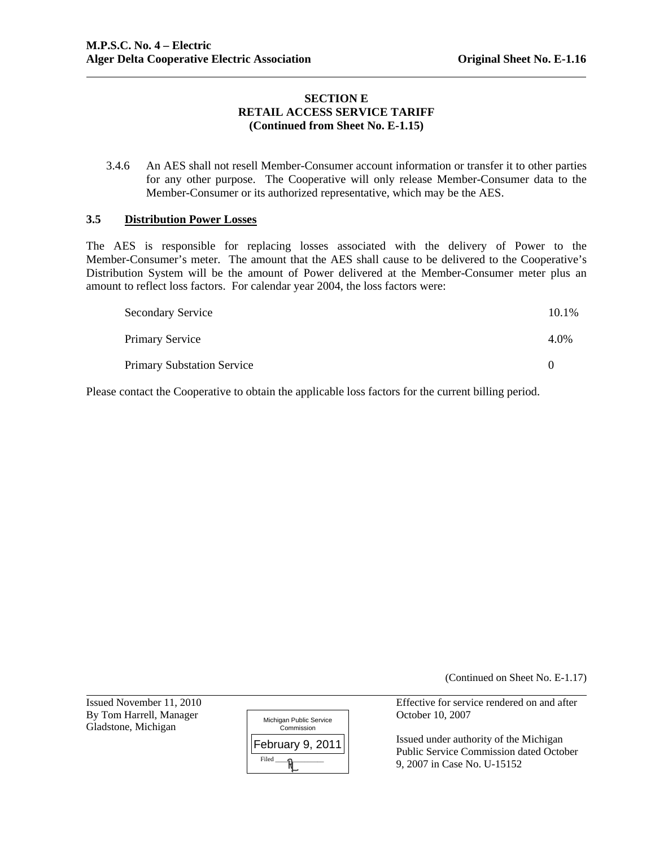### **SECTION E RETAIL ACCESS SERVICE TARIFF (Continued from Sheet No. E-1.15)**

3.4.6 An AES shall not resell Member-Consumer account information or transfer it to other parties for any other purpose. The Cooperative will only release Member-Consumer data to the Member-Consumer or its authorized representative, which may be the AES.

# **3.5 Distribution Power Losses**

The AES is responsible for replacing losses associated with the delivery of Power to the Member-Consumer's meter. The amount that the AES shall cause to be delivered to the Cooperative's Distribution System will be the amount of Power delivered at the Member-Consumer meter plus an amount to reflect loss factors. For calendar year 2004, the loss factors were:

| <b>Secondary Service</b>          | 10.1% |
|-----------------------------------|-------|
| Primary Service                   | 4.0%  |
| <b>Primary Substation Service</b> | 0     |

Please contact the Cooperative to obtain the applicable loss factors for the current billing period.

(Continued on Sheet No. E-1.17)

By Tom Harrell, Manager Cubic Series Bublis Series Cubic Series Cubic Series Cubic Series Cubic Series Cubic Series Cubic Series Cubic Series Cubic Series Cubic Series Cubic Series Cubic Series Cubic Series Cubic Series Cu Gladstone, Michigan

l

| Michigan Public Service<br>Commission |
|---------------------------------------|
| February 9, 2011                      |
| Filed                                 |

Issued November 11, 2010 Effective for service rendered on and after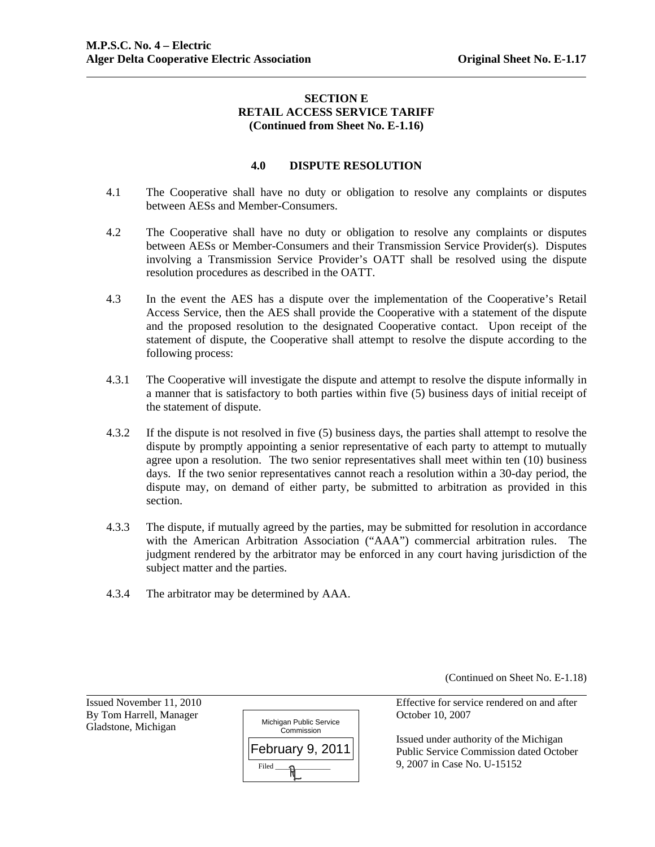### **SECTION E RETAIL ACCESS SERVICE TARIFF (Continued from Sheet No. E-1.16)**

# **4.0 DISPUTE RESOLUTION**

- 4.1 The Cooperative shall have no duty or obligation to resolve any complaints or disputes between AESs and Member-Consumers.
- 4.2 The Cooperative shall have no duty or obligation to resolve any complaints or disputes between AESs or Member-Consumers and their Transmission Service Provider(s). Disputes involving a Transmission Service Provider's OATT shall be resolved using the dispute resolution procedures as described in the OATT.
- 4.3 In the event the AES has a dispute over the implementation of the Cooperative's Retail Access Service, then the AES shall provide the Cooperative with a statement of the dispute and the proposed resolution to the designated Cooperative contact. Upon receipt of the statement of dispute, the Cooperative shall attempt to resolve the dispute according to the following process:
- 4.3.1 The Cooperative will investigate the dispute and attempt to resolve the dispute informally in a manner that is satisfactory to both parties within five (5) business days of initial receipt of the statement of dispute.
- 4.3.2 If the dispute is not resolved in five (5) business days, the parties shall attempt to resolve the dispute by promptly appointing a senior representative of each party to attempt to mutually agree upon a resolution. The two senior representatives shall meet within ten (10) business days. If the two senior representatives cannot reach a resolution within a 30-day period, the dispute may, on demand of either party, be submitted to arbitration as provided in this section.
- 4.3.3 The dispute, if mutually agreed by the parties, may be submitted for resolution in accordance with the American Arbitration Association ("AAA") commercial arbitration rules. The judgment rendered by the arbitrator may be enforced in any court having jurisdiction of the subject matter and the parties.
- 4.3.4 The arbitrator may be determined by AAA.

(Continued on Sheet No. E-1.18)

Issued under authority of the Michigan Public Service Commission dated October 9, 2007 in Case No. U-15152

Gladstone, Michigan

l

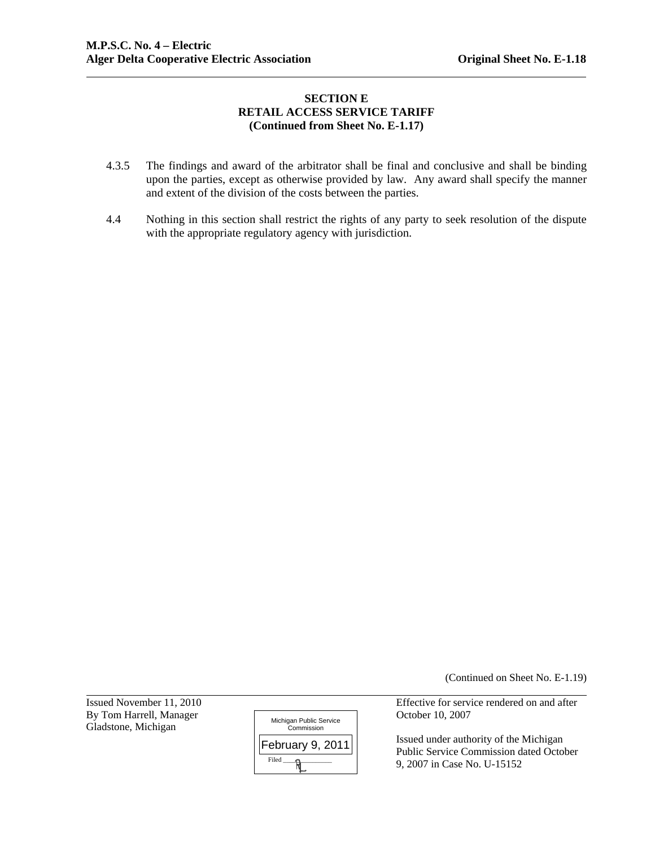### **SECTION E RETAIL ACCESS SERVICE TARIFF (Continued from Sheet No. E-1.17)**

- 4.3.5 The findings and award of the arbitrator shall be final and conclusive and shall be binding upon the parties, except as otherwise provided by law. Any award shall specify the manner and extent of the division of the costs between the parties.
- 4.4 Nothing in this section shall restrict the rights of any party to seek resolution of the dispute with the appropriate regulatory agency with jurisdiction.

(Continued on Sheet No. E-1.19)

By Tom Harrell, Manager Cubia Cartia Cartia, Cubia Cartia, October 10, 2007 Gladstone, Michigan

l



Issued November 11, 2010 Effective for service rendered on and after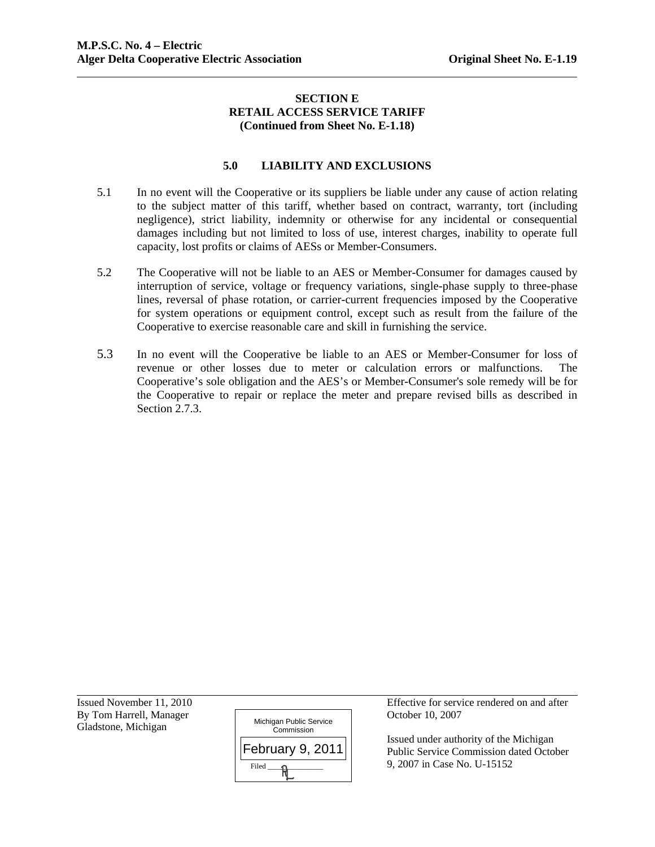### **SECTION E RETAIL ACCESS SERVICE TARIFF (Continued from Sheet No. E-1.18)**

## **5.0 LIABILITY AND EXCLUSIONS**

- 5.1 In no event will the Cooperative or its suppliers be liable under any cause of action relating to the subject matter of this tariff, whether based on contract, warranty, tort (including negligence), strict liability, indemnity or otherwise for any incidental or consequential damages including but not limited to loss of use, interest charges, inability to operate full capacity, lost profits or claims of AESs or Member-Consumers.
- 5.2 The Cooperative will not be liable to an AES or Member-Consumer for damages caused by interruption of service, voltage or frequency variations, single-phase supply to three-phase lines, reversal of phase rotation, or carrier-current frequencies imposed by the Cooperative for system operations or equipment control, except such as result from the failure of the Cooperative to exercise reasonable care and skill in furnishing the service.
- 5.3 In no event will the Cooperative be liable to an AES or Member-Consumer for loss of revenue or other losses due to meter or calculation errors or malfunctions. The Cooperative's sole obligation and the AES's or Member-Consumer's sole remedy will be for the Cooperative to repair or replace the meter and prepare revised bills as described in Section 2.7.3.

Gladstone, Michigan

l



Issued November 11, 2010 Effective for service rendered on and after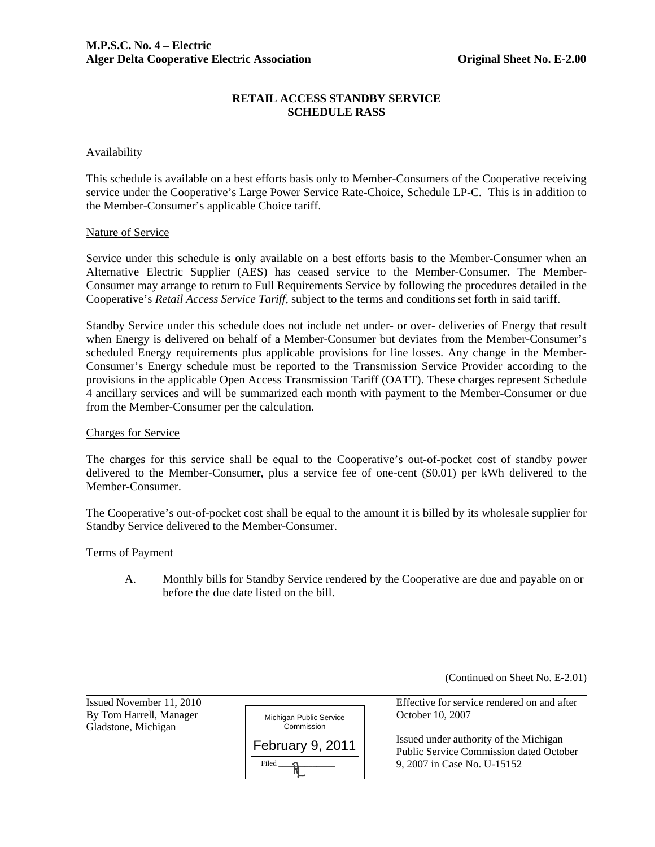# **RETAIL ACCESS STANDBY SERVICE SCHEDULE RASS**

#### **Availability**

This schedule is available on a best efforts basis only to Member-Consumers of the Cooperative receiving service under the Cooperative's Large Power Service Rate-Choice, Schedule LP-C. This is in addition to the Member-Consumer's applicable Choice tariff.

#### Nature of Service

Service under this schedule is only available on a best efforts basis to the Member-Consumer when an Alternative Electric Supplier (AES) has ceased service to the Member-Consumer. The Member-Consumer may arrange to return to Full Requirements Service by following the procedures detailed in the Cooperative's *Retail Access Service Tariff*, subject to the terms and conditions set forth in said tariff.

Standby Service under this schedule does not include net under- or over- deliveries of Energy that result when Energy is delivered on behalf of a Member-Consumer but deviates from the Member-Consumer's scheduled Energy requirements plus applicable provisions for line losses. Any change in the Member-Consumer's Energy schedule must be reported to the Transmission Service Provider according to the provisions in the applicable Open Access Transmission Tariff (OATT). These charges represent Schedule 4 ancillary services and will be summarized each month with payment to the Member-Consumer or due from the Member-Consumer per the calculation.

#### Charges for Service

The charges for this service shall be equal to the Cooperative's out-of-pocket cost of standby power delivered to the Member-Consumer, plus a service fee of one-cent (\$0.01) per kWh delivered to the Member-Consumer.

The Cooperative's out-of-pocket cost shall be equal to the amount it is billed by its wholesale supplier for Standby Service delivered to the Member-Consumer.

#### Terms of Payment

A. Monthly bills for Standby Service rendered by the Cooperative are due and payable on or before the due date listed on the bill.

(Continued on Sheet No. E-2.01)

Gladstone, Michigan

l



Issued November 11, 2010 Effective for service rendered on and after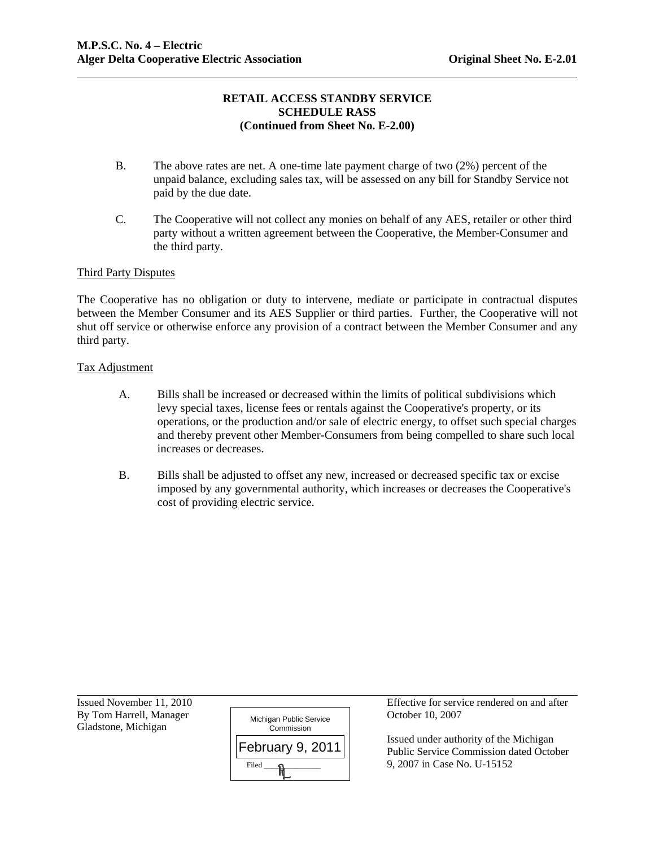## **RETAIL ACCESS STANDBY SERVICE SCHEDULE RASS (Continued from Sheet No. E-2.00)**

- B. The above rates are net. A one-time late payment charge of two (2%) percent of the unpaid balance, excluding sales tax, will be assessed on any bill for Standby Service not paid by the due date.
- C. The Cooperative will not collect any monies on behalf of any AES, retailer or other third party without a written agreement between the Cooperative, the Member-Consumer and the third party.

#### Third Party Disputes

The Cooperative has no obligation or duty to intervene, mediate or participate in contractual disputes between the Member Consumer and its AES Supplier or third parties. Further, the Cooperative will not shut off service or otherwise enforce any provision of a contract between the Member Consumer and any third party.

#### Tax Adjustment

- A. Bills shall be increased or decreased within the limits of political subdivisions which levy special taxes, license fees or rentals against the Cooperative's property, or its operations, or the production and/or sale of electric energy, to offset such special charges and thereby prevent other Member-Consumers from being compelled to share such local increases or decreases.
- B. Bills shall be adjusted to offset any new, increased or decreased specific tax or excise imposed by any governmental authority, which increases or decreases the Cooperative's cost of providing electric service.

Gladstone, Michigan

l



Issued November 11, 2010 Effective for service rendered on and after